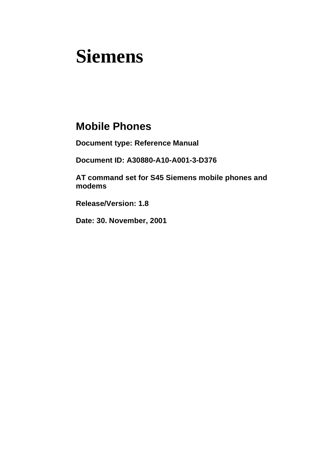# **Siemens**

# **Mobile Phones**

**Document type: Reference Manual**

**Document ID: A30880-A10-A001-3-D376**

**AT command set for S45 Siemens mobile phones and modems**

**Release/Version: 1.8**

**Date: 30. November, 2001**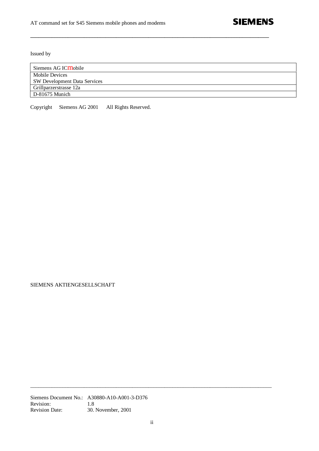Issued by

| Siemens AG IC <b>M</b> obile        |
|-------------------------------------|
| Mobile Devices                      |
| <b>SW Development Data Services</b> |
| Grillparzerstrasse 12a              |
| D-81675 Munich                      |

**\_\_\_\_\_\_\_\_\_\_\_\_\_\_\_\_\_\_\_\_\_\_\_\_\_\_\_\_\_\_\_\_\_\_\_\_\_\_\_\_\_\_\_\_\_\_\_\_\_\_\_\_\_\_\_\_\_\_\_\_\_\_\_\_\_\_\_\_\_\_\_\_\_\_\_\_\_\_\_\_\_\_\_\_\_\_\_\_\_**

Copyright © Siemens AG 2001 All Rights Reserved.

SIEMENS AKTIENGESELLSCHAFT

Siemens Document No.: A30880-A10-A001-3-D376 Revision: 1.8<br>Revision Date: 30. 30. November, 2001

\_\_\_\_\_\_\_\_\_\_\_\_\_\_\_\_\_\_\_\_\_\_\_\_\_\_\_\_\_\_\_\_\_\_\_\_\_\_\_\_\_\_\_\_\_\_\_\_\_\_\_\_\_\_\_\_\_\_\_\_\_\_\_\_\_\_\_\_\_\_\_\_\_\_\_\_\_\_\_\_\_\_\_\_\_\_\_\_\_\_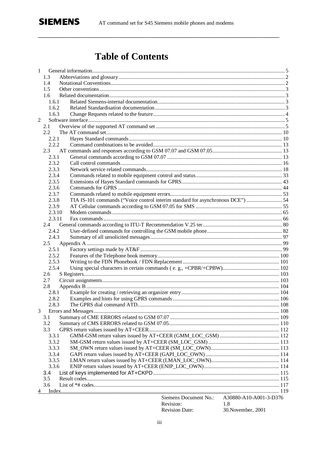# **Table of Contents**

|   | 1          |                                                                                 |                        |  |
|---|------------|---------------------------------------------------------------------------------|------------------------|--|
|   | 1.3        |                                                                                 |                        |  |
|   | 1.4        |                                                                                 |                        |  |
|   | 1.5        |                                                                                 |                        |  |
|   | 1.6        |                                                                                 |                        |  |
|   | 1.6.1      |                                                                                 |                        |  |
|   | 1.6.2      |                                                                                 |                        |  |
|   | 1.6.3      |                                                                                 |                        |  |
| 2 |            |                                                                                 |                        |  |
|   | 2.1        |                                                                                 |                        |  |
|   | 2.2        |                                                                                 |                        |  |
|   | 2.2.1      |                                                                                 |                        |  |
|   | 2.2.2      |                                                                                 |                        |  |
|   | 2.3        |                                                                                 |                        |  |
|   | 2.3.1      |                                                                                 |                        |  |
|   | 2.3.2      |                                                                                 |                        |  |
|   | 2.3.3      |                                                                                 |                        |  |
|   | 2.3.4      |                                                                                 |                        |  |
|   | 2.3.5      |                                                                                 |                        |  |
|   | 2.3.6      |                                                                                 |                        |  |
|   | 2.3.7      |                                                                                 |                        |  |
|   | 2.3.8      | TIA IS-101 commands ("Voice control interim standard for asynchronous DCE")  54 |                        |  |
|   | 2.3.9      |                                                                                 |                        |  |
|   | 2.3.10     |                                                                                 |                        |  |
|   | 2.3.11     |                                                                                 |                        |  |
|   | 2.4        |                                                                                 |                        |  |
|   | 2.4.2      |                                                                                 |                        |  |
|   | 2.4.3      |                                                                                 |                        |  |
|   | 2.5        |                                                                                 |                        |  |
|   | 2.5.1      |                                                                                 |                        |  |
|   | 2.5.2      |                                                                                 |                        |  |
|   | 2.5.3      |                                                                                 |                        |  |
|   | 2.5.4      |                                                                                 |                        |  |
|   | 2.6        |                                                                                 |                        |  |
|   | 2.7        |                                                                                 |                        |  |
|   | 2.8        |                                                                                 |                        |  |
|   | 2.8.1      |                                                                                 |                        |  |
|   | 2.8.2      |                                                                                 |                        |  |
|   | 2.8.3      |                                                                                 |                        |  |
| 3 |            |                                                                                 |                        |  |
|   | 3.1        |                                                                                 |                        |  |
|   | 3.2        |                                                                                 |                        |  |
|   | 3.3        |                                                                                 |                        |  |
|   | 3.3.1      |                                                                                 |                        |  |
|   | 3.3.2      |                                                                                 |                        |  |
|   | 3.3.3      |                                                                                 |                        |  |
|   | 3.3.4      |                                                                                 |                        |  |
|   | 3.3.5      |                                                                                 |                        |  |
|   | 3.3.6      |                                                                                 |                        |  |
|   | 3.4<br>3.5 |                                                                                 |                        |  |
|   | 3.6        |                                                                                 |                        |  |
|   |            |                                                                                 |                        |  |
| 4 |            | Siemens Document No.:                                                           | A30880-A10-A001-3-D376 |  |
|   |            | Revision:                                                                       | 1.8                    |  |
|   |            | <b>Revision Date:</b>                                                           | 30. November, 2001     |  |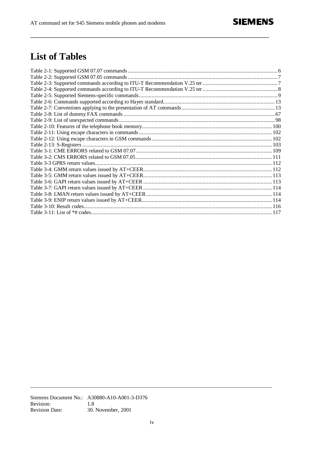# **List of Tables**

Siemens Document No.: A30880-A10-A001-3-D376 Revision: 1.8 **Revision Date:** 30. November, 2001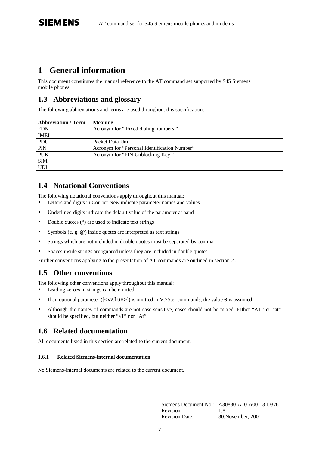**\_\_\_\_\_\_\_\_\_\_\_\_\_\_\_\_\_\_\_\_\_\_\_\_\_\_\_\_\_\_\_\_\_\_\_\_\_\_\_\_\_\_\_\_\_\_\_\_\_\_\_\_\_\_\_\_\_\_\_\_\_\_\_\_\_\_\_\_\_\_\_\_\_\_\_\_\_\_\_\_\_\_\_\_\_\_\_\_\_\_**

# **1 General information**

**SIEMENS** 

This document constitutes the manual reference to the AT command set supported by S45 Siemens mobile phones.

### **1.3 Abbreviations and glossary**

The following abbreviations and terms are used throughout this specification:

| <b>Abbreviation / Term</b> | <b>Meaning</b>                               |
|----------------------------|----------------------------------------------|
| <b>FDN</b>                 | Acronym for "Fixed dialing numbers"          |
| <b>IMEI</b>                |                                              |
| PDU                        | Packet Data Unit                             |
| PIN                        | Acronym for "Personal Identification Number" |
| <b>PUK</b>                 | Acronym for "PIN Unblocking Key"             |
| <b>SIM</b>                 |                                              |
| <b>UDI</b>                 |                                              |

### **1.4 Notational Conventions**

The following notational conventions apply throughout this manual:

- Letters and digits in Courier New indicate parameter names and values
- Underlined digits indicate the default value of the parameter at hand
- Double quotes (") are used to indicate text strings
- Symbols (e. g. @) inside quotes are interpreted as text strings
- Strings which are not included in double quotes must be separated by comma
- Spaces inside strings are ignored unless they are included in double quotes

Further conventions applying to the presentation of AT commands are outlined in section 2.2.

### **1.5 Other conventions**

The following other conventions apply throughout this manual:

- Leading zeroes in strings can be omitted
- If an optional parameter ( $\{\text{}\}\$ ) is omitted in V.25ter commands, the value 0 is assumed
- Although the names of commands are not case-sensitive, cases should not be mixed. Either "AT" or "at" should be specified, but neither "aT" nor "At".

# **1.6 Related documentation**

All documents listed in this section are related to the current document.

#### **1.6.1 Related Siemens-internal documentation**

No Siemens-internal documents are related to the current document.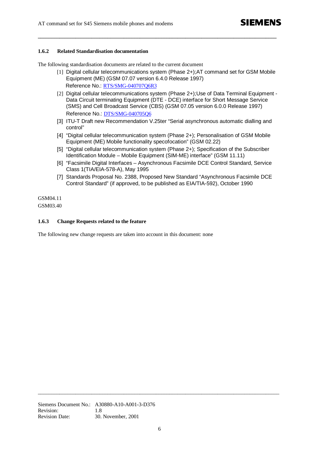#### **1.6.2 Related Standardisation documentation**

The following standardisation documents are related to the current document

[1] Digital cellular telecommunications system (Phase 2+);AT command set for GSM Mobile Equipment (ME) (GSM 07.07 version 6.4.0 Release 1997) Reference No.: RTS/SMG-040707O6R3

**\_\_\_\_\_\_\_\_\_\_\_\_\_\_\_\_\_\_\_\_\_\_\_\_\_\_\_\_\_\_\_\_\_\_\_\_\_\_\_\_\_\_\_\_\_\_\_\_\_\_\_\_\_\_\_\_\_\_\_\_\_\_\_\_\_\_\_\_\_\_\_\_\_\_\_\_\_\_\_\_\_\_\_\_\_\_\_\_\_**

- [2] Digital cellular telecommunications system (Phase 2+);Use of Data Terminal Equipment -Data Circuit terminating Equipment (DTE - DCE) interface for Short Message Service (SMS) and Cell Broadcast Service (CBS) (GSM 07.05 version 6.0.0 Release 1997) Reference No.: DTS/SMG-040705Q6
- [3] ITU-T Draft new Recommendation V.25ter "Serial asynchronous automatic dialling and control"
- [4] "Digital cellular telecommunication system (Phase 2+); Personalisation of GSM Mobile Equipment (ME) Mobile functionality specofocation" (GSM 02.22)
- [5] "Digital cellular telecommunication system (Phase 2+); Specification of the Subscriber Identification Module – Mobile Equipment (SIM-ME) interface" (GSM 11.11)
- [6] "Facsimile Digital Interfaces Asynchronous Facsimile DCE Control Standard, Service Class 1(TIA/EIA-578-A), May 1995
- [7] Standards Proposal No. 2388, Proposed New Standard "Asynchronous Facsimile DCE Control Standard" (if approved, to be published as EIA/TIA-592), October 1990

GSM04.11 GSM03.40

#### **1.6.3 Change Requests related to the feature**

The following new change requests are taken into account in this document: none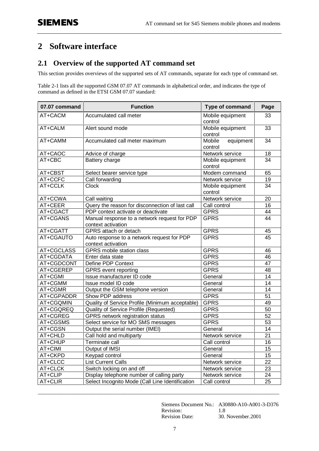# **2 Software interface**

# **2.1 Overview of the supported AT command set**

This section provides overviews of the supported sets of AT commands, separate for each type of command set.

Table 2-1 lists all the supported GSM 07.07 AT commands in alphabetical order, and indicates the type of command as defined in the ETSI GSM 07.07 standard:

| 07.07 command | <b>Function</b>                                                    | <b>Type of command</b>         | Page |
|---------------|--------------------------------------------------------------------|--------------------------------|------|
| AT+CACM       | Accumulated call meter                                             | Mobile equipment<br>control    | 33   |
| AT+CALM       | Alert sound mode                                                   | Mobile equipment<br>control    | 33   |
| AT+CAMM       | Accumulated call meter maximum                                     | Mobile<br>equipment<br>control | 34   |
| AT+CAOC       | Advice of charge                                                   | Network service                | 18   |
| AT+CBC        | Battery charge                                                     | Mobile equipment<br>control    | 34   |
| AT+CBST       | Select bearer service type                                         | Modem command                  | 65   |
| AT+CCFC       | Call forwarding                                                    | Network service                | 19   |
| AT+CCLK       | <b>Clock</b>                                                       | Mobile equipment<br>control    | 34   |
| AT+CCWA       | Call waiting                                                       | Network service                | 20   |
| AT+CEER       | Query the reason for disconnection of last call                    | Call control                   | 16   |
| AT+CGACT      | PDP context activate or deactivate                                 | <b>GPRS</b>                    | 44   |
| AT+CGANS      | Manual response to a network request for PDP<br>context activation | <b>GPRS</b>                    | 44   |
| AT+CGATT      | GPRS attach or detach                                              | <b>GPRS</b>                    | 45   |
| AT+CGAUTO     | Auto response to a network request for PDP<br>context activation   | GPRS                           | 45   |
| AT+CGCLASS    | <b>GPRS</b> mobile station class                                   | <b>GPRS</b>                    | 46   |
| AT+CGDATA     | Enter data state                                                   | <b>GPRS</b>                    | 46   |
| AT+CGDCONT    | Define PDP Context                                                 | <b>GPRS</b>                    | 47   |
| AT+CGEREP     | <b>GPRS</b> event reporting                                        | <b>GPRS</b>                    | 48   |
| AT+CGMI       | Issue manufacturer ID code                                         | General                        | 14   |
| AT+CGMM       | Issue model ID code                                                | General                        | 14   |
| AT+CGMR       | Output the GSM telephone version                                   | General                        | 14   |
| AT+CGPADDR    | Show PDP address                                                   | <b>GPRS</b>                    | 51   |
| AT+CGQMIN     | Quality of Service Profile (Minimum acceptable)                    | <b>GPRS</b>                    | 49   |
| AT+CGQREQ     | Quality of Service Profile (Requested)                             | <b>GPRS</b>                    | 50   |
| AT+CGREG      | GPRS network registration status                                   | <b>GPRS</b>                    | 52   |
| AT+CGSMS      | Select service for MO SMS messages                                 | <b>GPRS</b>                    | 53   |
| AT+CGSN       | Output the serial number (IMEI)                                    | General                        | 14   |
| AT+CHLD       | Call hold and multiparty                                           | Network service                | 21   |
| AT+CHUP       | Terminate call                                                     | Call control                   | 16   |
| AT+CIMI       | Output of IMSI                                                     | General                        | 15   |
| AT+CKPD       | Keypad control                                                     | General                        | 15   |
| AT+CLCC       | <b>List Current Calls</b>                                          | Network service                | 22   |
| AT+CLCK       | Switch locking on and off                                          | Network service                | 23   |
| AT+CLIP       | Display telephone number of calling party                          | Network service                | 24   |
| AT+CLIR       | Select Incognito Mode (Call Line Identification                    | Call control                   | 25   |

Siemens Document No.: A30880-A10-A001-3-D376 Revision: 1.8 Revision Date: 30. November.2001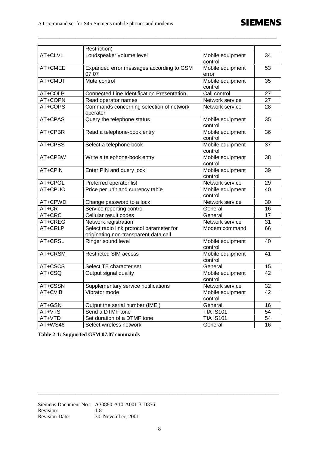

|         | Restriction)                                                                      |                             |    |
|---------|-----------------------------------------------------------------------------------|-----------------------------|----|
| AT+CLVL | Loudspeaker volume level                                                          | Mobile equipment<br>control | 34 |
| AT+CMEE | Expanded error messages according to GSM<br>07.07                                 | Mobile equipment<br>error   | 53 |
| AT+CMUT | Mute control                                                                      | Mobile equipment<br>control | 35 |
| AT+COLP | <b>Connected Line Identification Presentation</b>                                 | Call control                | 27 |
| AT+COPN | Read operator names                                                               | Network service             | 27 |
| AT+COPS | Commands concerning selection of network<br>operator                              | Network service             | 28 |
| AT+CPAS | Query the telephone status                                                        | Mobile equipment<br>control | 35 |
| AT+CPBR | Read a telephone-book entry                                                       | Mobile equipment<br>control | 36 |
| AT+CPBS | Select a telephone book                                                           | Mobile equipment<br>control | 37 |
| AT+CPBW | Write a telephone-book entry                                                      | Mobile equipment<br>control | 38 |
| AT+CPIN | Enter PIN and query lock                                                          | Mobile equipment<br>control | 39 |
| AT+CPOL | Preferred operator list                                                           | Network service             | 29 |
| AT+CPUC | Price per unit and currency table                                                 | Mobile equipment<br>control | 40 |
| AT+CPWD | Change password to a lock                                                         | Network service             | 30 |
| AT+CR   | Service reporting control                                                         | General                     | 16 |
| AT+CRC  | Cellular result codes                                                             | General                     | 17 |
| AT+CREG | Network registration                                                              | Network service             | 31 |
| AT+CRLP | Select radio link protocol parameter for<br>originating non-transparent data call | Modem command               | 66 |
| AT+CRSL | Ringer sound level                                                                | Mobile equipment<br>control | 40 |
| AT+CRSM | <b>Restricted SIM access</b>                                                      | Mobile equipment<br>control | 41 |
| AT+CSCS | Select TE character set                                                           | General                     | 15 |
| AT+CSQ  | Output signal quality                                                             | Mobile equipment<br>control | 42 |
| AT+CSSN | Supplementary service notifications                                               | Network service             | 32 |
| AT+CVIB | Vibrator mode                                                                     | Mobile equipment<br>control | 42 |
| AT+GSN  | Output the serial number (IMEI)                                                   | General                     | 16 |
| AT+VTS  | Send a DTMF tone                                                                  | <b>TIA IS101</b>            | 54 |
| AT+VTD  | Set duration of a DTMF tone                                                       | <b>TIA IS101</b>            | 54 |
| AT+WS46 | Select wireless network                                                           | General                     | 16 |

**\_\_\_\_\_\_\_\_\_\_\_\_\_\_\_\_\_\_\_\_\_\_\_\_\_\_\_\_\_\_\_\_\_\_\_\_\_\_\_\_\_\_\_\_\_\_\_\_\_\_\_\_\_\_\_\_\_\_\_\_\_\_\_\_\_\_\_\_\_\_\_\_\_\_\_\_\_\_\_\_\_\_\_\_\_\_\_\_\_**

**Table 2-1: Supported GSM 07.07 commands**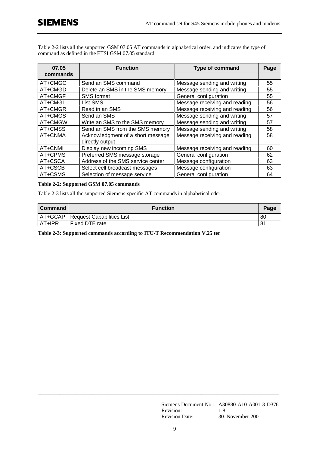Table 2-2 lists all the supported GSM 07.05 AT commands in alphabetical order, and indicates the type of command as defined in the ETSI GSM 07.05 standard:

| 07.05<br>commands | <b>Function</b>                                      | <b>Type of command</b>        | Page |
|-------------------|------------------------------------------------------|-------------------------------|------|
| AT+CMGC           | Send an SMS command                                  | Message sending and writing   | 55   |
| AT+CMGD           | Delete an SMS in the SMS memory                      | Message sending and writing   | 55   |
| AT+CMGF           | <b>SMS</b> format                                    | General configuration         | 55   |
| AT+CMGL           | List SMS                                             | Message receiving and reading | 56   |
| AT+CMGR           | Read in an SMS                                       | Message receiving and reading | 56   |
| AT+CMGS           | Send an SMS                                          | Message sending and writing   | 57   |
| AT+CMGW           | Write an SMS to the SMS memory                       | Message sending and writing   | 57   |
| AT+CMSS           | Send an SMS from the SMS memory                      | Message sending and writing   | 58   |
| AT+CNMA           | Acknowledgment of a short message<br>directly output | Message receiving and reading | 58   |
| AT+CNMI           | Display new incoming SMS                             | Message receiving and reading | 60   |
| AT+CPMS           | Preferred SMS message storage                        | General configuration         | 62   |
| AT+CSCA           | Address of the SMS service center                    | Message configuration         | 63   |
| AT+CSCB           | Select cell broadcast messages                       | Message configuration         | 63   |
| AT+CSMS           | Selection of message service                         | General configuration         | 64   |

#### **Table 2-2: Supported GSM 07.05 commands**

Table 2-3 lists all the supported Siemens-specific AT commands in alphabetical oder:

| Command | <b>Function</b>                     | Page |
|---------|-------------------------------------|------|
|         | AT+GCAP   Request Capabilities List | 80   |
| AT+IPR  | Fixed DTE rate                      | 81   |

**Table 2-3: Supported commands according to ITU-T Recommendation V.25 ter**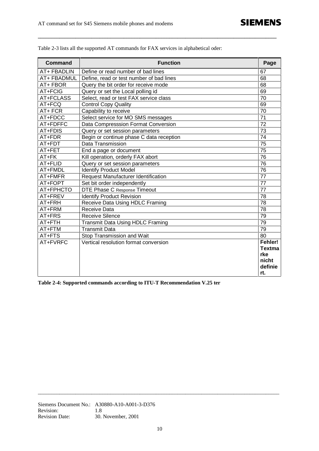| <b>Command</b> | <b>Function</b>                          | Page            |
|----------------|------------------------------------------|-----------------|
| AT+ FBADLIN    | Define or read number of bad lines       | 67              |
| AT+ FBADMUL    | Define, read or test number of bad lines | 68              |
| AT+ FBOR       | Query the bit order for receive mode     | 68              |
| AT+FCIG        | Query or set the Local polling id        | 69              |
| AT+FCLASS      | Select, read or test FAX service class   | 70              |
| AT+FCQ         | <b>Control Copy Quality</b>              | 69              |
| AT+FCR         | Capability to receive                    | 70              |
| AT+FDCC        | Select service for MO SMS messages       | $\overline{71}$ |
| AT+FDFFC       | Data Compresssion Format Conversion      | 72              |
| AT+FDIS        | Query or set session parameters          | $\overline{73}$ |
| AT+FDR         | Begin or continue phase C data reception | 74              |
| AT+FDT         | Data Transmission                        | 75              |
| AT+FET         | End a page or document                   | 75              |
| AT+FK          | Kill operation, orderly FAX abort        | 76              |
| AT+FLID        | Query or set session parameters          | 76              |
| AT+FMDL        | <b>Identify Product Model</b>            | $\overline{76}$ |
| AT+FMFR        | Request Manufacturer Identification      | 77              |
| AT+FOPT        | Set bit order independently              | $\overline{77}$ |
| AT+FPHCTO      | DTE Phase C Response Timeout             | 77              |
| AT+FREV        | <b>Identify Product Revision</b>         | 78              |
| AT+FRH         | Receive Data Using HDLC Framing          | 78              |
| AT+FRM         | Receive Data                             | 78              |
| AT+FRS         | <b>Receive Silence</b>                   | 79              |
| AT+FTH         | Transmit Data Using HDLC Framing         | 79              |
| AT+FTM         | <b>Transmit Data</b>                     | 79              |
| AT+FTS         | Stop Transmission and Wait               | 80              |
| AT+FVRFC       | Vertical resolution format conversion    | Fehler!         |
|                |                                          | <b>Textma</b>   |
|                |                                          | rke             |
|                |                                          | nicht           |
|                |                                          | definie         |
|                |                                          | rt.             |

**\_\_\_\_\_\_\_\_\_\_\_\_\_\_\_\_\_\_\_\_\_\_\_\_\_\_\_\_\_\_\_\_\_\_\_\_\_\_\_\_\_\_\_\_\_\_\_\_\_\_\_\_\_\_\_\_\_\_\_\_\_\_\_\_\_\_\_\_\_\_\_\_\_\_\_\_\_\_\_\_\_\_\_\_\_\_\_\_\_**

Table 2-3 lists all the supported AT commands for FAX services in alphabetical oder:

**Table 2-4: Supported commands according to ITU-T Recommendation V.25 ter**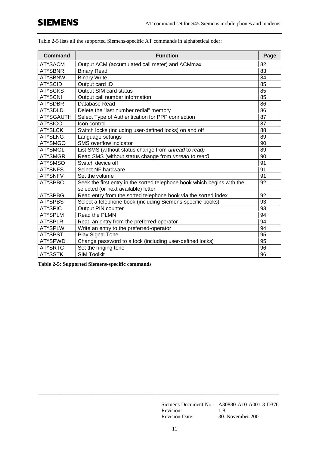| <b>Command</b> | <b>Function</b>                                                         | Page |
|----------------|-------------------------------------------------------------------------|------|
| AT^SACM        | Output ACM (accumulated call meter) and ACMmax                          | 82   |
| AT^SBNR        | <b>Binary Read</b>                                                      | 83   |
| AT^SBNW        | <b>Binary Write</b>                                                     | 84   |
| AT^SCID        | Output card ID                                                          | 85   |
| AT^SCKS        | Output SIM card status                                                  | 85   |
| AT^SCNI        | Output call number information                                          | 85   |
| AT^SDBR        | Database Read                                                           | 86   |
| AT^SDLD        | Delete the "last number redial" memory                                  | 86   |
| AT^SGAUTH      | Select Type of Authentication for PPP connection                        | 87   |
| AT^SICO        | Icon control                                                            | 87   |
| AT^SLCK        | Switch locks (including user-defined locks) on and off                  | 88   |
| AT^SLNG        | Language settings                                                       | 89   |
| AT^SMGO        | SMS overflow indicator                                                  | 90   |
| AT^SMGL        | List SMS (without status change from unread to read)                    | 89   |
| AT^SMGR        | Read SMS (without status change from unread to read)                    | 90   |
| AT^SMSO        | Switch device off                                                       | 91   |
| AT^SNFS        | Select NF hardware                                                      | 91   |
| AT^SNFV        | Set the volume                                                          | 91   |
| AT^SPBC        | Seek the first entry in the sorted telephone book which begins with the | 92   |
|                | selected (or next available) letter                                     |      |
| AT^SPBG        | Read entry from the sorted telephone book via the sorted index          | 92   |
| AT^SPBS        | Select a telephone book (including Siemens-specific books)              | 93   |
| AT^SPIC        | Output PIN counter                                                      | 93   |
| AT^SPLM        | Read the PLMN                                                           | 94   |
| AT^SPLR        | Read an entry from the preferred-operator                               | 94   |
| AT^SPLW        | Write an entry to the preferred-operator                                | 94   |
| AT^SPST        | <b>Play Signal Tone</b>                                                 | 95   |
| AT^SPWD        | Change password to a lock (including user-defined locks)                | 95   |
| AT^SRTC        | Set the ringing tone                                                    | 96   |
| AT^SSTK        | <b>SIM Toolkit</b>                                                      | 96   |

Table 2-5 lists all the supported Siemens-specific AT commands in alphabetical oder:

**Table 2-5: Supported Siemens-specific commands**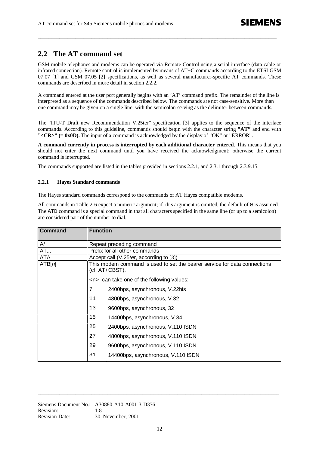# **2.2 The AT command set**

GSM mobile telephones and modems can be operated via Remote Control using a serial interface (data cable or infrared connection). Remote control is implemented by means of AT+C commands according to the ETSI GSM 07.07 [1] and GSM 07.05 [2] specifications, as well as several manufacturer-specific AT commands. These commands are described in more detail in section 2.2.2.

**\_\_\_\_\_\_\_\_\_\_\_\_\_\_\_\_\_\_\_\_\_\_\_\_\_\_\_\_\_\_\_\_\_\_\_\_\_\_\_\_\_\_\_\_\_\_\_\_\_\_\_\_\_\_\_\_\_\_\_\_\_\_\_\_\_\_\_\_\_\_\_\_\_\_\_\_\_\_\_\_\_\_\_\_\_\_\_\_\_**

A command entered at the user port generally begins with an 'AT' command prefix. The remainder of the line is interpreted as a sequence of the commands described below. The commands are not case-sensitive. More than one command may be given on a single line, with the semicolon serving as the delimiter between commands.

The "ITU-T Draft new Recommendation V.25ter" specification [3] applies to the sequence of the interface commands. According to this guideline, commands should begin with the character string **"AT"** and end with **"<CR>" (= 0x0D).** The input of a command is acknowledged by the display of "OK" or "ERROR".

**A command currently in process is interrupted by each additional character entered**. This means that you should not enter the next command until you have received the acknowledgment; otherwise the current command is interrupted.

The commands supported are listed in the tables provided in sections 2.2.1, and 2.3.1 through 2.3.9.15.

#### **2.2.1 Hayes Standard commands**

The Hayes standard commands correspond to the commands of AT Hayes compatible modems.

All commands in Table 2-6 expect a numeric argument; if this argument is omitted, the default of 0 is assumed. The ATD command is a special command in that all characters specified in the same line (or up to a semicolon) are considered part of the number to dial.

| <b>Command</b> | <b>Function</b>                                                                             |
|----------------|---------------------------------------------------------------------------------------------|
| A/             | Repeat preceding command                                                                    |
| <b>AT</b>      | Prefix for all other commands                                                               |
| <b>ATA</b>     | Accept call (V.25 ter, according to [3])                                                    |
| ATB[n]         | This modem command is used to set the bearer service for data connections<br>(cf. AT+CBST). |
|                | $\langle n \rangle$ can take one of the following values:                                   |
|                | 7<br>2400bps, asynchronous, V.22bis                                                         |
|                | 11<br>4800bps, asynchronous, V.32                                                           |
|                | 13<br>9600bps, asynchronous, 32                                                             |
|                | 15<br>14400bps, asynchronous, V.34                                                          |
|                | 25<br>2400bps, asynchronous, V.110 ISDN                                                     |
|                | 27<br>4800bps, asynchronous, V.110 ISDN                                                     |
|                | 29<br>9600bps, asynchronous, V.110 ISDN                                                     |
|                | 31<br>14400bps, asynchronous, V.110 ISDN                                                    |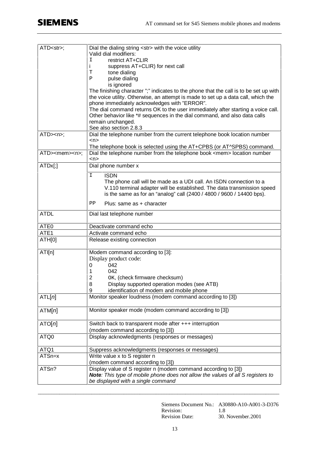| $ATD<$ str>;             | Dial the dialing string <str> with the voice utility</str>                                                                       |
|--------------------------|----------------------------------------------------------------------------------------------------------------------------------|
|                          | Valid dial modifiers:                                                                                                            |
|                          | restrict AT+CLIR<br>I                                                                                                            |
|                          | i.<br>suppress AT+CLIR) for next call<br>т                                                                                       |
|                          | tone dialing<br>Ρ                                                                                                                |
|                          | pulse dialing<br>is ignored                                                                                                      |
|                          | The finishing character ";" indicates to the phone that the call is to be set up with                                            |
|                          | the voice utility. Otherwise, an attempt is made to set up a data call, which the                                                |
|                          | phone immediately acknowledges with "ERROR".<br>The dial command returns OK to the user immediately after starting a voice call. |
|                          | Other behavior like *# sequences in the dial command, and also data calls                                                        |
|                          | remain unchanged.                                                                                                                |
|                          | See also section 2.8.3                                                                                                           |
| ATD> <sub>0</sub>        | Dial the telephone number from the current telephone book location number                                                        |
|                          | $n$                                                                                                                              |
|                          | The telephone book is selected using the AT+CPBS (or AT^SPBS) command.                                                           |
| ATD> <mem><n>;</n></mem> | Dial the telephone number from the telephone book <mem> location number<br/><math>n</math></mem>                                 |
| $ATDx$ [;]               | Dial phone number x                                                                                                              |
|                          | <b>ISDN</b><br>$\mathbf I$                                                                                                       |
|                          | The phone call will be made as a UDI call. An ISDN connection to a                                                               |
|                          | V.110 terminal adapter will be established. The data transmission speed                                                          |
|                          | is the same as for an "analog" call (2400 / 4800 / 9600 / 14400 bps).                                                            |
|                          | ΡP<br>Plus: same as $+$ character                                                                                                |
| <b>ATDL</b>              | Dial last telephone number                                                                                                       |
|                          |                                                                                                                                  |
| ATE0                     | Deactivate command echo                                                                                                          |
| ATE1                     | Activate command echo                                                                                                            |
| ATH[0]                   | Release existing connection                                                                                                      |
| ATI[n]                   | Modem command according to [3]:                                                                                                  |
|                          | Display product code:                                                                                                            |
|                          | 042<br>0                                                                                                                         |
|                          | 042<br>1                                                                                                                         |
|                          | $\overline{2}$<br>OK, (check firmware checksum)                                                                                  |
|                          | 8<br>Display supported operation modes (see ATB)                                                                                 |
|                          | identification of modem and mobile phone<br>9                                                                                    |
| ATL[n]                   | Monitor speaker loudness (modem command according to [3])                                                                        |
| ATM[n]                   | Monitor speaker mode (modem command according to [3])                                                                            |
| ATO[n]                   | Switch back to transparent mode after $++$ interruption                                                                          |
|                          | (modem command according to [3])                                                                                                 |
| ATQ0                     | Display acknowledgments (responses or messages)                                                                                  |
|                          |                                                                                                                                  |
| ATQ1                     | Suppress acknowledgments (responses or messages)                                                                                 |
| ATSn=x                   | Write value x to S register n                                                                                                    |
|                          | (modem command according to [3])                                                                                                 |
| ATSn?                    | Display value of S register n (modem command according to [3])                                                                   |
|                          | Note: This type of mobile phone does not allow the values of all S registers to                                                  |
|                          | be displayed with a single command                                                                                               |

Siemens Document No.: A30880-A10-A001-3-D376 Revision: 1.8 Revision Date: 30. November. 2001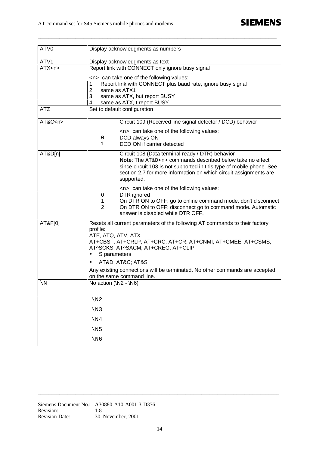| ATV0          | Display acknowledgments as numbers                                                                                                                                                                                                                                                                                                                                         |  |  |
|---------------|----------------------------------------------------------------------------------------------------------------------------------------------------------------------------------------------------------------------------------------------------------------------------------------------------------------------------------------------------------------------------|--|--|
| ATV1          | Display acknowledgments as text                                                                                                                                                                                                                                                                                                                                            |  |  |
| ATX < n       | Report link with CONNECT only ignore busy signal                                                                                                                                                                                                                                                                                                                           |  |  |
|               | $\langle n \rangle$ can take one of the following values:<br>Report link with CONNECT plus baud rate, ignore busy signal<br>1<br>same as ATX1<br>2<br>3<br>same as ATX, but report BUSY<br>same as ATX, t report BUSY<br>4                                                                                                                                                 |  |  |
| <b>ATZ</b>    | Set to default configuration                                                                                                                                                                                                                                                                                                                                               |  |  |
| AT&C <n></n>  | Circuit 109 (Received line signal detector / DCD) behavior                                                                                                                                                                                                                                                                                                                 |  |  |
|               | <n> can take one of the following values:<br/>DCD always ON<br/>0<br/>DCD ON if carrier detected<br/>1</n>                                                                                                                                                                                                                                                                 |  |  |
| AT&D[n]       | Circuit 108 (Data terminal ready / DTR) behavior<br><b>Note:</b> The $AT&D<n>$ commands described below take no effect<br>since circuit 108 is not supported in this type of mobile phone. See<br>section 2.7 for more information on which circuit assignments are<br>supported.                                                                                          |  |  |
|               | <n> can take one of the following values:<br/>DTR ignored<br/>0<br/>On DTR ON to OFF: go to online command mode, don't disconnect<br/>1<br/><math>\overline{2}</math><br/>On DTR ON to OFF: disconnect go to command mode. Automatic<br/>answer is disabled while DTR OFF.</n>                                                                                             |  |  |
| AT&F[0]       | Resets all current parameters of the following AT commands to their factory<br>profile:<br>ATE, ATQ, ATV, ATX<br>AT+CBST, AT+CRLP, AT+CRC, AT+CR, AT+CNMI, AT+CMEE, AT+CSMS,<br>AT^SCKS, AT^SACM, AT+CREG, AT+CLIP<br>S parameters<br>٠<br>AT&D AT&C AT&S<br>٠<br>Any existing connections will be terminated. No other commands are accepted<br>on the same command line. |  |  |
| $\setminus N$ | No action (\N2 - \N6)                                                                                                                                                                                                                                                                                                                                                      |  |  |
|               | $\sqrt{N2}$<br>$\sqrt{N3}$<br>$\sqrt{N4}$<br>$\sqrt{N5}$<br>$\sqrt{N6}$                                                                                                                                                                                                                                                                                                    |  |  |

**\_\_\_\_\_\_\_\_\_\_\_\_\_\_\_\_\_\_\_\_\_\_\_\_\_\_\_\_\_\_\_\_\_\_\_\_\_\_\_\_\_\_\_\_\_\_\_\_\_\_\_\_\_\_\_\_\_\_\_\_\_\_\_\_\_\_\_\_\_\_\_\_\_\_\_\_\_\_\_\_\_\_\_\_\_\_\_\_\_**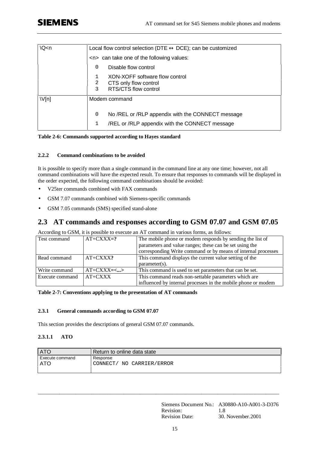| Q < n | Local flow control selection (DTE $\leftrightarrow$ DCE); can be customized               |  |
|-------|-------------------------------------------------------------------------------------------|--|
|       | $\langle n \rangle$ can take one of the following values:                                 |  |
|       | Disable flow control<br>0                                                                 |  |
|       | XON-XOFF software flow control<br>2<br>CTS only flow control<br>3<br>RTS/CTS flow control |  |
| V[n]  | Modem command                                                                             |  |
|       | No /REL or /RLP appendix with the CONNECT message<br>0                                    |  |
|       | /REL or /RLP appendix with the CONNECT message                                            |  |

#### **Table 2-6: Commands supported according to Hayes standard**

#### **2.2.2 Command combinations to be avoided**

It is possible to specify more than a single command in the command line at any one time; however, not all command combinations will have the expected result. To ensure that responses to commands will be displayed in the order expected, the following command combinations should be avoided:

- V25ter commands combined with FAX commands
- GSM 7.07 commands combined with Siemens-specific commands
- GSM 7.05 commands (SMS) specified stand-alone

#### **2.3 AT commands and responses according to GSM 07.07 and GSM 07.05**

According to GSM, it is possible to execute an AT command in various forms, as follows:

| Test command    | $AT+CXXX=?$  | The mobile phone or modem responds by sending the list of     |  |
|-----------------|--------------|---------------------------------------------------------------|--|
|                 |              | parameters and value ranges; these can be set using the       |  |
|                 |              | corresponding Write command or by means of internal processes |  |
| Read command    | $AT+CXXX$ ?  | This command displays the current value setting of the        |  |
|                 |              | $parameter(s)$ .                                              |  |
| Write command   | $AT+CXXX=<>$ | This command is used to set parameters that can be set.       |  |
| Execute command | $AT+CXXX$    | This command reads non-settable parameters which are          |  |
|                 |              | influenced by internal processes in the mobile phone or modem |  |

**Table 2-7: Conventions applying to the presentation of AT commands**

#### **2.3.1 General commands according to GSM 07.07**

This section provides the descriptions of general GSM 07.07 commands.

#### **2.3.1.1 ATO**

| <b>ATO</b>             | Return to online data state              |  |  |
|------------------------|------------------------------------------|--|--|
| Execute command<br>ATO | Response<br>CONNECT/<br>NO CARRIER/ERROR |  |  |
|                        |                                          |  |  |

 $\_$  ,  $\_$  ,  $\_$  ,  $\_$  ,  $\_$  ,  $\_$  ,  $\_$  ,  $\_$  ,  $\_$  ,  $\_$  ,  $\_$  ,  $\_$  ,  $\_$  ,  $\_$  ,  $\_$  ,  $\_$  ,  $\_$  ,  $\_$  ,  $\_$  ,  $\_$  ,  $\_$  ,  $\_$  ,  $\_$  ,  $\_$  ,  $\_$  ,  $\_$  ,  $\_$  ,  $\_$  ,  $\_$  ,  $\_$  ,  $\_$  ,  $\_$  ,  $\_$  ,  $\_$  ,  $\_$  ,  $\_$  ,  $\_$  ,

Siemens Document No.: A30880-A10-A001-3-D376 Revision: 1.8 Revision Date: 30. November.2001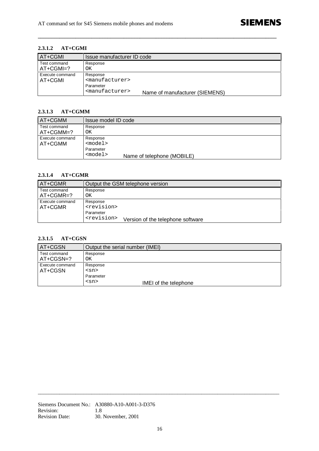#### **2.3.1.2 AT+CGMI**

| <b>AT+CGMI</b>              | Issue manufacturer ID code                                                                                                   |
|-----------------------------|------------------------------------------------------------------------------------------------------------------------------|
| Test command<br>$AT+CGMI=?$ | Response<br>ΟK                                                                                                               |
| Execute command<br>AT+CGMI  | Response<br><manufacturer><br/>Parameter<br/><manufacturer><br/>Name of manufacturer (SIEMENS)</manufacturer></manufacturer> |

**\_\_\_\_\_\_\_\_\_\_\_\_\_\_\_\_\_\_\_\_\_\_\_\_\_\_\_\_\_\_\_\_\_\_\_\_\_\_\_\_\_\_\_\_\_\_\_\_\_\_\_\_\_\_\_\_\_\_\_\_\_\_\_\_\_\_\_\_\_\_\_\_\_\_\_\_\_\_\_\_\_\_\_\_\_\_\_\_\_**

#### **2.3.1.3 AT+CGMM**

| AT+CGMM                    | Issue model ID code                                                       |
|----------------------------|---------------------------------------------------------------------------|
| Test command<br>AT+CGMM=?  | Response<br>ΟK                                                            |
| Execute command<br>AT+CGMM | Response<br>$model$<br>Parameter<br>$model$<br>Name of telephone (MOBILE) |

#### **2.3.1.4 AT+CGMR**

| AT+CGMR                    | Output the GSM telephone version                                                                                |
|----------------------------|-----------------------------------------------------------------------------------------------------------------|
| Test command<br>AT+CGMR=?  | Response<br>ΟK                                                                                                  |
| Execute command<br>AT+CGMR | Response<br><revision><br/>Parameter<br/><revision><br/>Version of the telephone software</revision></revision> |

#### **2.3.1.5 AT+CGSN**

| AT+CGSN                     | Output the serial number (IMEI)     |
|-----------------------------|-------------------------------------|
| Test command<br>$AT+CGSN=?$ | Response<br>OK.                     |
| Execute command<br>AT+CGSN  | Response<br>$<$ sn>                 |
|                             | Parameter                           |
|                             | $<$ sn $>$<br>IMEI of the telephone |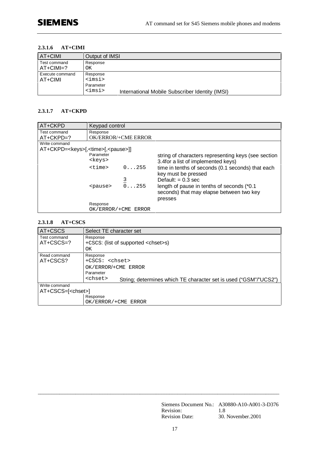#### **2.3.1.6 AT+CIMI**

| AT+CIMI                     | Output of IMSI                                                                                                |
|-----------------------------|---------------------------------------------------------------------------------------------------------------|
| Test command<br>$AT+CIMI=?$ | Response<br>ΟK                                                                                                |
| Execute command<br>AT+CIMI  | Response<br><imsi><br/>Parameter<br/><imsi><br/>International Mobile Subscriber Identity (IMSI)</imsi></imsi> |

#### **2.3.1.7 AT+CKPD**

| AT+CKPD                                                  | Keypad control  |                            |                                                     |
|----------------------------------------------------------|-----------------|----------------------------|-----------------------------------------------------|
| Test command                                             | Response        |                            |                                                     |
| AT+CKPD=?                                                |                 | <b>OK/ERROR/+CME ERROR</b> |                                                     |
| Write command                                            |                 |                            |                                                     |
| AT+CKPD= <keys>[,<time>[,<pause>]]</pause></time></keys> |                 |                            |                                                     |
|                                                          | Parameter       |                            | string of characters representing keys (see section |
|                                                          | <keys></keys>   |                            | 3.4for a list of implemented keys)                  |
|                                                          | <time></time>   | 0.1.255                    | time in tenths of seconds (0.1 seconds) that each   |
|                                                          |                 |                            | key must be pressed                                 |
|                                                          |                 |                            | Default: $= 0.3$ sec                                |
|                                                          | <pause></pause> | $\overline{0}$ 255         | length of pause in tenths of seconds (*0.1)         |
|                                                          |                 |                            | seconds) that may elapse between two key            |
|                                                          |                 |                            | presses                                             |
|                                                          | Response        |                            |                                                     |
|                                                          |                 |                            |                                                     |
|                                                          |                 | OK/ERROR/+CME ERROR        |                                                     |

#### **2.3.1.8 AT+CSCS**

| AT+CSCS                    | Select TE character set                                                              |  |  |
|----------------------------|--------------------------------------------------------------------------------------|--|--|
| Test command               | Response                                                                             |  |  |
| $AT+CSCS=?$                | +CSCS: (list of supported <chset>s)</chset>                                          |  |  |
|                            | OΚ                                                                                   |  |  |
| Read command               | Response                                                                             |  |  |
| AT+CSCS?                   | +CSCS: <chset></chset>                                                               |  |  |
|                            | OK/ERROR/+CME ERROR                                                                  |  |  |
|                            | Parameter                                                                            |  |  |
|                            | <chset><br/>String; determines which TE character set is used ("GSM"/"UCS2")</chset> |  |  |
| Write command              |                                                                                      |  |  |
| AT+CSCS=[ <chset>]</chset> |                                                                                      |  |  |
|                            | Response                                                                             |  |  |
|                            | OK/ERROR/+CME ERROR                                                                  |  |  |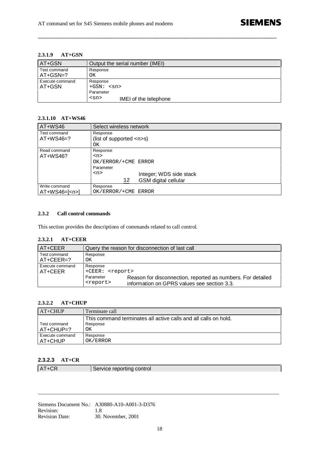#### **2.3.1.9 AT+GSN**

| AT+GSN                     | Output the serial number (IMEI)                                              |  |  |
|----------------------------|------------------------------------------------------------------------------|--|--|
| Test command<br>$AT+GSN=?$ | Response<br>ΟK                                                               |  |  |
| Execute command<br>AT+GSN  | Response<br>$+GSN:$ $<$ sn><br>Parameter<br>$<$ sn><br>IMEI of the telephone |  |  |

**\_\_\_\_\_\_\_\_\_\_\_\_\_\_\_\_\_\_\_\_\_\_\_\_\_\_\_\_\_\_\_\_\_\_\_\_\_\_\_\_\_\_\_\_\_\_\_\_\_\_\_\_\_\_\_\_\_\_\_\_\_\_\_\_\_\_\_\_\_\_\_\_\_\_\_\_\_\_\_\_\_\_\_\_\_\_\_\_\_**

#### **2.3.1.10 AT+WS46**

| AT+WS46                         | Select wireless network                                                      |  |  |  |
|---------------------------------|------------------------------------------------------------------------------|--|--|--|
| Test command<br>$AT+WS46=?$     | Response<br>(list of supported $\langle n \rangle$ s)<br>OΚ                  |  |  |  |
| Read command<br>AT+WS46?        | Response<br>$<$ n><br>OK/ERROR/+CME ERROR                                    |  |  |  |
|                                 | Parameter<br>$<$ n><br>Integer; WDS side stack<br>GSM digital cellular<br>12 |  |  |  |
| Write command<br>$AT+WS46=[np]$ | Response<br>OK/ERROR/+CME ERROR                                              |  |  |  |

#### **2.3.2 Call control commands**

This section provides the descriptions of commands related to call control.

#### **2.3.2.1 AT+CEER**

| AT+CEER                         | Query the reason for disconnection of last call                          |                                                                                                            |  |  |  |
|---------------------------------|--------------------------------------------------------------------------|------------------------------------------------------------------------------------------------------------|--|--|--|
| Test command<br>$AT + CEER = ?$ | Response<br>ΟK                                                           |                                                                                                            |  |  |  |
| Execute command<br>AT+CEER      | Response<br>+CEER: <report><br/>Parameter<br/><report></report></report> | Reason for disconnection, reported as numbers. For detailed<br>information on GPRS values see section 3.3. |  |  |  |

#### **2.3.2.2 AT+CHUP**

| $AT+CHUP$                   | Terminate call                                                                    |
|-----------------------------|-----------------------------------------------------------------------------------|
| Test command<br>$AT+CHUP=?$ | This command terminates all active calls and all calls on hold.<br>Response<br>OK |
| Execute command<br>AT+CHUP  | Response<br>OK/ERROR                                                              |

#### **2.3.2.3 AT+CR**

| AT+CR |
|-------|
|-------|

Service reporting control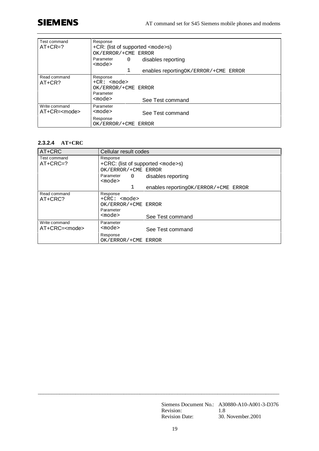# **SIEMENS**

| Test command<br>$AT+CR=?$           | Response<br>+CR: (list of supported <mode>s)<br/>OK/ERROR/+CME ERROR<br/>Parameter<br/>disables reporting<br/>0<br/><mode></mode></mode> |  |  |
|-------------------------------------|------------------------------------------------------------------------------------------------------------------------------------------|--|--|
|                                     | 1<br>enables reportingOK/ERROR/+CME ERROR                                                                                                |  |  |
| Read command<br>$AT+CR?$            | Response<br>$+CR:$ $<$ mode><br>OK/ERROR/+CME ERROR<br>Parameter<br>$mode$<br>See Test command                                           |  |  |
| Write command<br>$AT+CR = < model>$ | Parameter<br><mode><br/>See Test command</mode>                                                                                          |  |  |
|                                     | Response<br>OK/ERROR/+CME ERROR                                                                                                          |  |  |

### **2.3.2.4 AT+CRC**

| AT+CRC           | Cellular result codes                    |                                            |  |  |
|------------------|------------------------------------------|--------------------------------------------|--|--|
| Test command     | Response                                 |                                            |  |  |
| $AT+CRC=?$       | +CRC: (list of supported <mode>s)</mode> |                                            |  |  |
|                  | OK/ERROR/+CME ERROR                      |                                            |  |  |
|                  | Parameter<br>0<br><mode></mode>          | disables reporting                         |  |  |
|                  |                                          | enables reporting OK / ERROR / + CME ERROR |  |  |
| Read command     | Response                                 |                                            |  |  |
| AT+CRC?          | $+$ CRC: $<$ mode>                       |                                            |  |  |
|                  | OK/ERROR/+CME ERROR                      |                                            |  |  |
|                  | Parameter                                |                                            |  |  |
|                  | <mode></mode>                            | See Test command                           |  |  |
| Write command    | Parameter                                |                                            |  |  |
| $AT+CRC=<$ mode> | <mode></mode>                            | See Test command                           |  |  |
|                  | Response                                 |                                            |  |  |
|                  | OK/ERROR/+CME ERROR                      |                                            |  |  |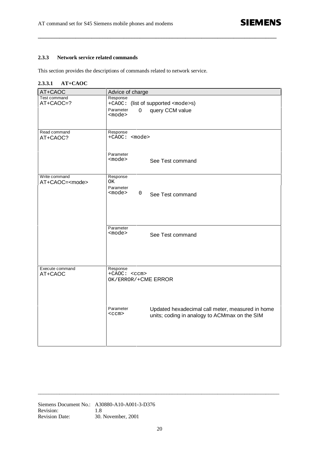#### **2.3.3 Network service related commands**

This section provides the descriptions of commands related to network service.

#### **2.3.3.1 AT+CAOC**

| AT+CAOC                | Advice of charge                                              |  |  |  |
|------------------------|---------------------------------------------------------------|--|--|--|
| Test command           | Response                                                      |  |  |  |
| AT+CAOC=?              | +CAOC: (list of supported <mode>s)</mode>                     |  |  |  |
|                        | Parameter<br>$\mathbf 0$<br>query CCM value                   |  |  |  |
|                        | $mode$                                                        |  |  |  |
|                        |                                                               |  |  |  |
|                        |                                                               |  |  |  |
| Read command           | Response                                                      |  |  |  |
| AT+CAOC?               | +CAOC: <mode></mode>                                          |  |  |  |
|                        |                                                               |  |  |  |
|                        |                                                               |  |  |  |
|                        | Parameter<br><mode></mode>                                    |  |  |  |
|                        | See Test command                                              |  |  |  |
|                        |                                                               |  |  |  |
| Write command          | Response                                                      |  |  |  |
| AT+CAOC= <mode></mode> | ОK                                                            |  |  |  |
|                        | Parameter                                                     |  |  |  |
|                        | <mode><br/><math>\mathbf 0</math><br/>See Test command</mode> |  |  |  |
|                        |                                                               |  |  |  |
|                        |                                                               |  |  |  |
|                        |                                                               |  |  |  |
|                        |                                                               |  |  |  |
|                        |                                                               |  |  |  |
|                        | Parameter                                                     |  |  |  |
|                        | <mode><br/>See Test command</mode>                            |  |  |  |
|                        |                                                               |  |  |  |
|                        |                                                               |  |  |  |
|                        |                                                               |  |  |  |
|                        |                                                               |  |  |  |
|                        |                                                               |  |  |  |
| Execute command        | Response<br>+CAOC: <ccm></ccm>                                |  |  |  |
| AT+CAOC                | OK/ERROR/+CME ERROR                                           |  |  |  |
|                        |                                                               |  |  |  |
|                        |                                                               |  |  |  |
|                        |                                                               |  |  |  |
|                        |                                                               |  |  |  |
|                        | Parameter<br>Updated hexadecimal call meter, measured in home |  |  |  |
|                        | $<$ ccm $>$                                                   |  |  |  |
|                        | units; coding in analogy to ACMmax on the SIM                 |  |  |  |
|                        |                                                               |  |  |  |
|                        |                                                               |  |  |  |
|                        |                                                               |  |  |  |
|                        |                                                               |  |  |  |
|                        |                                                               |  |  |  |

**\_\_\_\_\_\_\_\_\_\_\_\_\_\_\_\_\_\_\_\_\_\_\_\_\_\_\_\_\_\_\_\_\_\_\_\_\_\_\_\_\_\_\_\_\_\_\_\_\_\_\_\_\_\_\_\_\_\_\_\_\_\_\_\_\_\_\_\_\_\_\_\_\_\_\_\_\_\_\_\_\_\_\_\_\_\_\_\_\_**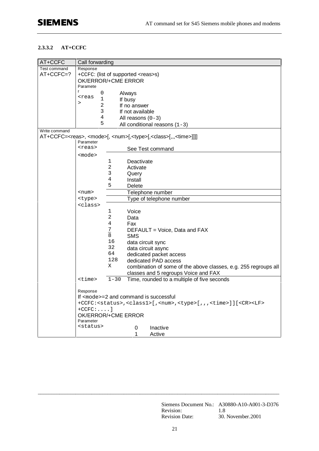#### **2.3.3.2 AT+CCFC**

| AT+CCFC       | Call forwarding                                         |                                           |                                                                                                             |  |  |  |  |  |
|---------------|---------------------------------------------------------|-------------------------------------------|-------------------------------------------------------------------------------------------------------------|--|--|--|--|--|
| Test command  | Response                                                |                                           |                                                                                                             |  |  |  |  |  |
| $AT+CCFC=?$   |                                                         | +CCFC: (list of supported <reas>s)</reas> |                                                                                                             |  |  |  |  |  |
|               |                                                         |                                           | OK/ERROR/+CME ERROR                                                                                         |  |  |  |  |  |
|               | Paramete                                                |                                           |                                                                                                             |  |  |  |  |  |
|               | r<br>0<br><reas< th=""><th></th><th>Always</th></reas<> |                                           | Always                                                                                                      |  |  |  |  |  |
|               | $\mathbf 1$<br>$\geq$                                   |                                           | If busy                                                                                                     |  |  |  |  |  |
|               | 2                                                       |                                           | If no answer                                                                                                |  |  |  |  |  |
|               | 3                                                       |                                           | If not available                                                                                            |  |  |  |  |  |
|               | 4                                                       | All reasons $(0-3)$                       |                                                                                                             |  |  |  |  |  |
|               | 5                                                       |                                           | All conditional reasons $(1-3)$                                                                             |  |  |  |  |  |
| Write command |                                                         |                                           |                                                                                                             |  |  |  |  |  |
|               |                                                         |                                           | AT+CCFC= <reas>, <mode>[, <num>[,<type>[,<class>[,,,<time>]]]]</time></class></type></num></mode></reas>    |  |  |  |  |  |
|               | Parameter<br><reas></reas>                              |                                           |                                                                                                             |  |  |  |  |  |
|               |                                                         |                                           | See Test command                                                                                            |  |  |  |  |  |
|               | <mode></mode>                                           |                                           |                                                                                                             |  |  |  |  |  |
|               |                                                         | 1                                         | Deactivate                                                                                                  |  |  |  |  |  |
|               |                                                         | 2                                         | Activate                                                                                                    |  |  |  |  |  |
|               |                                                         | 3                                         | Query                                                                                                       |  |  |  |  |  |
|               |                                                         | 4                                         | Install                                                                                                     |  |  |  |  |  |
|               |                                                         | 5<br><b>Delete</b>                        |                                                                                                             |  |  |  |  |  |
|               | <num></num>                                             |                                           | Telephone number                                                                                            |  |  |  |  |  |
|               | <type></type>                                           | Type of telephone number                  |                                                                                                             |  |  |  |  |  |
|               | <class></class>                                         |                                           |                                                                                                             |  |  |  |  |  |
|               |                                                         | 1<br>$\overline{a}$                       | Voice                                                                                                       |  |  |  |  |  |
|               |                                                         | 4                                         | Data                                                                                                        |  |  |  |  |  |
|               |                                                         |                                           | Fax                                                                                                         |  |  |  |  |  |
|               |                                                         | $\frac{7}{8}$                             | DEFAULT = Voice, Data and FAX<br><b>SMS</b>                                                                 |  |  |  |  |  |
|               |                                                         | 16                                        |                                                                                                             |  |  |  |  |  |
|               |                                                         | 32                                        | data circuit sync                                                                                           |  |  |  |  |  |
|               |                                                         | 64                                        | data circuit async<br>dedicated packet access                                                               |  |  |  |  |  |
|               |                                                         | 128                                       | dedicated PAD access                                                                                        |  |  |  |  |  |
|               |                                                         | Χ                                         | combination of some of the above classes, e.g. 255 regroups all                                             |  |  |  |  |  |
|               |                                                         |                                           | classes and 5 regroups Voice and FAX                                                                        |  |  |  |  |  |
|               | $<$ time $>$                                            | $1 - 30$                                  | Time, rounded to a multiple of five seconds                                                                 |  |  |  |  |  |
|               |                                                         |                                           |                                                                                                             |  |  |  |  |  |
|               | Response                                                |                                           |                                                                                                             |  |  |  |  |  |
|               |                                                         |                                           | If $mode = 2$ and command is successful                                                                     |  |  |  |  |  |
|               |                                                         |                                           | +CCFC: <status>,<class1>[,<num>,<type>[,,,<time>]][<cr><lf></lf></cr></time></type></num></class1></status> |  |  |  |  |  |
|               | $+CCFC: \ldots$ ]                                       |                                           |                                                                                                             |  |  |  |  |  |
|               | OK/ERROR/+CME ERROR                                     |                                           |                                                                                                             |  |  |  |  |  |
|               | Parameter                                               |                                           |                                                                                                             |  |  |  |  |  |
|               | <status></status>                                       |                                           | 0<br>Inactive                                                                                               |  |  |  |  |  |
|               |                                                         |                                           | 1<br>Active                                                                                                 |  |  |  |  |  |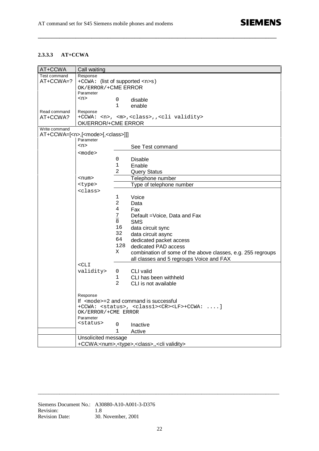#### **2.3.3.3 AT+CCWA**

| AT+CCWA       | Call waiting                                                                                                         |                     |                                                                  |  |  |  |
|---------------|----------------------------------------------------------------------------------------------------------------------|---------------------|------------------------------------------------------------------|--|--|--|
| Test command  | Response                                                                                                             |                     |                                                                  |  |  |  |
| AT+CCWA=?     | +CCWA: (list of supported <n>s)</n>                                                                                  |                     |                                                                  |  |  |  |
|               | OK/ERROR/+CME ERROR                                                                                                  |                     |                                                                  |  |  |  |
|               | Parameter                                                                                                            |                     |                                                                  |  |  |  |
|               | <n></n>                                                                                                              | 0                   | disable                                                          |  |  |  |
|               |                                                                                                                      | 1                   | enable                                                           |  |  |  |
| Read command  | Response                                                                                                             |                     |                                                                  |  |  |  |
| AT+CCWA?      |                                                                                                                      |                     | +CCWA: <n>, <m>,<class>,,<cli validity=""></cli></class></m></n> |  |  |  |
|               | OK/ERROR/+CME ERROR                                                                                                  |                     |                                                                  |  |  |  |
| Write command |                                                                                                                      |                     |                                                                  |  |  |  |
|               | AT+CCWA=[ <n>,[<mode>[,<class>]]]</class></mode></n>                                                                 |                     |                                                                  |  |  |  |
|               | Parameter                                                                                                            |                     |                                                                  |  |  |  |
|               | $<$ n>                                                                                                               |                     | See Test command                                                 |  |  |  |
|               | <mode></mode>                                                                                                        |                     |                                                                  |  |  |  |
|               |                                                                                                                      | 0                   | <b>Disable</b>                                                   |  |  |  |
|               |                                                                                                                      | $\mathbf 1$         | Enable                                                           |  |  |  |
|               |                                                                                                                      | 2                   | <b>Query Status</b>                                              |  |  |  |
|               | <num></num>                                                                                                          |                     | Telephone number                                                 |  |  |  |
|               | <type></type>                                                                                                        |                     | Type of telephone number                                         |  |  |  |
|               | <class></class>                                                                                                      |                     |                                                                  |  |  |  |
|               |                                                                                                                      | 1                   | Voice                                                            |  |  |  |
|               |                                                                                                                      | 2                   | Data                                                             |  |  |  |
|               |                                                                                                                      | 4                   | Fax                                                              |  |  |  |
|               |                                                                                                                      |                     |                                                                  |  |  |  |
|               |                                                                                                                      | $\frac{7}{8}$       | Default = Voice, Data and Fax<br><b>SMS</b>                      |  |  |  |
|               |                                                                                                                      | 16                  |                                                                  |  |  |  |
|               |                                                                                                                      | 32                  | data circuit sync                                                |  |  |  |
|               |                                                                                                                      | 64                  | data circuit async                                               |  |  |  |
|               |                                                                                                                      |                     | dedicated packet access                                          |  |  |  |
|               |                                                                                                                      | 128                 | dedicated PAD access                                             |  |  |  |
|               |                                                                                                                      | Χ                   | combination of some of the above classes, e.g. 255 regroups      |  |  |  |
|               |                                                                                                                      |                     | all classes and 5 regroups Voice and FAX                         |  |  |  |
|               | $<$ CLI                                                                                                              |                     |                                                                  |  |  |  |
|               | validity>                                                                                                            | 0                   | CLI valid                                                        |  |  |  |
|               |                                                                                                                      | $\mathbf{1}$        | CLI has been withheld                                            |  |  |  |
|               |                                                                                                                      | 2                   | CLI is not available                                             |  |  |  |
|               |                                                                                                                      |                     |                                                                  |  |  |  |
|               | Response                                                                                                             |                     |                                                                  |  |  |  |
|               | If $\leq$ mode>=2 and command is successful<br>+CCWA: <status>, <class1><cr><lf>+CCWA:  </lf></cr></class1></status> |                     |                                                                  |  |  |  |
|               |                                                                                                                      |                     |                                                                  |  |  |  |
|               | Parameter                                                                                                            | OK/ERROR/+CME ERROR |                                                                  |  |  |  |
|               | <status></status>                                                                                                    |                     |                                                                  |  |  |  |
|               |                                                                                                                      | 0                   | Inactive                                                         |  |  |  |
|               |                                                                                                                      | 1<br>Active         |                                                                  |  |  |  |
|               | Unsolicited message                                                                                                  |                     |                                                                  |  |  |  |
|               | +CCWA: <num>,<type>,<class>,,<cli validity=""></cli></class></type></num>                                            |                     |                                                                  |  |  |  |

**\_\_\_\_\_\_\_\_\_\_\_\_\_\_\_\_\_\_\_\_\_\_\_\_\_\_\_\_\_\_\_\_\_\_\_\_\_\_\_\_\_\_\_\_\_\_\_\_\_\_\_\_\_\_\_\_\_\_\_\_\_\_\_\_\_\_\_\_\_\_\_\_\_\_\_\_\_\_\_\_\_\_\_\_\_\_\_\_\_**

Siemens Document No.: A30880-A10-A001-3-D376 Revision: 1.8 Revision Date: 30. November, 2001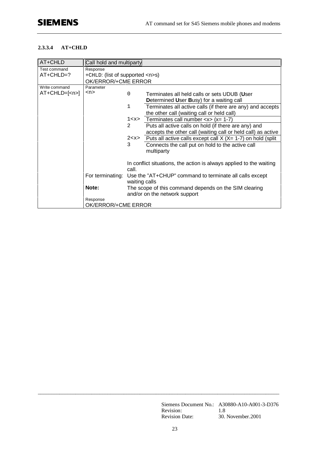#### **2.3.3.4 AT+CHLD**

| AT+CHLD            | Call hold and multiparty            |                                                                     |                                                                       |  |  |
|--------------------|-------------------------------------|---------------------------------------------------------------------|-----------------------------------------------------------------------|--|--|
| Test command       | Response                            |                                                                     |                                                                       |  |  |
| AT+CHLD=?          | +CHLD: (list of supported <n>s)</n> |                                                                     |                                                                       |  |  |
|                    | OK/ERROR/+CME ERROR                 |                                                                     |                                                                       |  |  |
| Write command      | Parameter                           |                                                                     |                                                                       |  |  |
| AT+CHLD=[ <n>]</n> | $<$ n>                              | $\Omega$                                                            | Terminates all held calls or sets UDUB (User                          |  |  |
|                    |                                     |                                                                     | Determined User Busy) for a waiting call                              |  |  |
|                    |                                     | $\mathbf{1}$                                                        | Terminates all active calls (if there are any) and accepts            |  |  |
|                    |                                     |                                                                     | the other call (waiting call or held call)                            |  |  |
|                    |                                     |                                                                     | $1 < x >$ Terminates call number $< x > (x = 1-7)$                    |  |  |
|                    |                                     | 2                                                                   | Puts all active calls on hold (if there are any) and                  |  |  |
|                    |                                     |                                                                     | accepts the other call (waiting call or held call) as active          |  |  |
|                    |                                     |                                                                     | $2 < x >$ Puts all active calls except call X (X= 1-7) on hold (split |  |  |
|                    |                                     | 3                                                                   | Connects the call put on hold to the active call                      |  |  |
|                    |                                     |                                                                     | multiparty                                                            |  |  |
|                    |                                     |                                                                     |                                                                       |  |  |
|                    |                                     | In conflict situations, the action is always applied to the waiting |                                                                       |  |  |
|                    |                                     | call.                                                               |                                                                       |  |  |
|                    | For terminating:                    |                                                                     | Use the "AT+CHUP" command to terminate all calls except               |  |  |
|                    |                                     | waiting calls                                                       |                                                                       |  |  |
|                    | Note:                               | The scope of this command depends on the SIM clearing               |                                                                       |  |  |
|                    |                                     | and/or on the network support                                       |                                                                       |  |  |
|                    | Response                            |                                                                     |                                                                       |  |  |
|                    | OK/ERROR/+CME ERROR                 |                                                                     |                                                                       |  |  |

Siemens Document No.: A30880-A10-A001-3-D376 Revision: 1.8 Revision Date: 30. November. 2001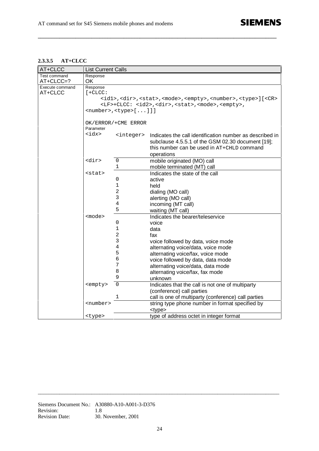#### **2.3.3.5 AT+CLCC**

| AT+CLCC         | <b>List Current Calls</b>                                                                                      |                     |                                                          |  |  |  |  |  |  |
|-----------------|----------------------------------------------------------------------------------------------------------------|---------------------|----------------------------------------------------------|--|--|--|--|--|--|
| Test command    | Response                                                                                                       |                     |                                                          |  |  |  |  |  |  |
| AT+CLCC=?       | OK                                                                                                             |                     |                                                          |  |  |  |  |  |  |
| Execute command | Response                                                                                                       |                     |                                                          |  |  |  |  |  |  |
| AT+CLCC         | $[ +CLCC:$                                                                                                     |                     |                                                          |  |  |  |  |  |  |
|                 | <idl>,<dir>,<stat>,<mode>,<empty>,<number>,<type>][<cr></cr></type></number></empty></mode></stat></dir></idl> |                     |                                                          |  |  |  |  |  |  |
|                 | <lf>+CLCC: <id2>,<dir>,<stat>,<mode>,<empty>,</empty></mode></stat></dir></id2></lf>                           |                     |                                                          |  |  |  |  |  |  |
|                 | <number>, <type>[]]]</type></number>                                                                           |                     |                                                          |  |  |  |  |  |  |
|                 |                                                                                                                |                     |                                                          |  |  |  |  |  |  |
|                 | OK/ERROR/+CME ERROR                                                                                            |                     |                                                          |  |  |  |  |  |  |
|                 | Parameter                                                                                                      |                     |                                                          |  |  |  |  |  |  |
|                 | <idx></idx>                                                                                                    | <integer></integer> | Indicates the call identification number as described in |  |  |  |  |  |  |
|                 |                                                                                                                |                     | subclause 4.5.5.1 of the GSM 02.30 document [19];        |  |  |  |  |  |  |
|                 |                                                                                                                |                     | this number can be used in AT+CHLD command               |  |  |  |  |  |  |
|                 |                                                                                                                |                     | operations                                               |  |  |  |  |  |  |
|                 | <dir></dir>                                                                                                    | $\mathsf 0$         | mobile originated (MO) call                              |  |  |  |  |  |  |
|                 |                                                                                                                | 1                   | mobile terminated (MT) call                              |  |  |  |  |  |  |
|                 | <stat></stat>                                                                                                  |                     | Indicates the state of the call                          |  |  |  |  |  |  |
|                 |                                                                                                                | 0                   | active                                                   |  |  |  |  |  |  |
|                 |                                                                                                                | $\mathbf{1}$        | held                                                     |  |  |  |  |  |  |
|                 |                                                                                                                | $\overline{a}$      | dialing (MO call)                                        |  |  |  |  |  |  |
|                 |                                                                                                                | 3                   | alerting (MO call)                                       |  |  |  |  |  |  |
|                 |                                                                                                                | 4                   | incoming (MT call)                                       |  |  |  |  |  |  |
|                 |                                                                                                                | 5                   | waiting (MT call)                                        |  |  |  |  |  |  |
|                 | <mode></mode>                                                                                                  |                     | Indicates the bearer/teleservice                         |  |  |  |  |  |  |
|                 |                                                                                                                | 0                   | voice                                                    |  |  |  |  |  |  |
|                 |                                                                                                                | 1                   | data                                                     |  |  |  |  |  |  |
|                 |                                                                                                                | 2                   | fax                                                      |  |  |  |  |  |  |
|                 |                                                                                                                | 3                   | voice followed by data, voice mode                       |  |  |  |  |  |  |
|                 |                                                                                                                | 4                   | alternating voice/data, voice mode                       |  |  |  |  |  |  |
|                 |                                                                                                                | 5                   | alternating voice/fax, voice mode                        |  |  |  |  |  |  |
|                 |                                                                                                                | 6                   | voice followed by data, data mode                        |  |  |  |  |  |  |
|                 |                                                                                                                | 7                   | alternating voice/data, data mode                        |  |  |  |  |  |  |
|                 |                                                                                                                | 8                   | alternating voice/fax, fax mode                          |  |  |  |  |  |  |
|                 |                                                                                                                | 9                   | unknown                                                  |  |  |  |  |  |  |
|                 | <empty></empty>                                                                                                | $\overline{0}$      | Indicates that the call is not one of multiparty         |  |  |  |  |  |  |
|                 |                                                                                                                |                     | (conference) call parties                                |  |  |  |  |  |  |
|                 |                                                                                                                | 1                   | call is one of multiparty (conference) call parties      |  |  |  |  |  |  |
|                 | <number></number>                                                                                              |                     | string type phone number in format specified by          |  |  |  |  |  |  |
|                 |                                                                                                                |                     | <type></type>                                            |  |  |  |  |  |  |
|                 | <type></type>                                                                                                  |                     | type of address octet in integer format                  |  |  |  |  |  |  |

**\_\_\_\_\_\_\_\_\_\_\_\_\_\_\_\_\_\_\_\_\_\_\_\_\_\_\_\_\_\_\_\_\_\_\_\_\_\_\_\_\_\_\_\_\_\_\_\_\_\_\_\_\_\_\_\_\_\_\_\_\_\_\_\_\_\_\_\_\_\_\_\_\_\_\_\_\_\_\_\_\_\_\_\_\_\_\_\_\_**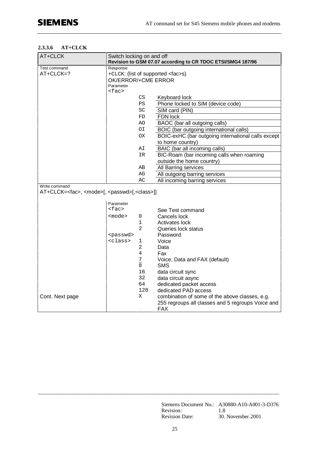#### **2.3.3.6 AT+CLCK**

| AT+CLCK                                                                                     | Switch locking on and off<br>Revision to GSM 07.07 according to CR TDOC ETSI/SMG4 187/96 |                                  |                                                                 |  |
|---------------------------------------------------------------------------------------------|------------------------------------------------------------------------------------------|----------------------------------|-----------------------------------------------------------------|--|
| Test command                                                                                | Response                                                                                 |                                  |                                                                 |  |
| AT+CLCK=?                                                                                   | +CLCK: (list of supported <fac>s)</fac>                                                  |                                  |                                                                 |  |
|                                                                                             | OK/ERROR/+CME ERROR                                                                      |                                  |                                                                 |  |
|                                                                                             | Parameter<br>$<$ fac>                                                                    |                                  |                                                                 |  |
|                                                                                             |                                                                                          | CS                               | Keyboard lock                                                   |  |
|                                                                                             |                                                                                          | PS                               | Phone locked to SIM (device code)                               |  |
|                                                                                             |                                                                                          | SC                               | SIM card (PIN)                                                  |  |
|                                                                                             |                                                                                          | FD                               | FDN lock                                                        |  |
|                                                                                             |                                                                                          | AΟ                               | BAOC (bar all outgoing calls)                                   |  |
|                                                                                             |                                                                                          | ΟI                               | BOIC (bar outgoing international calls)                         |  |
|                                                                                             |                                                                                          | <b>OX</b>                        | BOIC-exHC (bar outgoing international calls except              |  |
|                                                                                             |                                                                                          |                                  | to home country)                                                |  |
|                                                                                             |                                                                                          | ΑI                               | BAIC (bar all incoming calls)                                   |  |
|                                                                                             |                                                                                          | IR                               | BIC-Roam (bar incoming calls when roaming                       |  |
|                                                                                             |                                                                                          |                                  | outside the home country)                                       |  |
|                                                                                             |                                                                                          | AВ                               | All Barring services                                            |  |
|                                                                                             |                                                                                          | AG                               | All outgoing barring services                                   |  |
|                                                                                             |                                                                                          | AC                               | All incoming barring services                                   |  |
| Write command<br>AT+CLCK= <fac>, <mode>[, <passwd>[,<class>]]</class></passwd></mode></fac> |                                                                                          |                                  |                                                                 |  |
|                                                                                             | Parameter                                                                                |                                  |                                                                 |  |
|                                                                                             | $<$ fac>                                                                                 |                                  | See Test command                                                |  |
|                                                                                             | $mode$                                                                                   | 0                                | Cancels lock                                                    |  |
|                                                                                             |                                                                                          | 1                                | Activates lock                                                  |  |
|                                                                                             |                                                                                          | $\overline{2}$                   | Queries lock status                                             |  |
|                                                                                             | <passwd></passwd>                                                                        |                                  | Password                                                        |  |
|                                                                                             | <class></class>                                                                          | 1                                | Voice                                                           |  |
|                                                                                             |                                                                                          | 2                                | Data                                                            |  |
|                                                                                             |                                                                                          | 4                                | Fax                                                             |  |
|                                                                                             |                                                                                          | $\overline{1}$<br>$\overline{8}$ | Voice, Data and FAX (default)                                   |  |
|                                                                                             |                                                                                          | 16                               | <b>SMS</b>                                                      |  |
|                                                                                             |                                                                                          | 32                               | data circuit sync<br>data circuit async                         |  |
|                                                                                             |                                                                                          | 64                               | dedicated packet access                                         |  |
|                                                                                             |                                                                                          | 128                              | dedicated PAD access                                            |  |
| Cont. Next page                                                                             |                                                                                          | Χ                                | combination of some of the above classes, e.g.                  |  |
|                                                                                             |                                                                                          |                                  | 255 regroups all classes and 5 regroups Voice and<br><b>FAX</b> |  |

Siemens Document No.: A30880-A10-A001-3-D376 Revision: 1.8 Revision Date: 30. November. 2001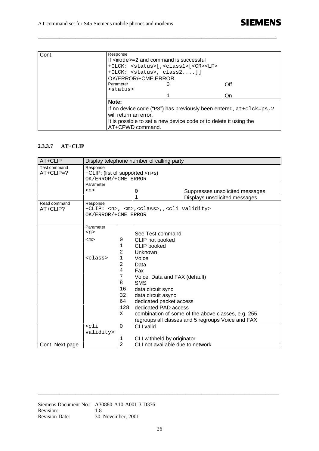| Cont. | Response                                                                       |                                                                   |     |  |  |  |
|-------|--------------------------------------------------------------------------------|-------------------------------------------------------------------|-----|--|--|--|
|       | If $mode = 2$ and command is successful                                        |                                                                   |     |  |  |  |
|       |                                                                                | +CLCK: <status>[,<class1>[<cr><lf></lf></cr></class1></status>    |     |  |  |  |
|       |                                                                                | $+CLCK:$ <status>, <math>class2]</math></status>                  |     |  |  |  |
|       | OK/ERROR/+CME ERROR                                                            |                                                                   |     |  |  |  |
|       | Parameter                                                                      |                                                                   | Off |  |  |  |
|       | <status></status>                                                              |                                                                   |     |  |  |  |
|       |                                                                                |                                                                   | On  |  |  |  |
|       | Note:                                                                          |                                                                   |     |  |  |  |
|       | If no device code (" $PS$ ") has previously been entered, $at + clck = ps$ , 2 |                                                                   |     |  |  |  |
|       | will return an error.                                                          |                                                                   |     |  |  |  |
|       |                                                                                | It is possible to set a new device code or to delete it using the |     |  |  |  |
|       | AT+CPWD command.                                                               |                                                                   |     |  |  |  |

**\_\_\_\_\_\_\_\_\_\_\_\_\_\_\_\_\_\_\_\_\_\_\_\_\_\_\_\_\_\_\_\_\_\_\_\_\_\_\_\_\_\_\_\_\_\_\_\_\_\_\_\_\_\_\_\_\_\_\_\_\_\_\_\_\_\_\_\_\_\_\_\_\_\_\_\_\_\_\_\_\_\_\_\_\_\_\_\_\_**

#### **2.3.3.7 AT+CLIP**

| AT+CLIP                     |                                                                         |                | Display telephone number of calling party                        |                                                                  |
|-----------------------------|-------------------------------------------------------------------------|----------------|------------------------------------------------------------------|------------------------------------------------------------------|
| Test command<br>$AT+CLIP=?$ | Response<br>+CLIP: (list of supported <n>s)<br/>OK/ERROR/+CME ERROR</n> |                |                                                                  |                                                                  |
|                             | Parameter                                                               |                |                                                                  |                                                                  |
|                             | $<$ n $>$                                                               |                | 0<br>1                                                           | Suppresses unsolicited messages<br>Displays unsolicited messages |
| Read command                | Response                                                                |                |                                                                  |                                                                  |
| AT+CLIP?                    | OK/ERROR/+CME ERROR                                                     |                | +CLIP: <n>, <m>,<class>,,<cli validity=""></cli></class></m></n> |                                                                  |
|                             |                                                                         |                |                                                                  |                                                                  |
|                             | Parameter                                                               |                |                                                                  |                                                                  |
|                             | $n$                                                                     |                | See Test command                                                 |                                                                  |
|                             | $<$ m $>$                                                               | 0              | CLIP not booked                                                  |                                                                  |
|                             |                                                                         | 1              | CLIP booked                                                      |                                                                  |
|                             |                                                                         | 2              | Unknown                                                          |                                                                  |
|                             | <class></class>                                                         | $\mathbf 1$    | Voice                                                            |                                                                  |
|                             |                                                                         | $\overline{2}$ | Data                                                             |                                                                  |
|                             |                                                                         | $\overline{4}$ | Fax                                                              |                                                                  |
|                             |                                                                         | $\frac{7}{8}$  | Voice, Data and FAX (default)                                    |                                                                  |
|                             |                                                                         |                | <b>SMS</b>                                                       |                                                                  |
|                             |                                                                         | 16<br>32       | data circuit sync                                                |                                                                  |
|                             |                                                                         | 64             | data circuit async                                               |                                                                  |
|                             |                                                                         | 128            | dedicated packet access<br>dedicated PAD access                  |                                                                  |
|                             |                                                                         | Χ              |                                                                  | combination of some of the above classes, e.g. 255               |
|                             |                                                                         |                |                                                                  | regroups all classes and 5 regroups Voice and FAX                |
|                             | $cli$                                                                   | $\Omega$       | <b>CLI</b> valid                                                 |                                                                  |
|                             | validity>                                                               |                |                                                                  |                                                                  |
|                             |                                                                         | 1              | CLI withheld by originator                                       |                                                                  |
| Cont. Next page             |                                                                         | $\overline{2}$ | CLI not available due to network                                 |                                                                  |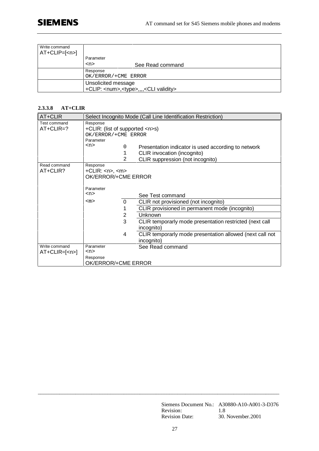| Write command<br>$AT+CLIP=[1]$ |                                                             |                  |
|--------------------------------|-------------------------------------------------------------|------------------|
|                                | Parameter                                                   |                  |
|                                | $<$ n $>$                                                   | See Read command |
|                                | Response                                                    |                  |
|                                | OK/ERROR/+CME ERROR                                         |                  |
|                                | Unsolicited message                                         |                  |
|                                | +CLIP: <num>,<type>,,,,<cli validity=""></cli></type></num> |                  |

#### **2.3.3.8 AT+CLIR**

| AT+CLIR        | Select Incognito Mode (Call Line Identification Restriction) |          |                                                          |
|----------------|--------------------------------------------------------------|----------|----------------------------------------------------------|
| Test command   | Response                                                     |          |                                                          |
| $AT+CLIR=?$    | +CLIR: (list of supported <n>s)</n>                          |          |                                                          |
|                | OK/ERROR/+CME ERROR                                          |          |                                                          |
|                | Parameter                                                    |          |                                                          |
|                | < n                                                          | 0        | Presentation indicator is used according to network      |
|                |                                                              | 1        | CLIR invocation (incognito)                              |
|                |                                                              | 2        | CLIR suppression (not incognito)                         |
| Read command   | Response                                                     |          |                                                          |
| AT+CLIR?       | $+CLIR: ~, ~$                                                |          |                                                          |
|                | OK/ERROR/+CME ERROR                                          |          |                                                          |
|                |                                                              |          |                                                          |
|                | Parameter                                                    |          |                                                          |
|                | $<$ n>                                                       |          | See Test command                                         |
|                | $<$ m $>$                                                    | $\Omega$ | CLIR not provisioned (not incognito)                     |
|                |                                                              | 1        | CLIR provisioned in permanent mode (incognito)           |
|                |                                                              | 2        | Unknown                                                  |
|                |                                                              | 3        | CLIR temporarly mode presentation restricted (next call  |
|                |                                                              |          | incognito)                                               |
|                |                                                              | 4        | CLIR temporarly mode presentation allowed (next call not |
|                |                                                              |          | incognito)                                               |
| Write command  | Parameter                                                    |          | See Read command                                         |
| $AT+CLIR=[np]$ | $<$ n>                                                       |          |                                                          |
|                | Response                                                     |          |                                                          |
|                | OK/ERROR/+CME ERROR                                          |          |                                                          |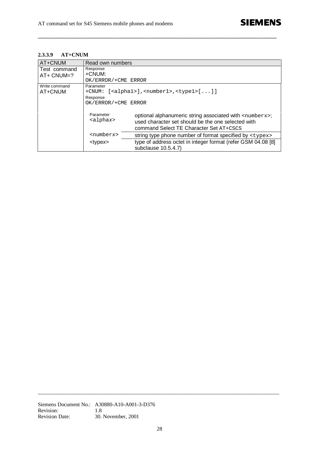#### **2.3.3.9 AT+CNUM**

| AT+CNUM       | Read own numbers               |                                                                                                                                                                      |  |
|---------------|--------------------------------|----------------------------------------------------------------------------------------------------------------------------------------------------------------------|--|
| Test command  | Response                       |                                                                                                                                                                      |  |
| $AT+$ CNUM=?  | +CNUM:                         |                                                                                                                                                                      |  |
|               | OK/ERROR/+CME ERROR            |                                                                                                                                                                      |  |
| Write command | Parameter                      |                                                                                                                                                                      |  |
| AT+CNUM       | $+$ CNUM:                      | $[<\alpha$ lphal>], <numberl>,<typel><math>[]</math></typel></numberl>                                                                                               |  |
|               | Response                       |                                                                                                                                                                      |  |
|               | OK/ERROR/+CME ERROR            |                                                                                                                                                                      |  |
|               | Parameter<br><alphax></alphax> | optional alphanumeric string associated with <numberx>;<br/>used character set should be the one selected with<br/>command Select TE Character Set AT+CSCS</numberx> |  |
|               | <numberx></numberx>            | string type phone number of format specified by <typex></typex>                                                                                                      |  |
|               | <type<i>x&gt;</type<i>         | type of address octet in integer format (refer GSM 04.08 [8]<br>subclause 10.5.4.7)                                                                                  |  |

**\_\_\_\_\_\_\_\_\_\_\_\_\_\_\_\_\_\_\_\_\_\_\_\_\_\_\_\_\_\_\_\_\_\_\_\_\_\_\_\_\_\_\_\_\_\_\_\_\_\_\_\_\_\_\_\_\_\_\_\_\_\_\_\_\_\_\_\_\_\_\_\_\_\_\_\_\_\_\_\_\_\_\_\_\_\_\_\_\_**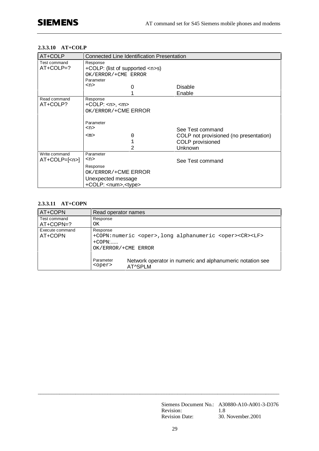#### **2.3.3.10 AT+COLP**

| AT+COLP       | <b>Connected Line Identification Presentation</b> |   |                                        |
|---------------|---------------------------------------------------|---|----------------------------------------|
| Test command  | Response                                          |   |                                        |
| $AT+COLP=?$   | +COLP: (list of supported <n>s)</n>               |   |                                        |
|               | OK/ERROR/+CME ERROR                               |   |                                        |
|               | Parameter                                         |   |                                        |
|               | $<$ n>                                            |   | Disable                                |
|               |                                                   |   | Enable                                 |
| Read command  | Response                                          |   |                                        |
| AT+COLP?      | $+COLP:$ <n>, <m></m></n>                         |   |                                        |
|               | OK/ERROR/+CME ERROR                               |   |                                        |
|               |                                                   |   |                                        |
|               | Parameter                                         |   |                                        |
|               | $<$ n>                                            |   | See Test command                       |
|               | $<$ m $>$                                         | 0 | COLP not provisioned (no presentation) |
|               |                                                   |   | COLP provisioned                       |
|               |                                                   | 2 | Unknown                                |
| Write command | Parameter                                         |   |                                        |
| $AT+COLP=[1]$ | $<$ n>                                            |   | See Test command                       |
|               | Response                                          |   |                                        |
|               | OK/ERROR/+CME ERROR                               |   |                                        |
|               | Unexpected message                                |   |                                        |
|               |                                                   |   |                                        |
|               | +COLP: <num>,<type></type></num>                  |   |                                        |

#### **2.3.3.11 AT+COPN**

| AT+COPN                    | Read operator names                                                           |                                                                                                                                                         |  |
|----------------------------|-------------------------------------------------------------------------------|---------------------------------------------------------------------------------------------------------------------------------------------------------|--|
| Test command<br>AT+COPN=?  | Response<br>OK.                                                               |                                                                                                                                                         |  |
| Execute command<br>AT+COPN | Response<br>$+$ COPN $:$<br>OK/ERROR/+CME ERROR<br>Parameter<br><oper></oper> | +COPN:numeric <oper>,long alphanumeric <oper><cr><lf><br/>Network operator in numeric and alphanumeric notation see<br/>AT^SPLM</lf></cr></oper></oper> |  |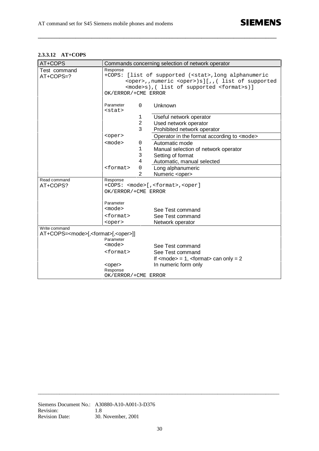#### **2.3.3.12 AT+COPS**

| AT+COPS                                                                  | Commands concerning selection of network operator               |                                                                 |  |
|--------------------------------------------------------------------------|-----------------------------------------------------------------|-----------------------------------------------------------------|--|
| Test command                                                             | Response                                                        |                                                                 |  |
| AT+COPS=?                                                                | +COPS:<br>[list of supported ( <stat>, long alphanumeric</stat> |                                                                 |  |
|                                                                          | <oper>,,numeric <oper>)s][,,( list of supported</oper></oper>   |                                                                 |  |
|                                                                          | <mode>s), ( list of supported <format>s)]</format></mode>       |                                                                 |  |
|                                                                          | OK/ERROR/+CME ERROR                                             |                                                                 |  |
|                                                                          | Parameter<br>0                                                  | Unknown                                                         |  |
|                                                                          | $<$ stat $>$                                                    |                                                                 |  |
|                                                                          | 1                                                               | Useful network operator                                         |  |
|                                                                          | $\overline{a}$                                                  | Used network operator                                           |  |
|                                                                          | 3                                                               | Prohibited network operator                                     |  |
|                                                                          | <oper></oper>                                                   | Operator in the format according to <mode></mode>               |  |
|                                                                          | $mode$<br>0                                                     | Automatic mode                                                  |  |
|                                                                          | 1                                                               | Manual selection of network operator                            |  |
|                                                                          | 3                                                               | Setting of format                                               |  |
|                                                                          | 4                                                               | Automatic, manual selected                                      |  |
|                                                                          | <format><br/>0</format>                                         | Long alphanumeric                                               |  |
|                                                                          | 2                                                               | Numeric <oper></oper>                                           |  |
| Read command                                                             | Response                                                        |                                                                 |  |
| AT+COPS?                                                                 |                                                                 | +COPS: <mode>[,<format>,<oper]< td=""></oper]<></format></mode> |  |
|                                                                          | OK/ERROR/+CME ERROR                                             |                                                                 |  |
|                                                                          | Parameter                                                       |                                                                 |  |
|                                                                          | $mode$                                                          | See Test command                                                |  |
|                                                                          | <format></format>                                               | See Test command                                                |  |
|                                                                          | <oper></oper>                                                   | Network operator                                                |  |
| Write command                                                            |                                                                 |                                                                 |  |
| AT+COPS= <mode>[,<format>[,<oper>]]<br/>Parameter</oper></format></mode> |                                                                 |                                                                 |  |
|                                                                          | $mode$                                                          | See Test command                                                |  |
|                                                                          | <format></format>                                               | See Test command                                                |  |
|                                                                          |                                                                 | If $<$ mode $>$ = 1, $<$ format $>$ can only = 2                |  |
|                                                                          |                                                                 | In numeric form only                                            |  |
|                                                                          | <oper><br/>Response</oper>                                      |                                                                 |  |
|                                                                          | OK/ERROR/+CME ERROR                                             |                                                                 |  |
|                                                                          |                                                                 |                                                                 |  |

**\_\_\_\_\_\_\_\_\_\_\_\_\_\_\_\_\_\_\_\_\_\_\_\_\_\_\_\_\_\_\_\_\_\_\_\_\_\_\_\_\_\_\_\_\_\_\_\_\_\_\_\_\_\_\_\_\_\_\_\_\_\_\_\_\_\_\_\_\_\_\_\_\_\_\_\_\_\_\_\_\_\_\_\_\_\_\_\_\_**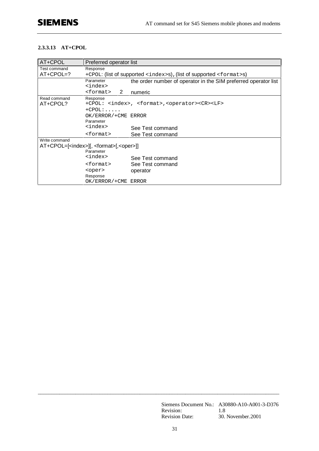#### **2.3.3.13 AT+CPOL**

| AT+CPOL                     | Preferred operator list                                                                           |                                                                                   |  |
|-----------------------------|---------------------------------------------------------------------------------------------------|-----------------------------------------------------------------------------------|--|
| Test command<br>$AT+CPOL=?$ | Response<br>+CPOL: (list of supported <index>s), (list of supported <format>s)</format></index>   |                                                                                   |  |
|                             | Parameter<br><index></index>                                                                      | the order number of operator in the SIM preferred operator list                   |  |
|                             | <format><br/>2</format>                                                                           | numeric                                                                           |  |
| Read command<br>AT+CPOL?    | Response<br>$+$ CPOL: $\ldots$                                                                    | +CPOL: <index>, <format>,<operator><cr><lf></lf></cr></operator></format></index> |  |
|                             | OK/ERROR/+CME ERROR<br>Parameter                                                                  |                                                                                   |  |
|                             | <index></index>                                                                                   | See Test command                                                                  |  |
|                             | <format></format>                                                                                 | See Test command                                                                  |  |
| Write command               | AT+CPOL=[ <index>][, <format>[,<oper>]]<br/>Parameter<br/><index></index></oper></format></index> |                                                                                   |  |
|                             |                                                                                                   | See Test command                                                                  |  |
|                             | <format></format>                                                                                 | See Test command                                                                  |  |
|                             | <oper><br/>Response</oper>                                                                        | operator                                                                          |  |
|                             | OK/ERROR/+CME ERROR                                                                               |                                                                                   |  |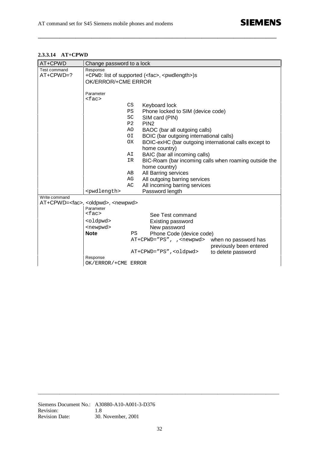#### **2.3.3.14 AT+CPWD**

| BOIC-exHC (bar outgoing international calls except to |
|-------------------------------------------------------|
|                                                       |
| BIC-Roam (bar incoming calls when roaming outside the |
|                                                       |
|                                                       |
|                                                       |
|                                                       |
|                                                       |
|                                                       |
|                                                       |
|                                                       |
|                                                       |
|                                                       |
| previously been entered                               |
|                                                       |
|                                                       |
| when no password has                                  |

**\_\_\_\_\_\_\_\_\_\_\_\_\_\_\_\_\_\_\_\_\_\_\_\_\_\_\_\_\_\_\_\_\_\_\_\_\_\_\_\_\_\_\_\_\_\_\_\_\_\_\_\_\_\_\_\_\_\_\_\_\_\_\_\_\_\_\_\_\_\_\_\_\_\_\_\_\_\_\_\_\_\_\_\_\_\_\_\_\_**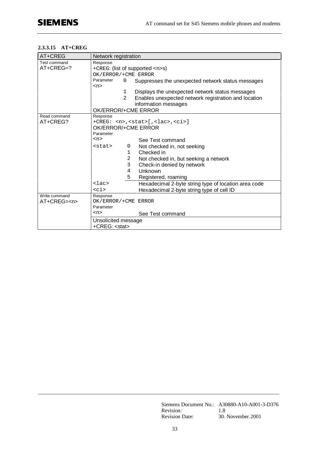#### **2.3.3.15 AT+CREG**

| AT+CREG           | Network registration                                        |                                                      |  |
|-------------------|-------------------------------------------------------------|------------------------------------------------------|--|
| Test command      | Response                                                    |                                                      |  |
| AT+CREG=?         | +CREG: (list of supported <n>s)<br/>OK/ERROR/+CME ERROR</n> |                                                      |  |
|                   |                                                             |                                                      |  |
|                   | Parameter<br>$\Omega$                                       | Suppresses the unexpected network status messages    |  |
|                   | $<$ n $>$                                                   |                                                      |  |
|                   | 1                                                           | Displays the unexpected network status messages      |  |
|                   | 2                                                           | Enables unexpected network registration and location |  |
|                   |                                                             | information messages                                 |  |
|                   | OK/ERROR/+CME ERROR                                         |                                                      |  |
| Read command      | Response                                                    |                                                      |  |
| AT+CREG?          |                                                             | +CREG: <n>,<stat>[,<lac>,<ci>]</ci></lac></stat></n> |  |
|                   | OK/ERROR/+CME ERROR                                         |                                                      |  |
|                   | Parameter<br>$n$                                            |                                                      |  |
|                   |                                                             | See Test command                                     |  |
|                   | <stat><br/>0</stat>                                         | Not checked in, not seeking                          |  |
|                   | 1                                                           | Checked in                                           |  |
|                   | $\overline{2}$                                              | Not checked in, but seeking a network                |  |
|                   | 3                                                           | Check-in denied by network                           |  |
|                   | 4                                                           | Unknown                                              |  |
|                   | 5                                                           | Registered, roaming                                  |  |
|                   | $Lac$                                                       | Hexadecimal 2-byte string type of location area code |  |
|                   | $<$ ci>                                                     | Hexadecimal 2-byte string type of cell ID            |  |
| Write command     | Response                                                    |                                                      |  |
| $AT + CREG = < n$ | OK/ERROR/+CME ERROR                                         |                                                      |  |
|                   | Parameter                                                   |                                                      |  |
|                   | $<$ n>                                                      | See Test command                                     |  |
|                   | Unsolicited message                                         |                                                      |  |
|                   | +CREG: <stat></stat>                                        |                                                      |  |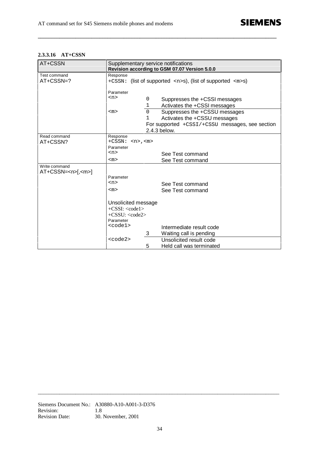#### **2.3.3.16 AT+CSSN**

| AT+CSSN        | Supplementary service notifications |          | Revision according to GSM 07.07 Version 5.0.0                                        |
|----------------|-------------------------------------|----------|--------------------------------------------------------------------------------------|
| Test command   | Response                            |          |                                                                                      |
| AT+CSSN=?      | +CSSN:                              |          | (list of supported $\langle n \rangle$ s), (list of supported $\langle m \rangle$ s) |
|                |                                     |          |                                                                                      |
|                | Parameter                           |          |                                                                                      |
|                | <n></n>                             | 0        | Suppresses the +CSSI messages                                                        |
|                |                                     | 1        | Activates the +CSSI messages                                                         |
|                | <m></m>                             | $\Omega$ | Suppresses the +CSSU messages                                                        |
|                |                                     | 1        | Activates the +CSSU messages                                                         |
|                |                                     |          | For supported +CSSI/+CSSU messages, see section                                      |
|                |                                     |          | 2.4.3 below.                                                                         |
| Read command   | Response                            |          |                                                                                      |
| AT+CSSN?       | +CSSN:<br>$<$ n>, $<$ m>            |          |                                                                                      |
|                | Parameter                           |          |                                                                                      |
|                | $<$ n>                              |          | See Test command                                                                     |
|                | <m></m>                             |          | See Test command                                                                     |
| Write command  |                                     |          |                                                                                      |
| $AT+CSSN=[,]1$ |                                     |          |                                                                                      |
|                | Parameter                           |          |                                                                                      |
|                | $<$ n>                              |          | See Test command                                                                     |
|                | <m></m>                             |          | See Test command                                                                     |
|                |                                     |          |                                                                                      |
|                | Unsolicited message                 |          |                                                                                      |
|                | $+CSSI: code1$                      |          |                                                                                      |
|                | $+CSSU: code2$                      |          |                                                                                      |
|                | Parameter                           |          |                                                                                      |
|                | <code1></code1>                     |          | Intermediate result code                                                             |
|                |                                     | 3        | Waiting call is pending                                                              |
|                | $code2$                             |          | Unsolicited result code                                                              |
|                |                                     | 5        | Held call was terminated                                                             |
|                |                                     |          |                                                                                      |

**\_\_\_\_\_\_\_\_\_\_\_\_\_\_\_\_\_\_\_\_\_\_\_\_\_\_\_\_\_\_\_\_\_\_\_\_\_\_\_\_\_\_\_\_\_\_\_\_\_\_\_\_\_\_\_\_\_\_\_\_\_\_\_\_\_\_\_\_\_\_\_\_\_\_\_\_\_\_\_\_\_\_\_\_\_\_\_\_\_**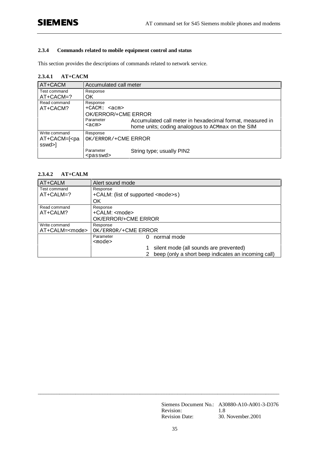#### **2.3.4 Commands related to mobile equipment control and status**

This section provides the descriptions of commands related to network service.

#### **2.3.4.1 AT+CACM**

| AT+CACM                                                          | Accumulated call meter |                                                           |
|------------------------------------------------------------------|------------------------|-----------------------------------------------------------|
| Test command                                                     | Response               |                                                           |
| $AT+CACM=?$                                                      | OK                     |                                                           |
| Read command                                                     | Response               |                                                           |
| AT+CACM?                                                         | $+CACM: $              |                                                           |
|                                                                  | OK/ERROR/+CME ERROR    |                                                           |
|                                                                  | Parameter              | Accumulated call meter in hexadecimal format, measured in |
|                                                                  | <acm></acm>            | home units; coding analogous to ACMmax on the SIM         |
| Write command                                                    | Response               |                                                           |
| AT+CACM=[ <pa< td=""><td>OK/ERROR/+CME ERROR</td><td></td></pa<> | OK/ERROR/+CME ERROR    |                                                           |
| sswd>]                                                           |                        |                                                           |
|                                                                  | Parameter              | String type; usually PIN2                                 |
|                                                                  | <passwd></passwd>      |                                                           |

#### **2.3.4.2 AT+CALM**

| AT+CALM                | Alert sound mode                                    |
|------------------------|-----------------------------------------------------|
| Test command           | Response                                            |
| $AT+CALM=?$            | +CALM: (list of supported <mode>s)</mode>           |
|                        | OK                                                  |
| Read command           | Response                                            |
| AT+CALM?               | +CALM: <mode></mode>                                |
|                        | OK/ERROR/+CME ERROR                                 |
| Write command          | Response                                            |
| AT+CALM= <mode></mode> | OK/ERROR/+CME ERROR                                 |
|                        | Parameter<br>normal mode<br>0                       |
|                        | $mode$                                              |
|                        | silent mode (all sounds are prevented)              |
|                        | beep (only a short beep indicates an incoming call) |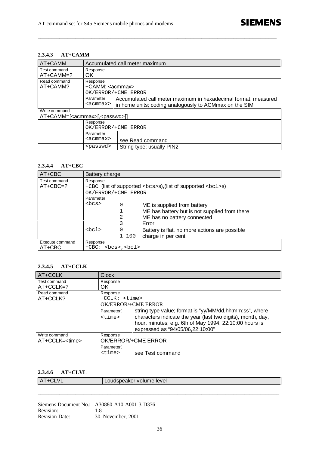#### **2.3.4.3 AT+CAMM**

| AT+CAMM                                          | Accumulated call meter maximum |                                                                |  |
|--------------------------------------------------|--------------------------------|----------------------------------------------------------------|--|
| Test command                                     | Response                       |                                                                |  |
| AT+CAMM=?                                        | OK.                            |                                                                |  |
| Read command                                     | Response                       |                                                                |  |
| AT+CAMM?                                         | +CAMM: <acmmax></acmmax>       |                                                                |  |
|                                                  | OK/ERROR/+CME ERROR            |                                                                |  |
|                                                  | Parameter                      | Accumulated call meter maximum in hexadecimal format, measured |  |
|                                                  | <acmmax></acmmax>              | in home units; coding analogously to ACMmax on the SIM         |  |
| Write command                                    |                                |                                                                |  |
| AT+CAMM=[ <acmmax>[,<passwd>]]</passwd></acmmax> |                                |                                                                |  |
|                                                  | Response                       |                                                                |  |
|                                                  | OK/ERROR/+CME ERROR            |                                                                |  |
|                                                  | Parameter                      |                                                                |  |
|                                                  | <acmmax></acmmax>              | see Read command                                               |  |
|                                                  | <passwd></passwd>              | String type; usually PIN2                                      |  |

**\_\_\_\_\_\_\_\_\_\_\_\_\_\_\_\_\_\_\_\_\_\_\_\_\_\_\_\_\_\_\_\_\_\_\_\_\_\_\_\_\_\_\_\_\_\_\_\_\_\_\_\_\_\_\_\_\_\_\_\_\_\_\_\_\_\_\_\_\_\_\_\_\_\_\_\_\_\_\_\_\_\_\_\_\_\_\_\_\_**

#### **2.3.4.4 AT+CBC**

| AT+CBC                     | Battery charge                                                                                                             |                       |                                                                                                                      |
|----------------------------|----------------------------------------------------------------------------------------------------------------------------|-----------------------|----------------------------------------------------------------------------------------------------------------------|
| Test command<br>$AT+CBC=?$ | Response<br>+CBC: (list of supported <bcs>s), (list of supported <bc1>s)<br/>OK/ERROR/+CME ERROR<br/>Parameter</bc1></bcs> |                       |                                                                                                                      |
|                            | $<$ bcs>                                                                                                                   | 0<br>2                | ME is supplied from battery<br>ME has battery but is not supplied from there<br>ME has no battery connected<br>Error |
|                            | $<$ bcl>                                                                                                                   | $\Omega$<br>$1 - 100$ | Battery is flat, no more actions are possible<br>charge in per cent                                                  |
| Execute command<br>AT+CBC  | Response<br>$+CBC: bcs > bcl >$                                                                                            |                       |                                                                                                                      |

#### **2.3.4.5 AT+CCLK**

| AT+CCLK                | <b>Clock</b>               |                                                                                                                                                                                                                       |
|------------------------|----------------------------|-----------------------------------------------------------------------------------------------------------------------------------------------------------------------------------------------------------------------|
| Test command           | Response                   |                                                                                                                                                                                                                       |
| $AT+CCLK=?$            | OK.                        |                                                                                                                                                                                                                       |
| Read command           | Response                   |                                                                                                                                                                                                                       |
| AT+CCLK?               | $+CCLK: <$ time>           |                                                                                                                                                                                                                       |
|                        | OK/ERROR/+CME ERROR        |                                                                                                                                                                                                                       |
|                        | Parameter:<br>$<$ time $>$ | string type value; format is "yy/MM/dd, hh:mm:ss", where<br>characters indicate the year (last two digits), month, day,<br>hour, minutes; e.g. 6th of May 1994, 22:10:00 hours is<br>expressed as "94/05/06,22:10:00" |
| Write command          | Response                   |                                                                                                                                                                                                                       |
| AT+CCLK= <time></time> |                            | OK/ERROR/+CME ERROR                                                                                                                                                                                                   |
|                        | Parameter:                 |                                                                                                                                                                                                                       |
|                        | <time></time>              | see Test command                                                                                                                                                                                                      |

### **2.3.4.6 AT+CLVL**

|                        | $\Omega$<br>Tevel<br>$\cdots$<br>. . |  |  |
|------------------------|--------------------------------------|--|--|
|                        |                                      |  |  |
| ______________________ |                                      |  |  |

Siemens Document No.: A30880-A10-A001-3-D376 Revision: 1.8 Revision Date: 30. November, 2001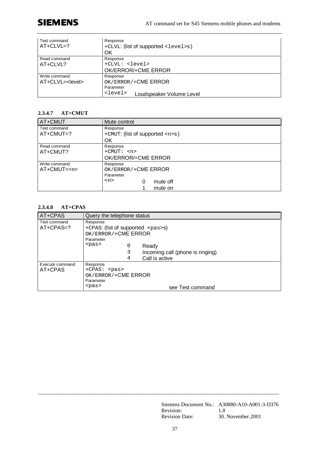# **SIEMENS**

| Test command<br>$AT+CLVL=?$               | Response<br>+CLVL: (list of supported <level>s)<br/>OK</level>                               |
|-------------------------------------------|----------------------------------------------------------------------------------------------|
| Read command<br>AT+CLVL?                  | Response<br>+CLVL: <level><br/>OK/ERROR/+CME ERROR</level>                                   |
| Write command<br>AT+CLVL= <level></level> | Response<br>OK/ERROR/+CME ERROR<br>Parameter<br><level><br/>Loudspeaker Volume Level</level> |

### **2.3.4.7 AT+CMUT**

| AT+CMUT                     | Mute control                                                                       |  |  |
|-----------------------------|------------------------------------------------------------------------------------|--|--|
| Test command<br>$AT+CMUT=?$ | Response<br>+ CMUT: (list of supported $\langle n \rangle$ s)<br>OK                |  |  |
| Read command<br>AT+CMUT?    | Response<br>$+CMUT: 2$<br>OK/ERROR/+CME ERROR                                      |  |  |
| Write command<br>$AT+CMUT=$ | Response<br>OK/ERROR/+CME ERROR<br>Parameter<br>$<$ n><br>mute off<br>0<br>mute on |  |  |

## **2.3.4.8 AT+CPAS**

| AT+CPAS                     | Query the telephone status                                                                                                                                                        |
|-----------------------------|-----------------------------------------------------------------------------------------------------------------------------------------------------------------------------------|
| Test command<br>$AT+CPAS=?$ | Response<br>+CPAS: (list of supported <pas>s)<br/>OK/ERROR/+CME ERROR<br/>Parameter<br/><math>&lt;</math>pas&gt;<br/>0<br/>Ready<br/>Incoming call (phone is ringing)<br/>3</pas> |
|                             | Call is active<br>4                                                                                                                                                               |
| Execute command<br>AT+CPAS  | Response<br>+CPAS: <pas><br/>OK/ERROR/+CME ERROR<br/>Parameter</pas>                                                                                                              |
|                             | $<$ pas><br>see Test command                                                                                                                                                      |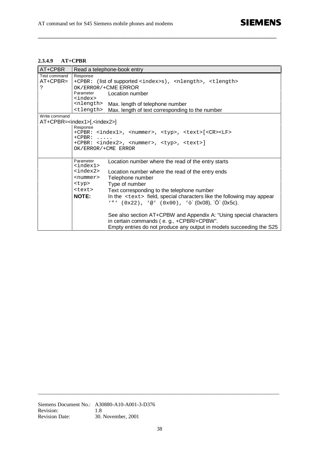#### **2.3.4.9 AT+CPBR**

| AT+CPBR       | Read a telephone-book entry                                                           |                                                                                            |  |  |
|---------------|---------------------------------------------------------------------------------------|--------------------------------------------------------------------------------------------|--|--|
| Test command  | Response                                                                              |                                                                                            |  |  |
| $AT+CPBR=$    | +CPBR: (list of supported <index>s), <nlength>, <tlength></tlength></nlength></index> |                                                                                            |  |  |
| ?             |                                                                                       | OK/ERROR/+CME ERROR                                                                        |  |  |
|               | Parameter                                                                             | Location number                                                                            |  |  |
|               | <index><br/><nlength></nlength></index>                                               |                                                                                            |  |  |
|               | <tlength></tlength>                                                                   | Max. length of telephone number                                                            |  |  |
| Write command |                                                                                       | Max. length of text corresponding to the number                                            |  |  |
|               | AT+CPBR= <index1>[,<index2>]</index2></index1>                                        |                                                                                            |  |  |
|               | Response                                                                              |                                                                                            |  |  |
|               |                                                                                       | +CPBR: <index1>, <nummer>, <typ>, <text>[<cr><lf></lf></cr></text></typ></nummer></index1> |  |  |
|               | $+CPBR:$<br>.                                                                         |                                                                                            |  |  |
|               | +CPBR: <index2>, <nummer>, <typ>, <text>]</text></typ></nummer></index2>              |                                                                                            |  |  |
|               | OK/ERROR/+CME ERROR                                                                   |                                                                                            |  |  |
|               |                                                                                       |                                                                                            |  |  |
|               | Parameter<br><index1></index1>                                                        | Location number where the read of the entry starts                                         |  |  |
|               | <index2></index2>                                                                     | Location number where the read of the entry ends                                           |  |  |
|               | <nummer></nummer>                                                                     | Telephone number                                                                           |  |  |
|               | <typ></typ>                                                                           | Type of number                                                                             |  |  |
|               | <text></text>                                                                         | Text corresponding to the telephone number                                                 |  |  |
|               | <b>NOTE:</b>                                                                          | In the <text> field, special characters like the following may appear</text>               |  |  |
|               |                                                                                       | '"' $(0x22)$ , '@' $(0x00)$ , ' $\delta$ ' $(0x08)$ , ' $\ddot{O}$ ' $(0x5c)$ .            |  |  |
|               |                                                                                       |                                                                                            |  |  |
|               |                                                                                       | See also section AT+CPBW and Appendix A: "Using special characters"                        |  |  |
|               |                                                                                       | in certain commands (e.g., +CPBR/+CPBW".                                                   |  |  |
|               |                                                                                       | Empty entries do not produce any output in models succeeding the S25                       |  |  |

**\_\_\_\_\_\_\_\_\_\_\_\_\_\_\_\_\_\_\_\_\_\_\_\_\_\_\_\_\_\_\_\_\_\_\_\_\_\_\_\_\_\_\_\_\_\_\_\_\_\_\_\_\_\_\_\_\_\_\_\_\_\_\_\_\_\_\_\_\_\_\_\_\_\_\_\_\_\_\_\_\_\_\_\_\_\_\_\_\_**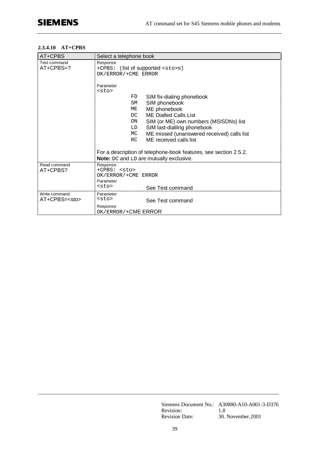### **2.3.4.10 AT+CPBS**

| AT+CPBS                             | Select a telephone book                                                                                                                                                                                                                                                                  |  |  |
|-------------------------------------|------------------------------------------------------------------------------------------------------------------------------------------------------------------------------------------------------------------------------------------------------------------------------------------|--|--|
| Test command<br>$AT+CPBS=?$         | Response<br>+CPBS: (list of supported <sto>s)<br/>OK/ERROR/+CME ERROR</sto>                                                                                                                                                                                                              |  |  |
|                                     | Parameter<br>$<$ sto $>$<br>FD.<br>SIM fix-dialing phonebook<br>SIM phonebook<br>SM<br>ME phonebook<br>МE<br><b>ME Dialled Calls List</b><br>DC<br>SIM (or ME) own numbers (MSISDNs) list<br>ON<br>LD<br>SIM last-dialling phonebook<br>ME missed (unanswered received) calls list<br>МC |  |  |
|                                     | RC<br>ME received calls list<br>For a description of telephone-book features, see section 2.5.2.<br>Note: DC and LD are mutually exclusive.                                                                                                                                              |  |  |
| Read command<br>AT+CPBS?            | Response<br>$+CPBS: sto$<br>OK/ERROR/+CME ERROR<br>Parameter<br>$<$ sto $>$<br>See Test command                                                                                                                                                                                          |  |  |
| Write command<br>$AT+CPBS = < stos$ | Parameter<br>$<$ sto $>$<br>See Test command<br>Response<br>OK/ERROR/+CME ERROR                                                                                                                                                                                                          |  |  |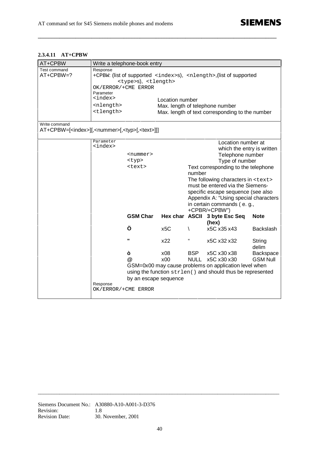## **2.3.4.11 AT+CPBW**

| AT+CPBW                                                                                       | Write a telephone-book entry                                    |                                                     |                       |                           |                                                                                                                                                                                                                                                                                                                                                    |                              |
|-----------------------------------------------------------------------------------------------|-----------------------------------------------------------------|-----------------------------------------------------|-----------------------|---------------------------|----------------------------------------------------------------------------------------------------------------------------------------------------------------------------------------------------------------------------------------------------------------------------------------------------------------------------------------------------|------------------------------|
| Test command<br>AT+CPBW=?                                                                     | Response<br>OK/ERROR/+CME ERROR<br>Parameter<br><index></index> | <type>S), <tlength></tlength></type>                |                       |                           | +CPBW: (list of supported <index>s), <nlength>,(list of supported</nlength></index>                                                                                                                                                                                                                                                                |                              |
|                                                                                               | <nlength><br/><tlength></tlength></nlength>                     |                                                     | Location number       |                           | Max. length of telephone number<br>Max. length of text corresponding to the number                                                                                                                                                                                                                                                                 |                              |
| Write command<br>AT+CPBW=[ <index>][,<nummer>[,<typ>[,<text>]]]</text></typ></nummer></index> |                                                                 |                                                     |                       |                           |                                                                                                                                                                                                                                                                                                                                                    |                              |
|                                                                                               | Parameter<br><index></index>                                    | <nummer><br/><typ><br/><text></text></typ></nummer> |                       | number                    | Location number at<br>which the entry is written<br>Telephone number<br>Type of number<br>Text corresponding to the telephone<br>The following characters in <text><br/>must be entered via the Siemens-<br/>specific escape sequence (see also<br/>Appendix A: "Using special characters<br/>in certain commands (e. g.,<br/>+CPBR/+CPBW")</text> |                              |
|                                                                                               |                                                                 | <b>GSM Char</b>                                     |                       |                           | Hex char ASCII 3 byte Esc Seq<br>(hex)                                                                                                                                                                                                                                                                                                             | <b>Note</b>                  |
|                                                                                               |                                                                 | Ö                                                   | x <sub>5</sub> C      | V                         | x5C x35 x43                                                                                                                                                                                                                                                                                                                                        | <b>Backslash</b>             |
|                                                                                               |                                                                 | Ħ                                                   | x22                   | "                         | x5C x32 x32                                                                                                                                                                                                                                                                                                                                        | String<br>delim              |
|                                                                                               |                                                                 | ò<br>@                                              | x08<br>x00            | <b>BSP</b><br><b>NULL</b> | x5C x30 x38<br>x5C x30 x30<br>GSM=0x00 may cause problems on application level when<br>using the function strlen() and should thus be represented                                                                                                                                                                                                  | Backspace<br><b>GSM Null</b> |
|                                                                                               | Response<br>OK/ERROR/+CME ERROR                                 |                                                     | by an escape sequence |                           |                                                                                                                                                                                                                                                                                                                                                    |                              |

**\_\_\_\_\_\_\_\_\_\_\_\_\_\_\_\_\_\_\_\_\_\_\_\_\_\_\_\_\_\_\_\_\_\_\_\_\_\_\_\_\_\_\_\_\_\_\_\_\_\_\_\_\_\_\_\_\_\_\_\_\_\_\_\_\_\_\_\_\_\_\_\_\_\_\_\_\_\_\_\_\_\_\_\_\_\_\_\_\_**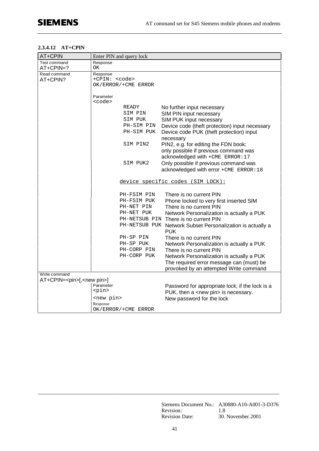### **2.3.4.12 AT+CPIN**

| AT+CPIN                                   |                      | Enter PIN and query lock |                                                                          |
|-------------------------------------------|----------------------|--------------------------|--------------------------------------------------------------------------|
| Test command                              | Response             |                          |                                                                          |
| AT+CPIN=?                                 | ΟK                   |                          |                                                                          |
| Read command                              | Response             |                          |                                                                          |
| AT+CPIN?                                  | +CPIN: <code></code> | OK/ERROR/+CME ERROR      |                                                                          |
|                                           |                      |                          |                                                                          |
|                                           | Parameter            |                          |                                                                          |
|                                           | <code></code>        |                          |                                                                          |
|                                           |                      | READY                    | No further input necessary                                               |
|                                           |                      | SIM PIN                  | SIM PIN input necessary                                                  |
|                                           |                      | SIM PUK                  | SIM PUK input necessary                                                  |
|                                           |                      | PH-SIM PIN               | Device code (theft protection) input necessary                           |
|                                           |                      | PH-SIM PUK               | Device code PUK (theft protection) input                                 |
|                                           |                      | SIM PIN2                 | necessary<br>PIN2, e.g. for editing the FDN book;                        |
|                                           |                      |                          | only possible if previous command was                                    |
|                                           |                      |                          | acknowledged with +CME ERROR: 17                                         |
|                                           |                      | SIM PUK2                 | Only possible if previous command was                                    |
|                                           |                      |                          | acknowledged with error +CME ERROR: 18                                   |
|                                           |                      |                          | device specific codes (SIM LOCK):                                        |
|                                           |                      | PH-FSIM PIN              | There is no current PIN                                                  |
|                                           |                      | PH-FSIM PUK              | Phone locked to very first inserted SIM                                  |
|                                           |                      | PH-NET PIN               | There is no current PIN                                                  |
|                                           |                      | PH-NET PUK               | Network Personalization is actually a PUK                                |
|                                           |                      |                          | PH-NETSUB PIN There is no current PIN                                    |
|                                           |                      |                          | PH-NETSUB PUK Network Subset Personalization is actually a<br><b>PUK</b> |
|                                           |                      | PH-SP PIN                | There is no current PIN                                                  |
|                                           |                      | PH-SP PUK                | Network Personalization is actually a PUK                                |
|                                           |                      | PH-CORP PIN              | There is no current PIN                                                  |
|                                           |                      | PH-CORP PUK              | Network Personalization is actually a PUK                                |
|                                           |                      |                          | The required error message can (must) be                                 |
|                                           |                      |                          | provoked by an attempted Write command                                   |
| Write command                             |                      |                          |                                                                          |
| AT+CPIN= <pin>[,<new pin="">]</new></pin> | Parameter            |                          |                                                                          |
|                                           | <pin></pin>          |                          | Password for appropriate lock; if the lock is a                          |
|                                           | <new pin=""></new>   |                          | PUK, then a <new pin=""> is necessary.</new>                             |
|                                           | Response             |                          | New password for the lock                                                |
|                                           |                      | OK/ERROR/+CME ERROR      |                                                                          |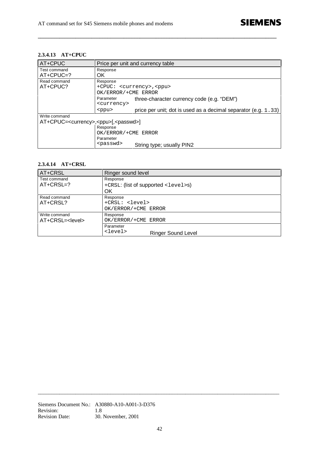# **2.3.4.13 AT+CPUC**

| AT+CPUC                                                        | Price per unit and currency table                                             |
|----------------------------------------------------------------|-------------------------------------------------------------------------------|
| Test command                                                   | Response                                                                      |
| $AT+CPUC=?$                                                    | OK.                                                                           |
| Read command                                                   | Response                                                                      |
| AT+CPUC?                                                       | +CPUC: <currency>, <ppu></ppu></currency>                                     |
|                                                                | OK/ERROR/+CME ERROR                                                           |
|                                                                | Parameter<br>three-character currency code (e.g. "DEM")                       |
|                                                                | <currency></currency>                                                         |
|                                                                | price per unit; dot is used as a decimal separator (e.g. 1.33)<br>$<$ ppu $>$ |
| Write command                                                  |                                                                               |
| AT+CPUC= <currency>,<ppu>[,<passwd>]</passwd></ppu></currency> |                                                                               |
|                                                                | Response                                                                      |
|                                                                | OK/ERROR/+CME ERROR                                                           |
|                                                                | Parameter                                                                     |
|                                                                | <passwd><br/>String type; usually PIN2</passwd>                               |

**\_\_\_\_\_\_\_\_\_\_\_\_\_\_\_\_\_\_\_\_\_\_\_\_\_\_\_\_\_\_\_\_\_\_\_\_\_\_\_\_\_\_\_\_\_\_\_\_\_\_\_\_\_\_\_\_\_\_\_\_\_\_\_\_\_\_\_\_\_\_\_\_\_\_\_\_\_\_\_\_\_\_\_\_\_\_\_\_\_**

## **2.3.4.14 AT+CRSL**

| AT+CRSL                     | Ringer sound level                                      |  |  |
|-----------------------------|---------------------------------------------------------|--|--|
| Test command<br>$AT+CRSL=?$ | Response<br>+CRSL: (list of supported <level>s)</level> |  |  |
|                             | OK                                                      |  |  |
| Read command                | Response                                                |  |  |
| AT+CRSL?                    | +CRSL: <level></level>                                  |  |  |
|                             | OK/ERROR/+CME ERROR                                     |  |  |
| Write command               | Response                                                |  |  |
| AT+CRSL= <level></level>    | OK/ERROR/+CME ERROR                                     |  |  |
|                             | Parameter                                               |  |  |
|                             | <level><br/><b>Ringer Sound Level</b></level>           |  |  |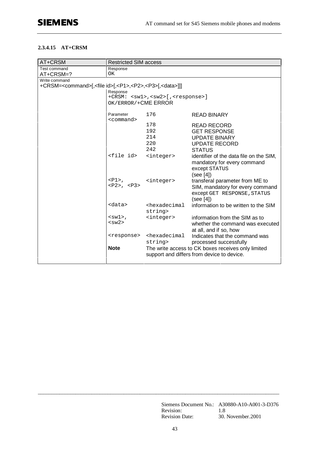## **2.3.4.15 AT+CRSM**

| AT+CRSM                                                                                  | <b>Restricted SIM access</b> |                                                                                  |                                                    |
|------------------------------------------------------------------------------------------|------------------------------|----------------------------------------------------------------------------------|----------------------------------------------------|
| Test command                                                                             | Response                     |                                                                                  |                                                    |
| AT+CRSM=?                                                                                | ОK                           |                                                                                  |                                                    |
| Write command                                                                            |                              |                                                                                  |                                                    |
| +CRSM= <command/> [, <file id="">[,<p1>,<p2>,<p3>[,<data>]]</data></p3></p2></p1></file> |                              |                                                                                  |                                                    |
|                                                                                          | Response                     |                                                                                  |                                                    |
|                                                                                          | OK/ERROR/+CME ERROR          | +CRSM: <sw1>,<sw2>[,<response>]</response></sw2></sw1>                           |                                                    |
|                                                                                          |                              |                                                                                  |                                                    |
|                                                                                          | Parameter<br><command/>      | 176                                                                              | <b>READ BINARY</b>                                 |
|                                                                                          |                              | 178                                                                              | <b>READ RECORD</b>                                 |
|                                                                                          |                              | 192                                                                              | <b>GET RESPONSE</b>                                |
|                                                                                          |                              | 214                                                                              | <b>UPDATE BINARY</b>                               |
|                                                                                          |                              | 220                                                                              | <b>UPDATE RECORD</b>                               |
|                                                                                          |                              | 242                                                                              | <b>STATUS</b>                                      |
|                                                                                          | <file id=""></file>          | <integer></integer>                                                              | identifier of the data file on the SIM,            |
|                                                                                          |                              |                                                                                  | mandatory for every command                        |
|                                                                                          |                              |                                                                                  | except STATUS                                      |
|                                                                                          |                              |                                                                                  | (see [4])                                          |
|                                                                                          | $<$ P $1$ >,                 | <integer></integer>                                                              | transferal parameter from ME to                    |
|                                                                                          | $<$ P2>, $<$ P3>             |                                                                                  | SIM, mandatory for every command                   |
|                                                                                          |                              |                                                                                  | except GET RESPONSE, STATUS                        |
|                                                                                          |                              |                                                                                  | (see [4])                                          |
|                                                                                          | <data></data>                | <hexadecimal< td=""><td>information to be written to the SIM</td></hexadecimal<> | information to be written to the SIM               |
|                                                                                          |                              | string>                                                                          |                                                    |
|                                                                                          | $5$<br><sw2></sw2>           | <integer></integer>                                                              | information from the SIM as to                     |
|                                                                                          |                              |                                                                                  | whether the command was executed                   |
|                                                                                          |                              |                                                                                  | at all, and if so, how                             |
|                                                                                          | <response></response>        | <hexadecimal< td=""><td>Indicates that the command was</td></hexadecimal<>       | Indicates that the command was                     |
|                                                                                          |                              | string>                                                                          | processed successfully                             |
|                                                                                          | <b>Note</b>                  |                                                                                  | The write access to CK boxes receives only limited |
|                                                                                          |                              |                                                                                  | support and differs from device to device.         |
|                                                                                          |                              |                                                                                  |                                                    |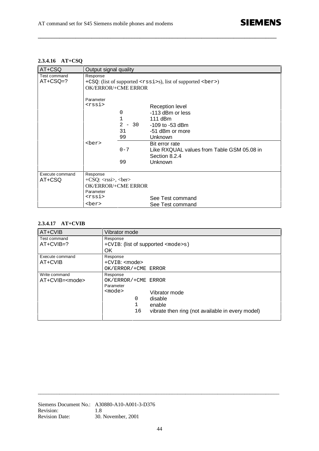**2.3.4.16 AT+CSQ**

| AT+CSQ                     | Output signal quality                                                                                                                              |                                                                                                                                     |  |
|----------------------------|----------------------------------------------------------------------------------------------------------------------------------------------------|-------------------------------------------------------------------------------------------------------------------------------------|--|
| Test command<br>$AT+CSQ=?$ | Response<br>+CSQ: (list of supported <rssi>s), list of supported <br/>ber&gt;)<br/><b>OK/ERROR/+CME ERROR</b></rssi>                               |                                                                                                                                     |  |
|                            | Parameter<br><rssi><br/>0<br/>1<br/><math>\mathfrak{D}</math><br/>31<br/>99<br/><ber></ber></rssi>                                                 | <b>Reception level</b><br>-113 dBm or less<br>$111$ dBm<br>$-30$<br>-109 to -53 dBm<br>-51 dBm or more<br>Unknown<br>Bit error rate |  |
|                            | $0 - 7$<br>99                                                                                                                                      | Like RXQUAL values from Table GSM 05.08 in<br>Section 8.2.4<br>Unknown                                                              |  |
| Execute command<br>AT+CSQ  | Response<br>$+CSQ: \langle\text{rss}\rangle, \langle\text{ber}\rangle$<br><b>OK/ERROR/+CME ERROR</b><br>Parameter<br><rssi><br/><ber></ber></rssi> | See Test command<br>See Test command                                                                                                |  |

**\_\_\_\_\_\_\_\_\_\_\_\_\_\_\_\_\_\_\_\_\_\_\_\_\_\_\_\_\_\_\_\_\_\_\_\_\_\_\_\_\_\_\_\_\_\_\_\_\_\_\_\_\_\_\_\_\_\_\_\_\_\_\_\_\_\_\_\_\_\_\_\_\_\_\_\_\_\_\_\_\_\_\_\_\_\_\_\_\_**

# **2.3.4.17 AT+CVIB**

| AT+CVIB                                 | Vibrator mode                                                                                                                                                    |  |  |
|-----------------------------------------|------------------------------------------------------------------------------------------------------------------------------------------------------------------|--|--|
| Test command<br>$AT+CVIB=?$             | Response<br>+CVIB: (list of supported <mode>s)<br/>OK.</mode>                                                                                                    |  |  |
| Execute command<br>AT+CVIB              | Response<br>$+$ CVIB: $\leq$ mode $>$<br>OK/ERROR/+CME ERROR                                                                                                     |  |  |
| Write command<br>AT+CVIB= <mode></mode> | Response<br>OK/ERROR/+CME ERROR<br>Parameter<br>$mode$<br>Vibrator mode<br>0<br>disable<br>1<br>enable<br>16<br>vibrate then ring (not available in every model) |  |  |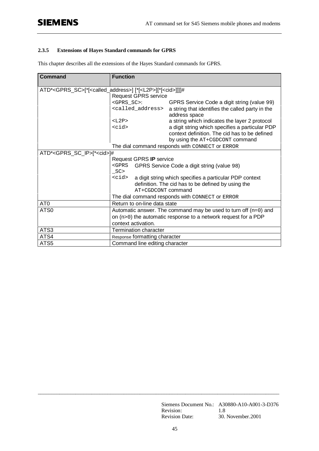## **2.3.5 Extensions of Hayes Standard commands for GPRS**

This chapter describes all the extensions of the Hayes Standard commands for GPRS.

| <b>Command</b>                                                                                   | <b>Function</b>                                                                                                                |                                                                                                  |  |  |
|--------------------------------------------------------------------------------------------------|--------------------------------------------------------------------------------------------------------------------------------|--------------------------------------------------------------------------------------------------|--|--|
| ATD* <gprs_sc>[*[<called_address>] [*[<l2p>][*[<cid>]]]]#</cid></l2p></called_address></gprs_sc> |                                                                                                                                |                                                                                                  |  |  |
|                                                                                                  | <b>Request GPRS service</b>                                                                                                    |                                                                                                  |  |  |
|                                                                                                  | <gprs_sc>:</gprs_sc>                                                                                                           | GPRS Service Code a digit string (value 99)                                                      |  |  |
|                                                                                                  | <called_address></called_address>                                                                                              | a string that identifies the called party in the<br>address space                                |  |  |
|                                                                                                  | $<$ $L2P$ >                                                                                                                    | a string which indicates the layer 2 protocol                                                    |  |  |
|                                                                                                  | $<$ $cids$                                                                                                                     | a digit string which specifies a particular PDP<br>context definition. The cid has to be defined |  |  |
|                                                                                                  |                                                                                                                                | by using the AT+CGDCONT command                                                                  |  |  |
|                                                                                                  |                                                                                                                                | The dial command responds with CONNECT or ERROR                                                  |  |  |
| ATD* <gprs_sc_ip>[*<cid>]#</cid></gprs_sc_ip>                                                    |                                                                                                                                |                                                                                                  |  |  |
|                                                                                                  | Request GPRS IP service                                                                                                        |                                                                                                  |  |  |
|                                                                                                  | $<$ GPRS<br>GPRS Service Code a digit string (value 98)                                                                        |                                                                                                  |  |  |
|                                                                                                  | $\_SC$                                                                                                                         |                                                                                                  |  |  |
|                                                                                                  | <cid><br/>a digit string which specifies a particular PDP context<br/>definition. The cid has to be defined by using the</cid> |                                                                                                  |  |  |
|                                                                                                  | AT+CGDCONT command                                                                                                             |                                                                                                  |  |  |
|                                                                                                  |                                                                                                                                | The dial command responds with CONNECT or ERROR                                                  |  |  |
| AT <sub>0</sub>                                                                                  | Return to on-line data state                                                                                                   |                                                                                                  |  |  |
| ATS0                                                                                             | Automatic answer. The command may be used to turn off $(n=0)$ and                                                              |                                                                                                  |  |  |
|                                                                                                  | on (n>0) the automatic response to a network request for a PDP                                                                 |                                                                                                  |  |  |
|                                                                                                  | context activation.                                                                                                            |                                                                                                  |  |  |
| ATS3                                                                                             | <b>Termination character</b>                                                                                                   |                                                                                                  |  |  |
| ATS4                                                                                             | Response formatting character                                                                                                  |                                                                                                  |  |  |
| ATS5                                                                                             | Command line editing character                                                                                                 |                                                                                                  |  |  |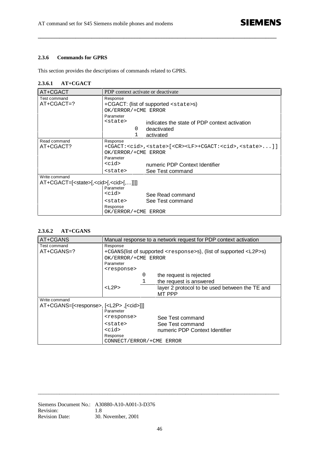#### **2.3.6 Commands for GPRS**

This section provides the descriptions of commands related to GPRS.

#### **2.3.6.1 AT+CGACT**

| AT+CGACT                                                  | PDP context activate or deactivate            |                                                                                            |  |  |
|-----------------------------------------------------------|-----------------------------------------------|--------------------------------------------------------------------------------------------|--|--|
| Test command                                              | Response                                      |                                                                                            |  |  |
| $AT+CGACT=?$                                              |                                               | +CGACT: (list of supported <state>s)</state>                                               |  |  |
|                                                           | OK/ERROR/+CME ERROR                           |                                                                                            |  |  |
|                                                           | Parameter                                     |                                                                                            |  |  |
|                                                           | <state></state>                               | indicates the state of PDP context activation                                              |  |  |
|                                                           | 0                                             | deactivated                                                                                |  |  |
|                                                           | 1                                             | activated                                                                                  |  |  |
| Read command                                              | Response                                      |                                                                                            |  |  |
| AT+CGACT?                                                 |                                               | +CGACT: <cid>,<state>[<cr><lf>+CGACT:<cid>,<state>]]</state></cid></lf></cr></state></cid> |  |  |
|                                                           | OK/ERROR/+CME ERROR                           |                                                                                            |  |  |
|                                                           | Parameter                                     |                                                                                            |  |  |
|                                                           | $<$ cid $>$<br>numeric PDP Context Identifier |                                                                                            |  |  |
|                                                           | <state></state>                               | See Test command                                                                           |  |  |
| Write command                                             |                                               |                                                                                            |  |  |
| AT+CGACT=[ <state>[,<cid>[,<cid>[,]]]</cid></cid></state> |                                               |                                                                                            |  |  |
|                                                           | Parameter                                     |                                                                                            |  |  |
|                                                           | <cid><br/>See Read command</cid>              |                                                                                            |  |  |
|                                                           | <state></state>                               | See Test command                                                                           |  |  |
|                                                           | Response                                      |                                                                                            |  |  |
|                                                           | OK/ERROR/+CME ERROR                           |                                                                                            |  |  |

**\_\_\_\_\_\_\_\_\_\_\_\_\_\_\_\_\_\_\_\_\_\_\_\_\_\_\_\_\_\_\_\_\_\_\_\_\_\_\_\_\_\_\_\_\_\_\_\_\_\_\_\_\_\_\_\_\_\_\_\_\_\_\_\_\_\_\_\_\_\_\_\_\_\_\_\_\_\_\_\_\_\_\_\_\_\_\_\_\_**

### **2.3.6.2 AT+CGANS**

| AT+CGANS                                                                                       | Manual response to a network request for PDP context activation                                                                                                |                                                                        |  |  |
|------------------------------------------------------------------------------------------------|----------------------------------------------------------------------------------------------------------------------------------------------------------------|------------------------------------------------------------------------|--|--|
| Test command<br>$AT+CGANS=?$                                                                   | Response<br>+CGANS(list of supported <response>s), (list of supported <l2p>s)<br/>OK/ERROR/+CME ERROR<br/>Parameter<br/><response></response></l2p></response> |                                                                        |  |  |
|                                                                                                | 0<br>1                                                                                                                                                         | the request is rejected<br>the request is answered                     |  |  |
|                                                                                                | $<$ $L2P$ ><br>layer 2 protocol to be used between the TE and<br>MT PPP                                                                                        |                                                                        |  |  |
| Write command<br>AT+CGANS=[ <response>, [<l2p>, [<cid>]]]<br/>Parameter</cid></l2p></response> |                                                                                                                                                                |                                                                        |  |  |
|                                                                                                | <response><br/><state><br/><cid><br/>Response<br/>CONNECT/ERROR/+CME ERROR</cid></state></response>                                                            | See Test command<br>See Test command<br>numeric PDP Context Identifier |  |  |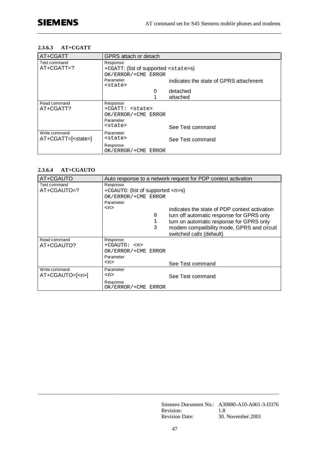#### **2.3.6.3 AT+CGATT**

| AT+CGATT                    | GPRS attach or detach                        |                                        |  |  |
|-----------------------------|----------------------------------------------|----------------------------------------|--|--|
| Test command                | Response                                     |                                        |  |  |
| $AT+CGATT=?$                | +CGATT: (list of supported <state>s)</state> |                                        |  |  |
|                             | OK/ERROR/+CME ERROR                          |                                        |  |  |
|                             | Parameter                                    | indicates the state of GPRS attachment |  |  |
|                             | <state></state>                              |                                        |  |  |
|                             | 0                                            | detached                               |  |  |
|                             |                                              | attached                               |  |  |
| Read command                | Response                                     |                                        |  |  |
| AT+CGATT?                   | +CGATT: <state></state>                      |                                        |  |  |
|                             | OK/ERROR/+CME ERROR                          |                                        |  |  |
|                             | Parameter                                    |                                        |  |  |
|                             | <state></state>                              | See Test command                       |  |  |
| Write command               | Parameter                                    |                                        |  |  |
| AT+CGATT=[ <state>]</state> | <state></state>                              | See Test command                       |  |  |
|                             | Response                                     |                                        |  |  |
|                             | OK/ERROR/+CME ERROR                          |                                        |  |  |

#### **2.3.6.4 AT+CGAUTO**

| AT+CGAUTO                        |                                                                                                                        | Auto response to a network request for PDP context activation                                                                                                                        |
|----------------------------------|------------------------------------------------------------------------------------------------------------------------|--------------------------------------------------------------------------------------------------------------------------------------------------------------------------------------|
| Test command<br>AT+CGAUTO=?      | Response<br>+CGAUTO: (list of supported $\langle n \rangle$ s)<br>OK/ERROR/+CME ERROR<br>Parameter<br>$<$ n><br>0<br>3 | indicates the state of PDP context activation<br>turn off automatic response for GPRS only<br>turn on automatic response for GPRS only<br>modem compatibility mode, GPRS and circuit |
| Read command<br>AT+CGAUTO?       | Response<br>$+CGAUTO: $<br>OK/ERROR/+CME ERROR<br>Parameter                                                            | switched calls (default)                                                                                                                                                             |
|                                  | $<$ n>                                                                                                                 | See Test command                                                                                                                                                                     |
| Write command<br>$AT+CGAUTO=[2]$ | Parameter<br>$<$ n><br>Response<br>OK/ERROR/+CME ERROR                                                                 | See Test command                                                                                                                                                                     |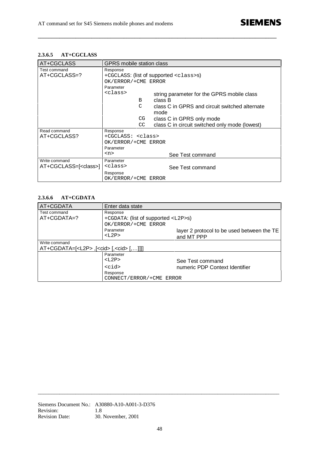# **2.3.6.5 AT+CGCLASS**

| AT+CGCLASS                    | GPRS mobile station class |                                                |  |  |  |
|-------------------------------|---------------------------|------------------------------------------------|--|--|--|
| Test command                  | Response                  |                                                |  |  |  |
| AT+CGCLASS=?                  |                           | +CGCLASS: (list of supported <class>s)</class> |  |  |  |
|                               | OK/ERROR/+CME ERROR       |                                                |  |  |  |
|                               | Parameter                 |                                                |  |  |  |
|                               | <class></class>           | string parameter for the GPRS mobile class     |  |  |  |
|                               | B                         | class B                                        |  |  |  |
|                               | C                         | class C in GPRS and circuit switched alternate |  |  |  |
|                               | mode                      |                                                |  |  |  |
|                               | CG                        | class C in GPRS only mode                      |  |  |  |
|                               | CC                        | class C in circuit switched only mode (lowest) |  |  |  |
| Read command                  | Response                  |                                                |  |  |  |
| AT+CGCLASS?                   | +CGCLASS: <class></class> |                                                |  |  |  |
|                               | OK/ERROR/+CME ERROR       |                                                |  |  |  |
|                               | Parameter                 |                                                |  |  |  |
|                               | <n></n>                   | See Test command                               |  |  |  |
| Write command                 | Parameter                 |                                                |  |  |  |
| AT+CGCLASS=[ <class>]</class> | <class></class>           | See Test command                               |  |  |  |
|                               | Response                  |                                                |  |  |  |
|                               | OK/ERROR/+CME ERROR       |                                                |  |  |  |

**\_\_\_\_\_\_\_\_\_\_\_\_\_\_\_\_\_\_\_\_\_\_\_\_\_\_\_\_\_\_\_\_\_\_\_\_\_\_\_\_\_\_\_\_\_\_\_\_\_\_\_\_\_\_\_\_\_\_\_\_\_\_\_\_\_\_\_\_\_\_\_\_\_\_\_\_\_\_\_\_\_\_\_\_\_\_\_\_\_**

# **2.3.6.6 AT+CGDATA**

| AT+CGDATA                                              | Enter data state                          |                                            |  |  |
|--------------------------------------------------------|-------------------------------------------|--------------------------------------------|--|--|
| Test command                                           | Response                                  |                                            |  |  |
| $AT+CGDATA=?$                                          | +CGDATA: (list of supported <l2p>s)</l2p> |                                            |  |  |
|                                                        | OK/ERROR/+CME ERROR                       |                                            |  |  |
|                                                        | Parameter                                 | layer 2 protocol to be used between the TE |  |  |
|                                                        | $<$ $L2P$ >                               | and MT PPP                                 |  |  |
| Write command                                          |                                           |                                            |  |  |
| AT+CGDATA=[ <l2p>,[<cid>[,<cid>[,]]]</cid></cid></l2p> |                                           |                                            |  |  |
|                                                        | Parameter                                 |                                            |  |  |
|                                                        | $T.2P>$                                   | See Test command                           |  |  |
|                                                        | $<$ cid $>$                               | numeric PDP Context Identifier             |  |  |
|                                                        | Response                                  |                                            |  |  |
|                                                        | CONNECT/ERROR/+CME ERROR                  |                                            |  |  |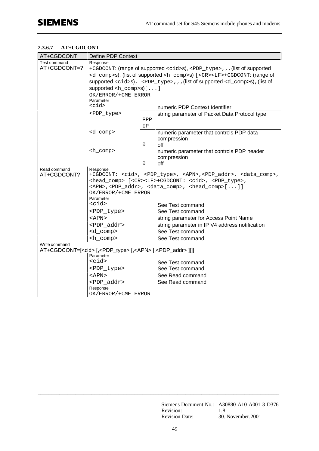# **2.3.6.7 AT+CGDCONT**

| AT+CGDCONT                                                                                  | Define PDP Context                                                                                        |             |                                                                                                  |  |
|---------------------------------------------------------------------------------------------|-----------------------------------------------------------------------------------------------------------|-------------|--------------------------------------------------------------------------------------------------|--|
| Test command                                                                                | Response                                                                                                  |             |                                                                                                  |  |
| AT+CGDCONT=?                                                                                | +CGDCONT: (range of supported <cid>s), <pdp_type>,, , (list of supported</pdp_type></cid>                 |             |                                                                                                  |  |
|                                                                                             | <d_comp>s), (list of supported <h_comp>s) [<cr><lf>+CGDCONT: (range of</lf></cr></h_comp></d_comp>        |             |                                                                                                  |  |
|                                                                                             |                                                                                                           |             | supported <cid>s), <pdp_type>,,,(list of supported <d_comp>s),(list of</d_comp></pdp_type></cid> |  |
|                                                                                             | supported $\langle h_{\text{1}} \text{comp} \rangle$ s) [ ]                                               |             |                                                                                                  |  |
|                                                                                             | OK/ERROR/+CME ERROR                                                                                       |             |                                                                                                  |  |
|                                                                                             | Parameter<br>$<$ cid $>$                                                                                  |             |                                                                                                  |  |
|                                                                                             |                                                                                                           |             | numeric PDP Context Identifier                                                                   |  |
|                                                                                             | <pdp_type></pdp_type>                                                                                     |             | string parameter of Packet Data Protocol type                                                    |  |
|                                                                                             |                                                                                                           | PPP         |                                                                                                  |  |
|                                                                                             |                                                                                                           | IP          |                                                                                                  |  |
|                                                                                             | <d_comp></d_comp>                                                                                         |             | numeric parameter that controls PDP data                                                         |  |
|                                                                                             |                                                                                                           | 0           | compression<br>off                                                                               |  |
|                                                                                             | $\text{ch}_\text{comp}$                                                                                   |             | numeric parameter that controls PDP header                                                       |  |
|                                                                                             |                                                                                                           | compression |                                                                                                  |  |
|                                                                                             |                                                                                                           | 0           | off                                                                                              |  |
| Read command                                                                                | Response                                                                                                  |             |                                                                                                  |  |
| AT+CGDCONT?                                                                                 | +CGDCONT: <cid>, <pdp_type>, <apn>,<pdp_addr>, <data_comp>,</data_comp></pdp_addr></apn></pdp_type></cid> |             |                                                                                                  |  |
|                                                                                             | <head_comp> [<cr><lf>+CGDCONT: <cid>, <pdp_type>,</pdp_type></cid></lf></cr></head_comp>                  |             |                                                                                                  |  |
|                                                                                             | <apn>,<pdp_addr>, <data_comp>, <head_comp>[]]</head_comp></data_comp></pdp_addr></apn>                    |             |                                                                                                  |  |
|                                                                                             | OK/ERROR/+CME ERROR<br>Parameter                                                                          |             |                                                                                                  |  |
|                                                                                             | $<$ cid $>$                                                                                               |             | See Test command                                                                                 |  |
|                                                                                             | <pdp_type></pdp_type>                                                                                     |             | See Test command                                                                                 |  |
|                                                                                             | <apn></apn>                                                                                               |             | string parameter for Access Point Name                                                           |  |
|                                                                                             | <pdp_addr></pdp_addr>                                                                                     |             | string parameter in IP V4 address notification                                                   |  |
|                                                                                             | <d_comp></d_comp>                                                                                         |             | See Test command                                                                                 |  |
|                                                                                             | <h_comp></h_comp>                                                                                         |             | See Test command                                                                                 |  |
| Write command                                                                               |                                                                                                           |             |                                                                                                  |  |
| AT+CGDCONT=[ <cid> [,<pdp_type> [,<apn> [,<pdp_addr> ]]]]</pdp_addr></apn></pdp_type></cid> |                                                                                                           |             |                                                                                                  |  |
|                                                                                             | Parameter                                                                                                 |             |                                                                                                  |  |
|                                                                                             | $<$ cid $>$                                                                                               |             | See Test command                                                                                 |  |
|                                                                                             | <pdp_type></pdp_type>                                                                                     |             | See Test command                                                                                 |  |
|                                                                                             | <apn></apn>                                                                                               |             | See Read command                                                                                 |  |
|                                                                                             | <pdp addr=""></pdp>                                                                                       |             | See Read command                                                                                 |  |
|                                                                                             | Response                                                                                                  |             |                                                                                                  |  |
|                                                                                             | OK/ERROR/+CME ERROR                                                                                       |             |                                                                                                  |  |

Siemens Document No.: A30880-A10-A001-3-D376 Revision: 1.8 Revision Date: 30. November.2001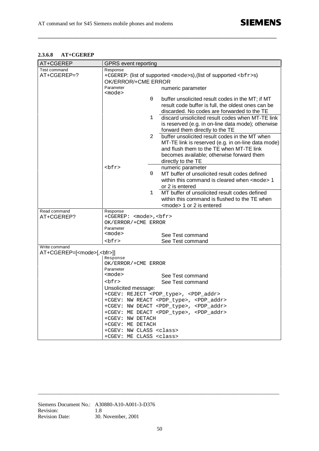# **2.3.6.8 AT+CGEREP**

| AT+CGEREP                                | <b>GPRS</b> event reporting                                                   |              |                                                              |
|------------------------------------------|-------------------------------------------------------------------------------|--------------|--------------------------------------------------------------|
| Test command                             | Response                                                                      |              |                                                              |
| AT+CGEREP=?                              | +CGEREP: (list of supported <mode>s), (list of supported <bfr>s)</bfr></mode> |              |                                                              |
|                                          | OK/ERROR/+CME ERROR                                                           |              |                                                              |
|                                          | Parameter                                                                     |              | numeric parameter                                            |
|                                          | <mode></mode>                                                                 |              |                                                              |
|                                          |                                                                               | 0            | buffer unsolicited result codes in the MT; if MT             |
|                                          |                                                                               |              | result code buffer is full, the oldest ones can be           |
|                                          |                                                                               |              | discarded. No codes are forwarded to the TE                  |
|                                          |                                                                               | $\mathbf{1}$ | discard unsolicited result codes when MT-TE link             |
|                                          |                                                                               |              | is reserved (e.g. in on-line data mode); otherwise           |
|                                          |                                                                               |              | forward them directly to the TE                              |
|                                          |                                                                               | 2            | buffer unsolicited result codes in the MT when               |
|                                          |                                                                               |              | MT-TE link is reserved (e.g. in on-line data mode)           |
|                                          |                                                                               |              | and flush them to the TE when MT-TE link                     |
|                                          |                                                                               |              |                                                              |
|                                          |                                                                               |              | becomes available; otherwise forward them                    |
|                                          | ${\rm bfrz}$                                                                  |              | directly to the TE                                           |
|                                          |                                                                               |              | numeric parameter                                            |
|                                          |                                                                               | 0            | MT buffer of unsolicited result codes defined                |
|                                          |                                                                               |              | within this command is cleared when <mode> 1</mode>          |
|                                          |                                                                               |              | or 2 is entered                                              |
|                                          |                                                                               | $\mathbf{1}$ | MT buffer of unsolicited result codes defined                |
|                                          |                                                                               |              | within this command is flushed to the TE when                |
|                                          |                                                                               |              | <mode> 1 or 2 is entered</mode>                              |
| Read command                             | Response                                                                      |              |                                                              |
| AT+CGEREP?                               | +CGEREP: <mode>, <bfr></bfr></mode>                                           |              |                                                              |
|                                          | OK/ERROR/+CME ERROR                                                           |              |                                                              |
|                                          | Parameter<br><mode></mode>                                                    |              |                                                              |
|                                          |                                                                               |              | See Test command                                             |
|                                          | ${\rm bfrz}$                                                                  |              | See Test command                                             |
| Write command                            |                                                                               |              |                                                              |
| AT+CGEREP=[ <mode>[,<bfr>]]</bfr></mode> |                                                                               |              |                                                              |
|                                          | Response<br>OK/ERROR/+CME ERROR                                               |              |                                                              |
|                                          | Parameter                                                                     |              |                                                              |
|                                          | <mode></mode>                                                                 |              | See Test command                                             |
|                                          | ${\rm bfrz}$                                                                  |              | See Test command                                             |
|                                          |                                                                               |              |                                                              |
|                                          | Unsolicited message:                                                          |              | +CGEV: REJECT <pdp_type>, <pdp_addr></pdp_addr></pdp_type>   |
|                                          |                                                                               |              | +CGEV: NW REACT <pdp_type>, <pdp_addr></pdp_addr></pdp_type> |
|                                          |                                                                               |              | +CGEV: NW DEACT <pdp_type>, <pdp_addr></pdp_addr></pdp_type> |
|                                          |                                                                               |              | +CGEV: ME DEACT <pdp_type>, <pdp_addr></pdp_addr></pdp_type> |
|                                          | +CGEV: NW DETACH                                                              |              |                                                              |
|                                          | +CGEV: ME DETACH                                                              |              |                                                              |
|                                          | +CGEV: NW CLASS <class></class>                                               |              |                                                              |
|                                          | +CGEV: ME CLASS <class></class>                                               |              |                                                              |
|                                          |                                                                               |              |                                                              |

**\_\_\_\_\_\_\_\_\_\_\_\_\_\_\_\_\_\_\_\_\_\_\_\_\_\_\_\_\_\_\_\_\_\_\_\_\_\_\_\_\_\_\_\_\_\_\_\_\_\_\_\_\_\_\_\_\_\_\_\_\_\_\_\_\_\_\_\_\_\_\_\_\_\_\_\_\_\_\_\_\_\_\_\_\_\_\_\_\_**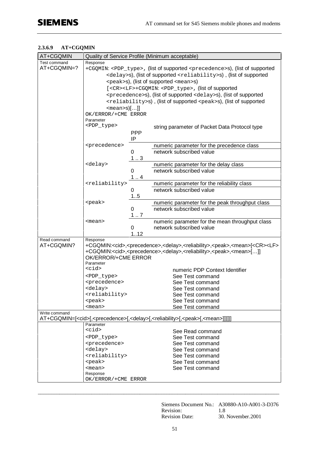#### **2.3.6.9 AT+CGQMIN**

| AT+CGQMIN     | Quality of Service Profile (Minimum acceptable)                                                    |            |                                                                                                                                           |  |  |
|---------------|----------------------------------------------------------------------------------------------------|------------|-------------------------------------------------------------------------------------------------------------------------------------------|--|--|
| Test command  | Response                                                                                           |            |                                                                                                                                           |  |  |
| AT+CGQMIN=?   | +CGQMIN: <pdp_type>, (list of supported <precedence>s), (list of supported</precedence></pdp_type> |            |                                                                                                                                           |  |  |
|               | <delay>s), (list of supported <reliability>s), (list of supported</reliability></delay>            |            |                                                                                                                                           |  |  |
|               | <peak>s), (list of supported <mean>s)</mean></peak>                                                |            |                                                                                                                                           |  |  |
|               | [ <cr><lf>+CGQMIN: <pdp_type>, (list of supported</pdp_type></lf></cr>                             |            |                                                                                                                                           |  |  |
|               |                                                                                                    |            | <precedence>s), (list of supported <delay>s), (list of supported</delay></precedence>                                                     |  |  |
|               |                                                                                                    |            | <reliability>s), (list of supported <peak>s), (list of supported</peak></reliability>                                                     |  |  |
|               | $<$ mean>s $[]$                                                                                    |            |                                                                                                                                           |  |  |
|               | OK/ERROR/+CME ERROR                                                                                |            |                                                                                                                                           |  |  |
|               | Parameter                                                                                          |            |                                                                                                                                           |  |  |
|               | <pdp_type></pdp_type>                                                                              |            | string parameter of Packet Data Protocol type                                                                                             |  |  |
|               |                                                                                                    | <b>PPP</b> |                                                                                                                                           |  |  |
|               |                                                                                                    | IP         |                                                                                                                                           |  |  |
|               | <precedence></precedence>                                                                          |            | numeric parameter for the precedence class                                                                                                |  |  |
|               |                                                                                                    | 0          | network subscribed value                                                                                                                  |  |  |
|               |                                                                                                    | 13         |                                                                                                                                           |  |  |
|               | <delay></delay>                                                                                    |            | numeric parameter for the delay class                                                                                                     |  |  |
|               |                                                                                                    | 0          | network subscribed value                                                                                                                  |  |  |
|               |                                                                                                    | 1.4        |                                                                                                                                           |  |  |
|               | <reliability></reliability>                                                                        |            | numeric parameter for the reliability class                                                                                               |  |  |
|               |                                                                                                    | 0          | network subscribed value                                                                                                                  |  |  |
|               |                                                                                                    | 15         |                                                                                                                                           |  |  |
|               | <peak></peak>                                                                                      |            | numeric parameter for the peak throughput class                                                                                           |  |  |
|               |                                                                                                    | 0          | network subscribed value                                                                                                                  |  |  |
|               |                                                                                                    | 17         |                                                                                                                                           |  |  |
|               | <mean></mean>                                                                                      |            | numeric parameter for the mean throughput class                                                                                           |  |  |
|               |                                                                                                    | 0          | network subscribed value                                                                                                                  |  |  |
|               |                                                                                                    | 1.12       |                                                                                                                                           |  |  |
| Read command  | Response                                                                                           |            |                                                                                                                                           |  |  |
| AT+CGQMIN?    |                                                                                                    |            | +CGQMIN: <cid>,<precedence>,<delay>,<reliability>,<peak>,<mean>[<cr><lf></lf></cr></mean></peak></reliability></delay></precedence></cid> |  |  |
|               | OK/ERROR/+CME ERROR                                                                                |            | +CGQMIN: <cid>,<precedence>,<delay>,<reliability>,<peak>,<mean>[]]</mean></peak></reliability></delay></precedence></cid>                 |  |  |
|               | Parameter                                                                                          |            |                                                                                                                                           |  |  |
|               | $<$ cid $>$                                                                                        |            | numeric PDP Context Identifier                                                                                                            |  |  |
|               | <pdp_type></pdp_type>                                                                              |            | See Test command                                                                                                                          |  |  |
|               | <precedence></precedence>                                                                          |            | See Test command                                                                                                                          |  |  |
|               | <delay></delay>                                                                                    |            | See Test command                                                                                                                          |  |  |
|               | <reliability></reliability>                                                                        |            | See Test command                                                                                                                          |  |  |
|               | <peak></peak>                                                                                      |            | See Test command                                                                                                                          |  |  |
|               | <mean></mean>                                                                                      |            | See Test command                                                                                                                          |  |  |
| Write command |                                                                                                    |            |                                                                                                                                           |  |  |
|               |                                                                                                    |            | AT+CGQMIN=[ <cid>[,<precedence>[,<delay>[,<reliability>[,<peak>[,<mean>]]]]]]</mean></peak></reliability></delay></precedence></cid>      |  |  |
|               | Parameter                                                                                          |            |                                                                                                                                           |  |  |
|               | $<$ cid $>$                                                                                        |            | See Read command                                                                                                                          |  |  |
|               | <pdp_type></pdp_type>                                                                              |            | See Test command                                                                                                                          |  |  |
|               | <precedence></precedence>                                                                          |            | See Test command                                                                                                                          |  |  |
|               | <delay></delay>                                                                                    |            | See Test command                                                                                                                          |  |  |
|               | <reliability></reliability>                                                                        |            | See Test command                                                                                                                          |  |  |
|               | <peak></peak>                                                                                      |            | See Test command                                                                                                                          |  |  |
|               | <mean></mean>                                                                                      |            | See Test command                                                                                                                          |  |  |
|               | Response                                                                                           |            |                                                                                                                                           |  |  |
|               | OK/ERROR/+CME ERROR                                                                                |            |                                                                                                                                           |  |  |

Siemens Document No.: A30880-A10-A001-3-D376 Revision: 1.8 Revision Date: 30. November.2001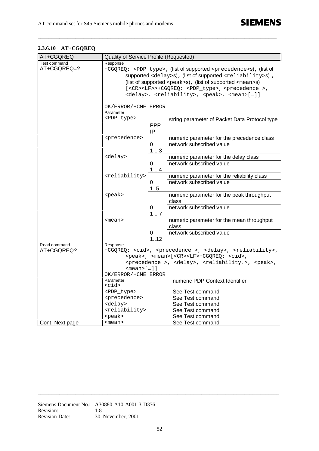| 2.3.6.10 | AT+CGQREQ |
|----------|-----------|
|----------|-----------|

| AT+CGQREQ       | Quality of Service Profile (Requested)                                                   |                                                                                    |                                                                                                |  |  |  |  |
|-----------------|------------------------------------------------------------------------------------------|------------------------------------------------------------------------------------|------------------------------------------------------------------------------------------------|--|--|--|--|
| Test command    | Response                                                                                 |                                                                                    |                                                                                                |  |  |  |  |
| AT+CGQREQ=?     | +CGQREQ: <pdp_type>, (list of supported <precedence>s), (list of</precedence></pdp_type> |                                                                                    |                                                                                                |  |  |  |  |
|                 | supported <delay>s), (list of supported <reliability>s),</reliability></delay>           |                                                                                    |                                                                                                |  |  |  |  |
|                 | (list of supported $<$ peak>s), (list of supported $<$ mean>s)                           |                                                                                    |                                                                                                |  |  |  |  |
|                 |                                                                                          |                                                                                    |                                                                                                |  |  |  |  |
|                 |                                                                                          | [ <cr><lf>&gt;+CGQREQ: <pdp_type>, <precedence>,</precedence></pdp_type></lf></cr> |                                                                                                |  |  |  |  |
|                 | <delay>, <reliability>, <peak>, <mean>[]]</mean></peak></reliability></delay>            |                                                                                    |                                                                                                |  |  |  |  |
|                 |                                                                                          | OK/ERROR/+CME ERROR                                                                |                                                                                                |  |  |  |  |
|                 | Parameter                                                                                |                                                                                    |                                                                                                |  |  |  |  |
|                 | <pdp_type></pdp_type>                                                                    |                                                                                    |                                                                                                |  |  |  |  |
|                 |                                                                                          |                                                                                    | string parameter of Packet Data Protocol type                                                  |  |  |  |  |
|                 |                                                                                          | <b>PPP</b>                                                                         |                                                                                                |  |  |  |  |
|                 |                                                                                          | IP                                                                                 |                                                                                                |  |  |  |  |
|                 | <precedence></precedence>                                                                |                                                                                    | numeric parameter for the precedence class                                                     |  |  |  |  |
|                 |                                                                                          | 0                                                                                  | network subscribed value                                                                       |  |  |  |  |
|                 |                                                                                          | 13                                                                                 |                                                                                                |  |  |  |  |
|                 | <delay></delay>                                                                          |                                                                                    | numeric parameter for the delay class                                                          |  |  |  |  |
|                 |                                                                                          | 0                                                                                  | network subscribed value                                                                       |  |  |  |  |
|                 |                                                                                          | 1.4                                                                                |                                                                                                |  |  |  |  |
|                 | <reliability></reliability>                                                              |                                                                                    | numeric parameter for the reliability class                                                    |  |  |  |  |
|                 |                                                                                          | 0                                                                                  | network subscribed value                                                                       |  |  |  |  |
|                 |                                                                                          | 1.5                                                                                |                                                                                                |  |  |  |  |
|                 | <peak></peak>                                                                            |                                                                                    | numeric parameter for the peak throughput                                                      |  |  |  |  |
|                 |                                                                                          |                                                                                    | class                                                                                          |  |  |  |  |
|                 |                                                                                          | 0                                                                                  | network subscribed value                                                                       |  |  |  |  |
|                 |                                                                                          | 17                                                                                 |                                                                                                |  |  |  |  |
|                 | <mean></mean>                                                                            |                                                                                    | numeric parameter for the mean throughput                                                      |  |  |  |  |
|                 |                                                                                          |                                                                                    | class                                                                                          |  |  |  |  |
|                 |                                                                                          | 0                                                                                  | network subscribed value                                                                       |  |  |  |  |
|                 |                                                                                          | 112                                                                                |                                                                                                |  |  |  |  |
| Read command    | Response                                                                                 |                                                                                    |                                                                                                |  |  |  |  |
| AT+CGQREQ?      |                                                                                          |                                                                                    | +CGQREQ: <cid>, <precedence>, <delay>, <reliability>,</reliability></delay></precedence></cid> |  |  |  |  |
|                 |                                                                                          |                                                                                    | <peak>, <mean>[<cr><lf>+CGQREQ: <cid>,</cid></lf></cr></mean></peak>                           |  |  |  |  |
|                 |                                                                                          |                                                                                    | <precedence>, <delay>, <reliability.>, <peak>,</peak></reliability.></delay></precedence>      |  |  |  |  |
|                 | $<$ mean> $[]$ ]                                                                         |                                                                                    |                                                                                                |  |  |  |  |
|                 | OK/ERROR/+CME ERROR                                                                      |                                                                                    |                                                                                                |  |  |  |  |
|                 | Parameter                                                                                |                                                                                    | numeric PDP Context Identifier                                                                 |  |  |  |  |
|                 | $<$ cid $>$                                                                              |                                                                                    |                                                                                                |  |  |  |  |
|                 | <pdp_type></pdp_type>                                                                    |                                                                                    | See Test command                                                                               |  |  |  |  |
|                 | <precedence></precedence>                                                                |                                                                                    | See Test command                                                                               |  |  |  |  |
|                 | <delay></delay>                                                                          |                                                                                    | See Test command                                                                               |  |  |  |  |
|                 | <reliability></reliability>                                                              |                                                                                    | See Test command                                                                               |  |  |  |  |
|                 | <peak></peak>                                                                            |                                                                                    | See Test command                                                                               |  |  |  |  |
| Cont. Next page | <mean></mean>                                                                            |                                                                                    | See Test command                                                                               |  |  |  |  |

**\_\_\_\_\_\_\_\_\_\_\_\_\_\_\_\_\_\_\_\_\_\_\_\_\_\_\_\_\_\_\_\_\_\_\_\_\_\_\_\_\_\_\_\_\_\_\_\_\_\_\_\_\_\_\_\_\_\_\_\_\_\_\_\_\_\_\_\_\_\_\_\_\_\_\_\_\_\_\_\_\_\_\_\_\_\_\_\_\_**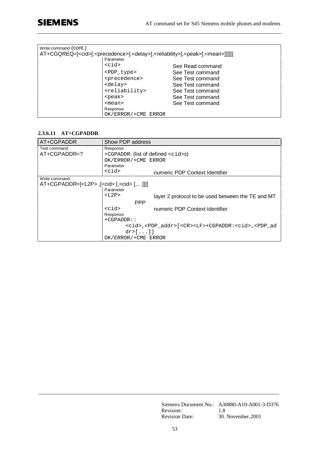| Write command (CON <sub>L</sub> ) |                             |                                                                                                                                      |
|-----------------------------------|-----------------------------|--------------------------------------------------------------------------------------------------------------------------------------|
|                                   |                             | AT+CGQREQ=[ <cid>[,<precedence>[,<delay>[,<reliability>[,<peak>[,<mean>]]]]]]</mean></peak></reliability></delay></precedence></cid> |
|                                   | Parameter                   |                                                                                                                                      |
|                                   | <cid></cid>                 | See Read command                                                                                                                     |
|                                   | <pdp type=""></pdp>         | See Test command                                                                                                                     |
|                                   | <precedence></precedence>   | See Test command                                                                                                                     |
|                                   | <delay></delay>             | See Test command                                                                                                                     |
|                                   | <reliability></reliability> | See Test command                                                                                                                     |
|                                   | <peak></peak>               | See Test command                                                                                                                     |
|                                   | $mean$                      | See Test command                                                                                                                     |
|                                   | Response                    |                                                                                                                                      |
|                                   | OK/ERROR/+CME ERROR         |                                                                                                                                      |

# **2.3.6.11 AT+CGPADDR**

| AT+CGPADDR                                              | Show PDP address                                                                                  |                                                   |
|---------------------------------------------------------|---------------------------------------------------------------------------------------------------|---------------------------------------------------|
| Test command                                            | Response                                                                                          |                                                   |
| $AT+CGPADDR=?$                                          | +CGPADDR: (list of defined <cid>s)</cid>                                                          |                                                   |
|                                                         | OK/ERROR/+CME ERROR                                                                               |                                                   |
|                                                         | Parameter                                                                                         |                                                   |
|                                                         | $<$ cid $>$                                                                                       | numeric PDP Context Identifier                    |
| Write command                                           |                                                                                                   |                                                   |
| AT+CGPADDR=[ <l2p>,[<cid>[,<cid>[,]]]</cid></cid></l2p> |                                                                                                   |                                                   |
|                                                         | Parameter                                                                                         |                                                   |
|                                                         | $<$ $L2P$ >                                                                                       | layer 2 protocol to be used between the TE and MT |
|                                                         | <b>PPP</b>                                                                                        |                                                   |
|                                                         | <cid></cid>                                                                                       | numeric PDP Context Identifier                    |
|                                                         | Response                                                                                          |                                                   |
|                                                         | $+CGPADDR:$                                                                                       |                                                   |
|                                                         | <cid>,<pdp_addr>[<cr><lf>+CGPADDR:<cid>,<pdp ad<="" td=""></pdp></cid></lf></cr></pdp_addr></cid> |                                                   |
|                                                         | dr > []                                                                                           |                                                   |
|                                                         | OK/ERROR/+CME ERROR                                                                               |                                                   |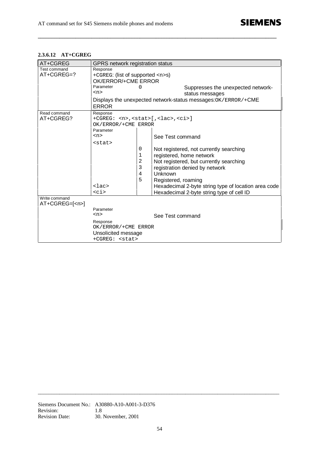# **2.3.6.12 AT+CGREG**

| AT+CGREG                        | GPRS network registration status                                                                                                                                                                          |                            |                                                                                                                                                                                                                                                                                                             |
|---------------------------------|-----------------------------------------------------------------------------------------------------------------------------------------------------------------------------------------------------------|----------------------------|-------------------------------------------------------------------------------------------------------------------------------------------------------------------------------------------------------------------------------------------------------------------------------------------------------------|
| Test command<br>AT+CGREG=?      | Response<br>+CGREG: (list of supported <n>s)<br/>OK/ERROR/+CME ERROR<br/>Parameter<br/><math>&lt;</math>n&gt;<br/><b>ERROR</b></n>                                                                        | O                          | Suppresses the unexpected network-<br>status messages<br>Displays the unexpected network-status messages: OK / ERROR / +CME                                                                                                                                                                                 |
| Read command<br>AT+CGREG?       | Response<br>+CGREG: <n>, <stat>[, <lac>, <ci>]<br/>OK/ERROR/+CME ERROR<br/>Parameter<br/><n><br/><math>&lt;</math>stat&gt;<br/><math>l</math>ac&gt;<br/><math>&lt;</math>ci&gt;</n></ci></lac></stat></n> | 0<br>1<br>2<br>3<br>4<br>5 | See Test command<br>Not registered, not currently searching<br>registered, home network<br>Not registered, but currently searching<br>registration denied by network<br>Unknown<br>Registered, roaming<br>Hexadecimal 2-byte string type of location area code<br>Hexadecimal 2-byte string type of cell ID |
| Write command<br>$AT+CGREG=[2]$ | Parameter<br><n><br/>Response<br/>OK/ERROR/+CME ERROR<br/>Unsolicited message<br/>+CGREG: <stat></stat></n>                                                                                               |                            | See Test command                                                                                                                                                                                                                                                                                            |

**\_\_\_\_\_\_\_\_\_\_\_\_\_\_\_\_\_\_\_\_\_\_\_\_\_\_\_\_\_\_\_\_\_\_\_\_\_\_\_\_\_\_\_\_\_\_\_\_\_\_\_\_\_\_\_\_\_\_\_\_\_\_\_\_\_\_\_\_\_\_\_\_\_\_\_\_\_\_\_\_\_\_\_\_\_\_\_\_\_**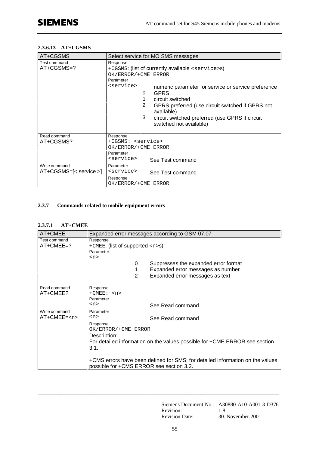#### **2.3.6.13 AT+CGSMS**

| AT+CGSMS                                  | Select service for MO SMS messages                                                                                                                                                                                                                                                                                                                                                                                                   |  |
|-------------------------------------------|--------------------------------------------------------------------------------------------------------------------------------------------------------------------------------------------------------------------------------------------------------------------------------------------------------------------------------------------------------------------------------------------------------------------------------------|--|
| Test command<br>AT+CGSMS=?                | Response<br>+CGSMS: (list of currently available <service>s)<br/>OK/ERROR/+CME ERROR<br/>Parameter<br/><service><br/>numeric parameter for service or service preference<br/><b>GPRS</b><br/>0<br/>circuit switched<br/>1<br/><math>\mathcal{L}</math><br/>GPRS preferred (use circuit switched if GPRS not<br/>available)<br/>3<br/>circuit switched preferred (use GPRS if circuit<br/>switched not available)</service></service> |  |
| Read command<br>AT+CGSMS?                 | Response<br>+CGSMS: <service><br/>OK/ERROR/+CME ERROR<br/>Parameter<br/><service><br/>See Test command</service></service>                                                                                                                                                                                                                                                                                                           |  |
| Write command<br>$AT+CGSMS=[<$ service >] | Parameter<br><service><br/>See Test command<br/>Response<br/>OK/ERROR/+CME ERROR</service>                                                                                                                                                                                                                                                                                                                                           |  |

## **2.3.7 Commands related to mobile equipment errors**

#### **2.3.7.1 AT+CMEE**

| AT+CMEE                     | Expanded error messages according to GSM 07.07                                                                            |  |
|-----------------------------|---------------------------------------------------------------------------------------------------------------------------|--|
| Test command<br>$AT+CMEE=?$ | Response<br>+CMEE: (list of supported <n>s)<br/>Parameter</n>                                                             |  |
|                             | $n$                                                                                                                       |  |
|                             | 0<br>Suppresses the expanded error format                                                                                 |  |
|                             | 1<br>Expanded error messages as number                                                                                    |  |
|                             | $\overline{2}$<br>Expanded error messages as text                                                                         |  |
|                             |                                                                                                                           |  |
| Read command                | Response<br>$+CMEE:$ < n>                                                                                                 |  |
| AT+CMEE?                    | Parameter                                                                                                                 |  |
|                             | $<$ n><br>See Read command                                                                                                |  |
| Write command               | Parameter                                                                                                                 |  |
| AT+CMEE= <n></n>            | $<$ n><br>See Read command                                                                                                |  |
|                             | Response                                                                                                                  |  |
|                             | OK/ERROR/+CME ERROR                                                                                                       |  |
|                             | Description:                                                                                                              |  |
|                             | For detailed information on the values possible for +CME ERROR see section                                                |  |
|                             | 3.1.                                                                                                                      |  |
|                             | +CMS errors have been defined for SMS; for detailed information on the values<br>possible for +CMS ERROR see section 3.2. |  |

\_\_\_\_\_\_\_\_\_\_\_\_\_\_\_\_\_\_\_\_\_\_\_\_\_\_\_\_\_\_\_\_\_\_\_\_\_\_\_\_\_\_\_\_\_\_\_\_\_\_\_\_\_\_\_\_\_\_\_\_\_\_\_\_\_\_\_\_\_\_\_\_\_\_\_\_\_\_\_\_\_\_\_\_\_\_\_\_\_\_

Siemens Document No.: A30880-A10-A001-3-D376 Revision: 1.8 Revision Date: 30. November.2001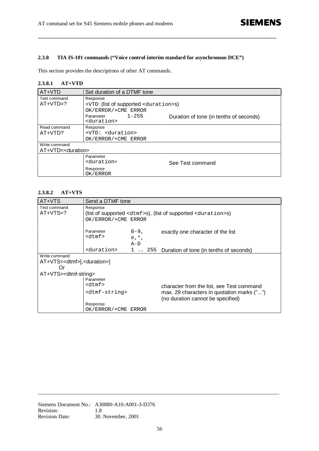## **2.3.8 TIA IS-101 commands ("Voice control interim standard for asynchronous DCE")**

**\_\_\_\_\_\_\_\_\_\_\_\_\_\_\_\_\_\_\_\_\_\_\_\_\_\_\_\_\_\_\_\_\_\_\_\_\_\_\_\_\_\_\_\_\_\_\_\_\_\_\_\_\_\_\_\_\_\_\_\_\_\_\_\_\_\_\_\_\_\_\_\_\_\_\_\_\_\_\_\_\_\_\_\_\_\_\_\_\_**

This section provides the descriptions of other AT commands.

#### **2.3.8.1 AT+VTD**

| AT+VTD                        | Set duration of a DTMF tone                      |                                         |  |
|-------------------------------|--------------------------------------------------|-----------------------------------------|--|
| Test command                  | Response                                         |                                         |  |
| $AT+VTD=?$                    | +VTD: (list of supported <duration>s)</duration> |                                         |  |
|                               | OK/ERROR/+CME ERROR                              |                                         |  |
|                               | $1 - 255$<br>Parameter                           | Duration of tone (in tenths of seconds) |  |
|                               | <duration></duration>                            |                                         |  |
| Read command                  | Response                                         |                                         |  |
| $AT+VTD?$                     | +VTD: <duration></duration>                      |                                         |  |
|                               | OK/ERROR/+CME ERROR                              |                                         |  |
| Write command                 |                                                  |                                         |  |
| AT+VTD= <duration></duration> |                                                  |                                         |  |
|                               | Parameter                                        |                                         |  |
|                               | <duration></duration>                            | See Test command                        |  |
|                               | Response                                         |                                         |  |
|                               | OK/ERROR                                         |                                         |  |

#### **2.3.8.2 AT+VTS**

| AT+VTS                                        | Send a DTMF tone                                                             |           |                                                 |
|-----------------------------------------------|------------------------------------------------------------------------------|-----------|-------------------------------------------------|
| Test command<br>$AT+VTS=?$                    | Response<br>(list of supported $dtmfss$ ), (list of supported $duration>s$ ) |           |                                                 |
|                                               | OK/ERROR/+CME ERROR                                                          |           |                                                 |
|                                               |                                                                              |           |                                                 |
|                                               | Parameter                                                                    | $0 - 9$ , | exactly one character of the list               |
|                                               | $<$ d $tmf$ $>$                                                              | $#, * ,$  |                                                 |
|                                               |                                                                              | $A-D$     |                                                 |
|                                               | <duration></duration>                                                        |           | 1 . 255 Duration of tone (in tenths of seconds) |
| Write command                                 |                                                                              |           |                                                 |
| AT+VTS= <dtmf>[,<duration>]</duration></dtmf> |                                                                              |           |                                                 |
| Or                                            |                                                                              |           |                                                 |
| AT+VTS= <dtmf-string></dtmf-string>           |                                                                              |           |                                                 |
|                                               | Parameter                                                                    |           |                                                 |
|                                               | $<$ d $tmf$ $>$                                                              |           | character from the list, see Test command       |
|                                               | <dtmf-string></dtmf-string>                                                  |           | max. 29 characters in quotation marks ("")      |
|                                               |                                                                              |           | (no duration cannot be specified)               |
|                                               | Response                                                                     |           |                                                 |
|                                               | OK/ERROR/+CME ERROR                                                          |           |                                                 |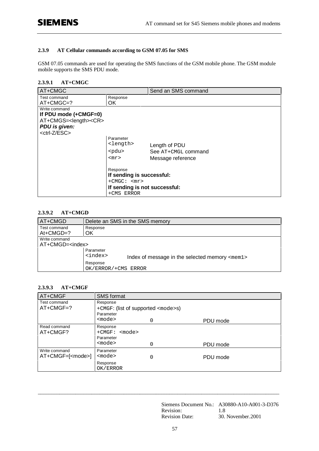## **2.3.9 AT Cellular commands according to GSM 07.05 for SMS**

GSM 07.05 commands are used for operating the SMS functions of the GSM mobile phone. The GSM module mobile supports the SMS PDU mode.

### **2.3.9.1 AT+CMGC**

| AT+CMGC                                                                                           |                                       | Send an SMS command |  |
|---------------------------------------------------------------------------------------------------|---------------------------------------|---------------------|--|
| Test command<br>$AT+CMGC=?$                                                                       | Response<br>OK.                       |                     |  |
| Write command<br>If PDU mode $(+CMGF=0)$<br>AT+CMGS= <length><cr><br/>PDU is given:</cr></length> |                                       |                     |  |
| <ctrl-z esc=""></ctrl-z>                                                                          | Parameter                             |                     |  |
|                                                                                                   | <length></length>                     | Length of PDU       |  |
|                                                                                                   | <pdu></pdu>                           | See AT+CMGL command |  |
|                                                                                                   | $<$ m $r$ $>$                         | Message reference   |  |
|                                                                                                   | Response<br>If sending is successful: |                     |  |
|                                                                                                   | $+CMGC:$ $<$ mr>                      |                     |  |
|                                                                                                   | If sending is not successful:         |                     |  |
|                                                                                                   | +CMS ERROR                            |                     |  |

#### **2.3.9.2 AT+CMGD**

| AT+CMGD                  | Delete an SMS in the SMS memory                                           |  |
|--------------------------|---------------------------------------------------------------------------|--|
| Test command             | Response                                                                  |  |
| $At+CMGD=?$              | ΟK                                                                        |  |
| Write command            |                                                                           |  |
| AT+CMGD= <index></index> |                                                                           |  |
|                          | Parameter                                                                 |  |
|                          | <index><br/>Index of message in the selected memory <mem1></mem1></index> |  |
|                          | Response                                                                  |  |
|                          | OK/ERROR/+CMS ERROR                                                       |  |

#### **2.3.9.3 AT+CMGF**

| AT+CMGF                  | <b>SMS format</b>                         |   |          |
|--------------------------|-------------------------------------------|---|----------|
| Test command             | Response                                  |   |          |
| $AT+CMGF=?$              | +CMGF: (list of supported <mode>s)</mode> |   |          |
|                          | Parameter                                 |   |          |
|                          | $<$ mode $>$                              | 0 | PDU mode |
| Read command             | Response                                  |   |          |
| AT+CMGF?                 | $+CMGF:$ $<$ mode>                        |   |          |
|                          | Parameter                                 |   |          |
|                          | <mode></mode>                             |   | PDU mode |
| Write command            | Parameter                                 |   |          |
| AT+CMGF=[ <mode>]</mode> | $mode$                                    | 0 | PDU mode |
|                          | Response<br>OK/ERROR                      |   |          |

\_\_\_\_\_\_\_\_\_\_\_\_\_\_\_\_\_\_\_\_\_\_\_\_\_\_\_\_\_\_\_\_\_\_\_\_\_\_\_\_\_\_\_\_\_\_\_\_\_\_\_\_\_\_\_\_\_\_\_\_\_\_\_\_\_\_\_\_\_\_\_\_\_\_\_\_\_\_\_\_\_\_\_\_\_\_\_\_\_\_

Siemens Document No.: A30880-A10-A001-3-D376 Revision: 1.8 Revision Date: 30. November.2001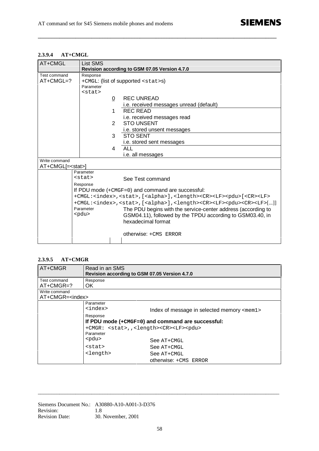## **2.3.9.4 AT+CMGL**

| AT+CMGL                                   | List SMS<br>Revision according to GSM 07.05 Version 4.7.0                                                                                                                                                                                                                                                                                                                                                                                                                                                                                                                                     |                                                                                                                                                                                                                           |  |
|-------------------------------------------|-----------------------------------------------------------------------------------------------------------------------------------------------------------------------------------------------------------------------------------------------------------------------------------------------------------------------------------------------------------------------------------------------------------------------------------------------------------------------------------------------------------------------------------------------------------------------------------------------|---------------------------------------------------------------------------------------------------------------------------------------------------------------------------------------------------------------------------|--|
| Test command<br>$AT+CMGL=?$               | Response<br>+CMGL: (list of supported <stat>s)<br/>Parameter</stat>                                                                                                                                                                                                                                                                                                                                                                                                                                                                                                                           |                                                                                                                                                                                                                           |  |
|                                           | $<$ stat><br>0<br>1<br>$\overline{2}$<br>3                                                                                                                                                                                                                                                                                                                                                                                                                                                                                                                                                    | <b>REC UNREAD</b><br><i>i.e.</i> received messages unread (default)<br><b>REC READ</b><br>i.e. received messages read<br><b>STO UNSENT</b><br>i.e. stored unsent messages<br><b>STO SENT</b><br>i.e. stored sent messages |  |
|                                           | 4<br><b>ALL</b><br>i.e. all messages                                                                                                                                                                                                                                                                                                                                                                                                                                                                                                                                                          |                                                                                                                                                                                                                           |  |
| Write command<br>AT+CMGL[= <stat>]</stat> |                                                                                                                                                                                                                                                                                                                                                                                                                                                                                                                                                                                               |                                                                                                                                                                                                                           |  |
|                                           | Parameter<br>$<$ stat><br>See Test command<br>Response<br>If PDU mode $(+ \text{CMGF}=0)$ and command are successful:<br>+CMGL: <index>,<stat>,[<alpha>],<length><cr><lf><pdu>[<cr><lf><br/>+CMGL:<index>,<stat>,[<alpha>],<length><cr><lf><pdu><cr><lf>[]]<br/>Parameter<br/>The PDU begins with the service-center address (according to<br/><pdu><br/>GSM04.11), followed by the TPDU according to GSM03.40, in<br/>hexadecimal format<br/>otherwise: +CMS ERROR</pdu></lf></cr></pdu></lf></cr></length></alpha></stat></index></lf></cr></pdu></lf></cr></length></alpha></stat></index> |                                                                                                                                                                                                                           |  |

**\_\_\_\_\_\_\_\_\_\_\_\_\_\_\_\_\_\_\_\_\_\_\_\_\_\_\_\_\_\_\_\_\_\_\_\_\_\_\_\_\_\_\_\_\_\_\_\_\_\_\_\_\_\_\_\_\_\_\_\_\_\_\_\_\_\_\_\_\_\_\_\_\_\_\_\_\_\_\_\_\_\_\_\_\_\_\_\_\_**

#### **2.3.9.5 AT+CMGR**

| AT+CMGR                  | Read in an SMS<br>Revision according to GSM 07.05 Version 4.7.0      |                                                   |
|--------------------------|----------------------------------------------------------------------|---------------------------------------------------|
| Test command             | Response                                                             |                                                   |
| $AT+CMGR=?$              | OK.                                                                  |                                                   |
| Write command            |                                                                      |                                                   |
| AT+CMGR= <index></index> |                                                                      |                                                   |
|                          | Parameter                                                            |                                                   |
|                          | <index></index>                                                      | Index of message in selected memory <mem1></mem1> |
|                          | Response                                                             |                                                   |
|                          |                                                                      | If PDU mode (+CMGF=0) and command are successful: |
|                          | +CMGR: <stat>,,<length><cr><lf><pdu></pdu></lf></cr></length></stat> |                                                   |
|                          | Parameter                                                            |                                                   |
|                          | <pdu></pdu>                                                          | $See$ $AT+CMGL$                                   |
|                          | <stat></stat>                                                        | See AT+CMGL                                       |
|                          | <length></length>                                                    | $See$ $AT+CMGL$                                   |
|                          |                                                                      | otherwise: +CMS ERROR                             |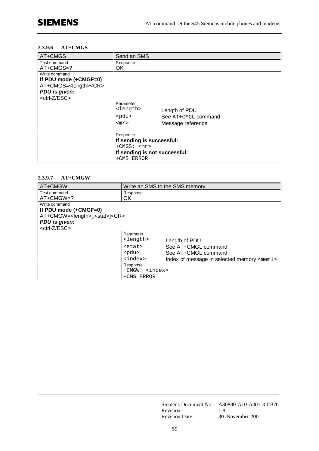#### **2.3.9.6 AT+CMGS**

| AT+CMGS                                                                                                                      | Send an SMS                                                                                                       |                                                           |
|------------------------------------------------------------------------------------------------------------------------------|-------------------------------------------------------------------------------------------------------------------|-----------------------------------------------------------|
| Test command<br>AT+CMGS=?                                                                                                    | Response<br>OK.                                                                                                   |                                                           |
| Write command<br>If PDU mode (+CMGF=0)<br>AT+CMGS= <length><cr><br/>PDU is given:<br/><ctrl-z esc=""></ctrl-z></cr></length> |                                                                                                                   |                                                           |
|                                                                                                                              | Parameter<br><length><br/><math>&lt;</math>pdu<math>&gt;</math><br/><math>&lt;</math>m<math>r</math>&gt;</length> | Length of PDU<br>See AT+CMGL command<br>Message reference |
|                                                                                                                              | Response<br>If sending is successful:<br>$+CMGS:$ $<$ mr><br>If sending is not successful:<br>+CMS ERROR          |                                                           |

#### **2.3.9.7 AT+CMGW**

| AT+CMGW                                                                                                                                        |                                                                                                                                | Write an SMS to the SMS memory                                                                                     |
|------------------------------------------------------------------------------------------------------------------------------------------------|--------------------------------------------------------------------------------------------------------------------------------|--------------------------------------------------------------------------------------------------------------------|
| Test command<br>$AT+CMGW=?$                                                                                                                    | Response<br>OK                                                                                                                 |                                                                                                                    |
| Write command<br>If PDU mode $(+CMGF=0)$<br>AT+CMGW= <length>[,<stat>]<cr><br/>PDU is given:<br/><ctrl-z esc=""></ctrl-z></cr></stat></length> | Parameter                                                                                                                      |                                                                                                                    |
|                                                                                                                                                | <length><br/><stat><br/><pdu><br/><index><br/>Response<br/>+CMGW: <index><br/>+CMS ERROR</index></index></pdu></stat></length> | Length of PDU<br>See AT+CMGL command<br>See AT+CMGL command<br>Index of message in selected memory $\leq m \leq n$ |

Siemens Document No.: A30880-A10-A001-3-D376 Revision: 1.8 Revision Date: 30. November.2001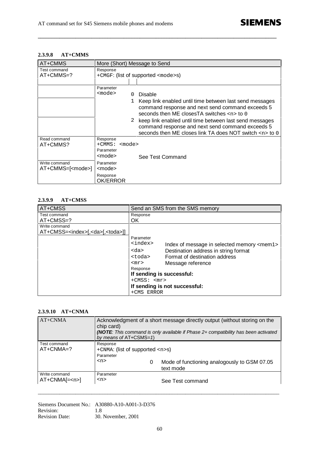# **2.3.9.8 AT+CMMS**

| AT+CMMS                                   | More (Short) Message to Send                          |                                                                                                                                                                              |  |
|-------------------------------------------|-------------------------------------------------------|------------------------------------------------------------------------------------------------------------------------------------------------------------------------------|--|
| Test command<br>AT+CMMS=?                 | Response<br>+CMGF: (list of supported <mode>s)</mode> |                                                                                                                                                                              |  |
|                                           |                                                       |                                                                                                                                                                              |  |
|                                           | Parameter                                             |                                                                                                                                                                              |  |
|                                           | <mode></mode>                                         | Disable                                                                                                                                                                      |  |
|                                           |                                                       | Keep link enabled until time between last send messages<br>command response and next send command exceeds 5<br>seconds then ME closes TA switches <n> to 0</n>               |  |
|                                           |                                                       | 2 keep link enabled until time between last send messages<br>command response and next send command exceeds 5<br>seconds then ME closes link TA does NOT switch <n> to 0</n> |  |
| Read command<br>AT+CMMS?                  | Response<br>$+$ CMMS:<br><mode><br/>Parameter</mode>  |                                                                                                                                                                              |  |
|                                           | <mode></mode>                                         | See Test Command                                                                                                                                                             |  |
| Write command<br>AT+CMMS=[ <mode>]</mode> | Parameter<br><mode></mode>                            |                                                                                                                                                                              |  |
|                                           | Response<br>OK/ERROR                                  |                                                                                                                                                                              |  |

**\_\_\_\_\_\_\_\_\_\_\_\_\_\_\_\_\_\_\_\_\_\_\_\_\_\_\_\_\_\_\_\_\_\_\_\_\_\_\_\_\_\_\_\_\_\_\_\_\_\_\_\_\_\_\_\_\_\_\_\_\_\_\_\_\_\_\_\_\_\_\_\_\_\_\_\_\_\_\_\_\_\_\_\_\_\_\_\_\_**

#### **2.3.9.9 AT+CMSS**

| AT+CMSS                                                               | Send an SMS from the SMS memory                                                                                                                                                                                                                              |
|-----------------------------------------------------------------------|--------------------------------------------------------------------------------------------------------------------------------------------------------------------------------------------------------------------------------------------------------------|
| Test command<br>AT+CMSS=?                                             | Response<br>OK                                                                                                                                                                                                                                               |
| Write command<br>AT+CMSS= <index>[,<da>[,<toda>]]</toda></da></index> | Parameter                                                                                                                                                                                                                                                    |
|                                                                       | <index><br/>Index of message in selected memory <mem1><br/>Destination address in string format<br/><da><br/>Format of destination address<br/><toda><br/>Message reference<br/><math>&lt;</math>m<math>r</math><math>&gt;</math></toda></da></mem1></index> |
|                                                                       | Response<br>If sending is successful:<br>$+$ CMSS: $<$ mr><br>If sending is not successful:<br>+CMS ERROR                                                                                                                                                    |

#### **2.3.9.10 AT+CNMA**

| $AT+CNMA$                     | Acknowledgment of a short message directly output (without storing on the<br>chip card)<br><b>(NOTE:</b> This command is only available if Phase 2+ compatibility has been activated<br>by means of AT+CSMS=1) |   |                                                           |
|-------------------------------|----------------------------------------------------------------------------------------------------------------------------------------------------------------------------------------------------------------|---|-----------------------------------------------------------|
| Test command<br>$AT+CNMA=?$   | Response<br>+CNMA: (list of supported $\langle n \rangle$ -s)<br>Parameter<br><n></n>                                                                                                                          | 0 | Mode of functioning analogously to GSM 07.05<br>text mode |
| Write command<br>$AT+CNMA[=]$ | Parameter<br><n></n>                                                                                                                                                                                           |   | See Test command                                          |

Siemens Document No.: A30880-A10-A001-3-D376 Revision: 1.8 Revision Date: 30. November, 2001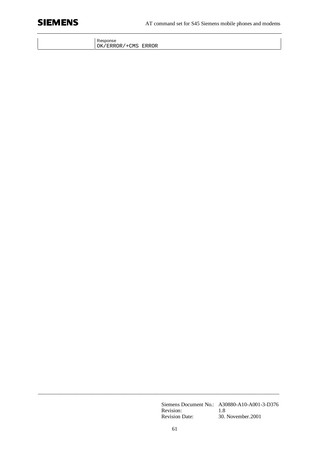

| Response            |  |
|---------------------|--|
| OK/ERROR/+CMS ERROR |  |

Siemens Document No.: A30880-A10-A001-3-D376 Revision: 1.8 Revision Date: 30. November.2001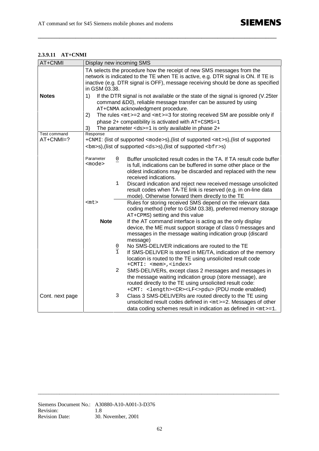# **2.3.9.11 AT+CNMI**

| AT+CNMI         | Display new incoming SMS                                                                                                                                                                                                                                        |               |                                                                                                                                                                                                   |  |
|-----------------|-----------------------------------------------------------------------------------------------------------------------------------------------------------------------------------------------------------------------------------------------------------------|---------------|---------------------------------------------------------------------------------------------------------------------------------------------------------------------------------------------------|--|
|                 | TA selects the procedure how the receipt of new SMS messages from the<br>network is indicated to the TE when TE is active, e.g. DTR signal is ON. If TE is<br>inactive (e.g. DTR signal is OFF), message receiving should be done as specified<br>in GSM 03.38. |               |                                                                                                                                                                                                   |  |
| <b>Notes</b>    | If the DTR signal is not available or the state of the signal is ignored (V.25ter<br>$\left( \begin{array}{c} 1 \end{array} \right)$<br>command &D0), reliable message transfer can be assured by using<br>AT+CNMA acknowledgment procedure.                    |               |                                                                                                                                                                                                   |  |
|                 | The rules $mz=2$ and $mz=3$ for storing received SM are possible only if<br>2)                                                                                                                                                                                  |               |                                                                                                                                                                                                   |  |
|                 | phase 2+ compatibility is activated with AT+CSMS=1                                                                                                                                                                                                              |               |                                                                                                                                                                                                   |  |
|                 | 3)                                                                                                                                                                                                                                                              |               | The parameter $<$ ds>=1 is only available in phase $2+$                                                                                                                                           |  |
| Test command    | Response                                                                                                                                                                                                                                                        |               |                                                                                                                                                                                                   |  |
| $AT+CNMI=?$     |                                                                                                                                                                                                                                                                 |               | +CNMI: (list of supported <mode>s),(list of supported <mt>s),(list of supported</mt></mode>                                                                                                       |  |
|                 |                                                                                                                                                                                                                                                                 |               | $$\rmS$ ), (list of supported $$\rmS$ ), (list of supported $$\rmS$ )                                                                                                                             |  |
|                 | Parameter<br><mode></mode>                                                                                                                                                                                                                                      | 0             | Buffer unsolicited result codes in the TA. If TA result code buffer<br>is full, indications can be buffered in some other place or the                                                            |  |
|                 |                                                                                                                                                                                                                                                                 |               | oldest indications may be discarded and replaced with the new<br>received indications.                                                                                                            |  |
|                 |                                                                                                                                                                                                                                                                 | 1             | Discard indication and reject new received message unsolicited<br>result codes when TA-TE link is reserved (e.g. in on-line data<br>mode). Otherwise forward them directly to the TE              |  |
|                 | <mt></mt>                                                                                                                                                                                                                                                       |               | Rules for storing received SMS depend on the relevant data<br>coding method (refer to GSM 03.38), preferred memory storage<br>AT+CPMS) setting and this value                                     |  |
|                 | <b>Note</b>                                                                                                                                                                                                                                                     |               | If the AT command interface is acting as the only display<br>device, the ME must support storage of class 0 messages and<br>messages in the message waiting indication group (discard<br>message) |  |
|                 |                                                                                                                                                                                                                                                                 |               | No SMS-DELIVER indications are routed to the TE                                                                                                                                                   |  |
|                 |                                                                                                                                                                                                                                                                 | $\frac{0}{1}$ | If SMS-DELIVER is stored in ME/TA, indication of the memory                                                                                                                                       |  |
|                 |                                                                                                                                                                                                                                                                 |               | location is routed to the TE using unsolicited result code                                                                                                                                        |  |
|                 |                                                                                                                                                                                                                                                                 |               | +CMTI: <mem>, <index></index></mem>                                                                                                                                                               |  |
|                 |                                                                                                                                                                                                                                                                 | 2             | SMS-DELIVERs, except class 2 messages and messages in                                                                                                                                             |  |
|                 |                                                                                                                                                                                                                                                                 |               | the message waiting indication group (store message), are<br>routed directly to the TE using unsolicited result code:                                                                             |  |
|                 |                                                                                                                                                                                                                                                                 |               | +CMT: <length><cr><lf<>pdu&gt; (PDU mode enabled)</lf<></cr></length>                                                                                                                             |  |
| Cont. next page |                                                                                                                                                                                                                                                                 | 3             | Class 3 SMS-DELIVERs are routed directly to the TE using                                                                                                                                          |  |
|                 |                                                                                                                                                                                                                                                                 |               | unsolicited result codes defined in <mt> = 2. Messages of other</mt>                                                                                                                              |  |
|                 |                                                                                                                                                                                                                                                                 |               | data coding schemes result in indication as defined in <mt>=1.</mt>                                                                                                                               |  |

**\_\_\_\_\_\_\_\_\_\_\_\_\_\_\_\_\_\_\_\_\_\_\_\_\_\_\_\_\_\_\_\_\_\_\_\_\_\_\_\_\_\_\_\_\_\_\_\_\_\_\_\_\_\_\_\_\_\_\_\_\_\_\_\_\_\_\_\_\_\_\_\_\_\_\_\_\_\_\_\_\_\_\_\_\_\_\_\_\_**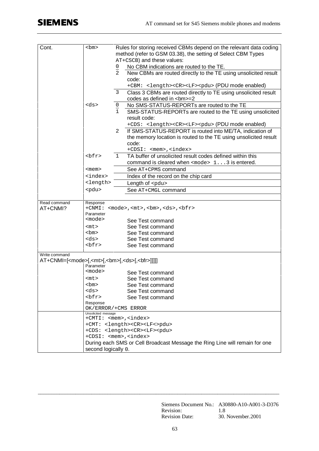| Cont.                                                                                      | <bm></bm>                          | Rules for storing received CBMs depend on the relevant data coding<br>method (refer to GSM 03.38), the setting of Select CBM Types |                                                                             |  |
|--------------------------------------------------------------------------------------------|------------------------------------|------------------------------------------------------------------------------------------------------------------------------------|-----------------------------------------------------------------------------|--|
|                                                                                            |                                    | AT+CSCB) and these values:                                                                                                         |                                                                             |  |
|                                                                                            |                                    |                                                                                                                                    | No CBM indications are routed to the TE.                                    |  |
|                                                                                            |                                    | $\overline{0}$<br>$\overline{a}$                                                                                                   | New CBMs are routed directly to the TE using unsolicited result             |  |
|                                                                                            |                                    |                                                                                                                                    | code:                                                                       |  |
|                                                                                            |                                    |                                                                                                                                    | +CBM: <length><cr><lf><pdu> (PDU mode enabled)</pdu></lf></cr></length>     |  |
|                                                                                            |                                    | 3                                                                                                                                  | Class 3 CBMs are routed directly to TE using unsolicited result             |  |
|                                                                                            |                                    |                                                                                                                                    | codes as defined in<br><br>bm>=2                                            |  |
|                                                                                            | <ds></ds>                          | $\frac{0}{1}$                                                                                                                      | No SMS-STATUS-REPORTs are routed to the TE                                  |  |
|                                                                                            |                                    |                                                                                                                                    | SMS-STATUS-REPORTs are routed to the TE using unsolicited                   |  |
|                                                                                            |                                    |                                                                                                                                    | result code:                                                                |  |
|                                                                                            |                                    |                                                                                                                                    | +CDS: <length><cr><lf><pdu> (PDU mode enabled)</pdu></lf></cr></length>     |  |
|                                                                                            |                                    | 2                                                                                                                                  | If SMS-STATUS-REPORT is routed into ME/TA, indication of                    |  |
|                                                                                            |                                    |                                                                                                                                    | the memory location is routed to the TE using unsolicited result            |  |
|                                                                                            |                                    |                                                                                                                                    | code:                                                                       |  |
|                                                                                            |                                    |                                                                                                                                    | +CDSI: <mem>,<index></index></mem>                                          |  |
|                                                                                            | ${\rm chfr}$                       | 1                                                                                                                                  | TA buffer of unsolicited result codes defined within this                   |  |
|                                                                                            |                                    |                                                                                                                                    | command is cleared when <mode> 13 is entered.</mode>                        |  |
|                                                                                            | $<$ mem $>$                        |                                                                                                                                    | See AT+CPMS command                                                         |  |
|                                                                                            | <index></index>                    |                                                                                                                                    | Index of the record on the chip card                                        |  |
|                                                                                            | <length></length>                  |                                                                                                                                    | Length of <pdu></pdu>                                                       |  |
|                                                                                            | <pdu></pdu>                        |                                                                                                                                    | See AT+CMGL command                                                         |  |
| Read command                                                                               | Response                           |                                                                                                                                    |                                                                             |  |
| AT+CNMI?                                                                                   |                                    |                                                                                                                                    | +CNMI: <mode>,<mt>,<br/><br/>chm&gt;,<ds>,<br/></ds></mt></mode>            |  |
|                                                                                            | Parameter                          |                                                                                                                                    |                                                                             |  |
|                                                                                            | <mode></mode>                      |                                                                                                                                    | See Test command                                                            |  |
|                                                                                            | $<$ mt $>$                         |                                                                                                                                    | See Test command                                                            |  |
|                                                                                            | <bm></bm>                          |                                                                                                                                    | See Test command                                                            |  |
|                                                                                            | <ds></ds>                          |                                                                                                                                    | See Test command                                                            |  |
|                                                                                            | ${\rm chfr}$                       |                                                                                                                                    | See Test command                                                            |  |
|                                                                                            |                                    |                                                                                                                                    |                                                                             |  |
| Write command<br>AT+CNMI=[ <mode>[,<mt>[,<bm>[,<ds>[,<bfr>]]]]</bfr></ds></bm></mt></mode> |                                    |                                                                                                                                    |                                                                             |  |
|                                                                                            | Parameter                          |                                                                                                                                    |                                                                             |  |
|                                                                                            | <mode></mode>                      |                                                                                                                                    | See Test command                                                            |  |
|                                                                                            |                                    |                                                                                                                                    |                                                                             |  |
|                                                                                            | <mt></mt>                          |                                                                                                                                    | See Test command                                                            |  |
|                                                                                            | <bm></bm>                          |                                                                                                                                    | See Test command                                                            |  |
|                                                                                            | <ds></ds>                          |                                                                                                                                    | See Test command                                                            |  |
|                                                                                            | <bfr></bfr>                        |                                                                                                                                    | See Test command                                                            |  |
|                                                                                            | Response<br>OK/ERROR/+CMS ERROR    |                                                                                                                                    |                                                                             |  |
|                                                                                            | Unsolicited message                |                                                                                                                                    |                                                                             |  |
|                                                                                            | +CMTI: <mem>,<index></index></mem> |                                                                                                                                    |                                                                             |  |
|                                                                                            |                                    |                                                                                                                                    | +CMT: <length><cr><lf<>pdu&gt;</lf<></cr></length>                          |  |
|                                                                                            |                                    |                                                                                                                                    | +CDS: <length><cr><lf><pdu></pdu></lf></cr></length>                        |  |
|                                                                                            | +CDSI: <mem>,<index></index></mem> |                                                                                                                                    |                                                                             |  |
|                                                                                            | second logically 0.                |                                                                                                                                    | During each SMS or Cell Broadcast Message the Ring Line will remain for one |  |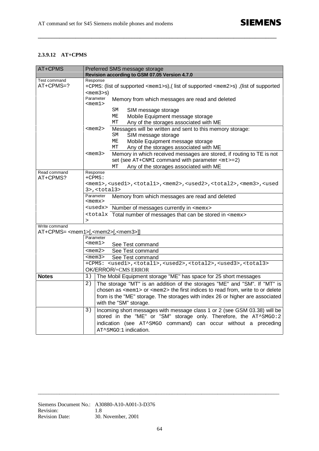## **2.3.9.12 AT+CPMS**

| AT+CPMS       | Preferred SMS message storage<br>Revision according to GSM 07.05 Version 4.7.0                                                      |  |  |  |  |
|---------------|-------------------------------------------------------------------------------------------------------------------------------------|--|--|--|--|
| Test command  | Response                                                                                                                            |  |  |  |  |
| AT+CPMS=?     | +CPMS: (list of supported <mem1>s),( list of supported <mem2>s),(list of supported</mem2></mem1>                                    |  |  |  |  |
|               | $<$ mem $3>$ S)                                                                                                                     |  |  |  |  |
|               | Parameter<br>Memory from which messages are read and deleted<br>$<$ mem $1>$                                                        |  |  |  |  |
|               | SΜ<br>SIM message storage                                                                                                           |  |  |  |  |
|               | МE<br>Mobile Equipment message storage                                                                                              |  |  |  |  |
|               | Any of the storages associated with ME<br>МT                                                                                        |  |  |  |  |
|               | Messages will be written and sent to this memory storage:<br>$<$ mem $2>$                                                           |  |  |  |  |
|               | SIM message storage<br>SM                                                                                                           |  |  |  |  |
|               | МE<br>Mobile Equipment message storage                                                                                              |  |  |  |  |
|               | Any of the storages associated with ME<br>МT                                                                                        |  |  |  |  |
|               | Memory in which received messages are stored, if routing to TE is not<br>$<$ mem $3>$                                               |  |  |  |  |
|               | set (see $AT+CMMI$ command with parameter $mz=2$ )                                                                                  |  |  |  |  |
|               | Any of the storages associated with ME<br>МT                                                                                        |  |  |  |  |
| Read command  | Response                                                                                                                            |  |  |  |  |
| AT+CPMS?      | $+CPMS:$                                                                                                                            |  |  |  |  |
|               | <meml>,<usedl>,<totall>,<mem2>,<used2>,<total2>,<mem3>,<used< th=""></used<></mem3></total2></used2></mem2></totall></usedl></meml> |  |  |  |  |
|               | $3$ >, <total3></total3>                                                                                                            |  |  |  |  |
|               | Parameter<br>Memory from which messages are read and deleted<br>$<$ mem $x$                                                         |  |  |  |  |
|               | <usedx> Number of messages currently in <memx></memx></usedx>                                                                       |  |  |  |  |
|               | <totalx <memx="" be="" can="" in="" messages="" number="" of="" stored="" that="" total=""></totalx>                                |  |  |  |  |
|               | $\geq$                                                                                                                              |  |  |  |  |
| Write command | AT+CPMS= <mem1>[,<mem2>[,<mem3>]]</mem3></mem2></mem1>                                                                              |  |  |  |  |
|               | Parameter                                                                                                                           |  |  |  |  |
|               | $<$ mem $1>$<br>See Test command                                                                                                    |  |  |  |  |
|               | <mem2><br/>See Test command</mem2>                                                                                                  |  |  |  |  |
|               | <mem3><br/>See Test command</mem3>                                                                                                  |  |  |  |  |
|               | +CPMS: <used1>,<total1>,<used2>,<total2>,<used3>,<total3></total3></used3></total2></used2></total1></used1>                        |  |  |  |  |
|               | OK/ERROR/+CMS ERROR                                                                                                                 |  |  |  |  |
| <b>Notes</b>  | The Mobil Equipment storage "ME" has space for 25 short messages<br>1)                                                              |  |  |  |  |
|               | The storage "MT" is an addition of the storages "ME" and "SM". If "MT" is<br>2)                                                     |  |  |  |  |
|               | chosen as <mem1> or <mem2> the first indices to read from, write to or delete</mem2></mem1>                                         |  |  |  |  |
|               | from is the "ME" storage. The storages with index 26 or higher are associated                                                       |  |  |  |  |
|               | with the "SM" storage.                                                                                                              |  |  |  |  |
|               | Incoming short messages with message class 1 or 2 (see GSM 03.38) will be<br>3)                                                     |  |  |  |  |
|               | stored in the "ME" or "SM" storage only. Therefore, the AT^SMGO: 2                                                                  |  |  |  |  |
|               | indication (see AT^SMGO command) can occur without a preceding                                                                      |  |  |  |  |
|               | AT^SMGO:1 indication.                                                                                                               |  |  |  |  |
|               |                                                                                                                                     |  |  |  |  |

**\_\_\_\_\_\_\_\_\_\_\_\_\_\_\_\_\_\_\_\_\_\_\_\_\_\_\_\_\_\_\_\_\_\_\_\_\_\_\_\_\_\_\_\_\_\_\_\_\_\_\_\_\_\_\_\_\_\_\_\_\_\_\_\_\_\_\_\_\_\_\_\_\_\_\_\_\_\_\_\_\_\_\_\_\_\_\_\_\_**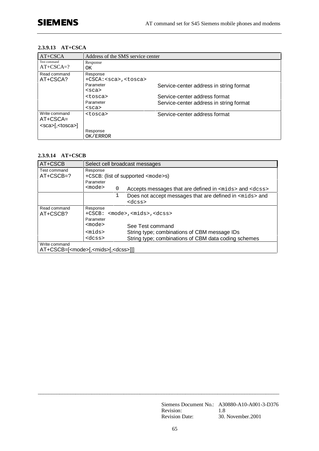## **2.3.9.13 AT+CSCA**

| AT+CSCA                       | Address of the SMS service center               |                                         |  |
|-------------------------------|-------------------------------------------------|-----------------------------------------|--|
| Test command<br>$AT+CSCA=?$   | Response<br>OK.                                 |                                         |  |
| Read command<br>AT+CSCA?      | Response<br>+CSCA: <sca>, <tosca></tosca></sca> |                                         |  |
|                               | Parameter<br>$<$ sca $>$                        | Service-center address in string format |  |
|                               | <tosca></tosca>                                 | Service-center address format           |  |
|                               | Parameter<br>$<$ sca $>$                        | Service-center address in string format |  |
| Write command<br>$AT+CSCA=$   | <tosca></tosca>                                 | Service-center address format           |  |
| <sca>[,<tosca>]</tosca></sca> |                                                 |                                         |  |
|                               | Response                                        |                                         |  |
|                               | OK/ERROR                                        |                                         |  |

## **2.3.9.14 AT+CSCB**

| AT+CSCB                                                  | Select cell broadcast messages |             |                                                               |
|----------------------------------------------------------|--------------------------------|-------------|---------------------------------------------------------------|
| Test command                                             | Response                       |             |                                                               |
| $AT+CSCB=?$                                              |                                |             | +CSCB: (list of supported <mode>s)</mode>                     |
|                                                          | Parameter                      |             |                                                               |
|                                                          | <mode></mode>                  | $\mathbf 0$ | Accepts messages that are defined in $<$ mids> and $<$ dcss>  |
|                                                          |                                | 1           | Does not accept messages that are defined in $\leq$ mids> and |
|                                                          |                                |             | $<$ d $<$ ss>                                                 |
| Read command                                             | Response                       |             |                                                               |
| AT+CSCB?                                                 | $+CSCB:$                       |             | <mode>,<mids>,<dcss></dcss></mids></mode>                     |
|                                                          | Parameter                      |             |                                                               |
|                                                          | <mode></mode>                  |             | See Test command                                              |
|                                                          | $<$ mids $>$                   |             | String type; combinations of CBM message IDs                  |
|                                                          | <dcss></dcss>                  |             | String type; combinations of CBM data coding schemes          |
| Write command                                            |                                |             |                                                               |
| AT+CSCB=[ <mode>[,<mids>[,<dcss>]]]</dcss></mids></mode> |                                |             |                                                               |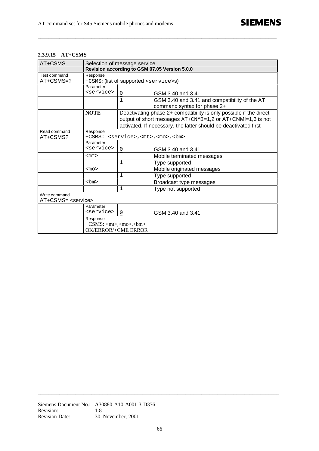#### **2.3.9.15 AT+CSMS**

| AT+CSMS                                       | Selection of message service<br>Revision according to GSM 07.05 Version 5.0.0 |                                                      |                                                                    |
|-----------------------------------------------|-------------------------------------------------------------------------------|------------------------------------------------------|--------------------------------------------------------------------|
| Test command                                  | Response                                                                      |                                                      |                                                                    |
| $AT + CSMS = ?$                               |                                                                               | +CSMS: (list of supported <service>s)</service>      |                                                                    |
|                                               | Parameter                                                                     |                                                      |                                                                    |
|                                               | <service></service>                                                           | $\Omega$                                             | GSM 3.40 and 3.41                                                  |
|                                               |                                                                               | 1                                                    | GSM 3.40 and 3.41 and compatibility of the AT                      |
|                                               |                                                                               |                                                      | command syntax for phase 2+                                        |
|                                               | <b>NOTE</b>                                                                   |                                                      | Deactivating phase 2+ compatibility is only possible if the direct |
|                                               |                                                                               |                                                      | output of short messages AT+CNMI=1,2 or AT+CNMI=1,3 is not         |
|                                               |                                                                               |                                                      | activated. If necessary, the latter should be deactivated first    |
| Read command                                  | Response                                                                      |                                                      |                                                                    |
| AT+CSMS?                                      |                                                                               | +CSMS: <service>,<mt>,<mo>,<br/></mo></mt></service> |                                                                    |
|                                               | Parameter                                                                     |                                                      |                                                                    |
|                                               | <service></service>                                                           | $\Omega$                                             | GSM 3.40 and 3.41                                                  |
|                                               | $<$ mt $>$                                                                    |                                                      | Mobile terminated messages                                         |
|                                               |                                                                               | 1                                                    | Type supported                                                     |
|                                               | $mo$                                                                          |                                                      | Mobile originated messages                                         |
|                                               |                                                                               | 1                                                    | Type supported                                                     |
|                                               | $$\rmmm$$                                                                     |                                                      | Broadcast type messages                                            |
|                                               |                                                                               | $\mathbf{1}$                                         | Type not supported                                                 |
| Write command<br>AT+CSMS= <service></service> |                                                                               |                                                      |                                                                    |
|                                               | Parameter                                                                     |                                                      |                                                                    |
|                                               | <service></service>                                                           | 0                                                    | GSM 3.40 and 3.41                                                  |
|                                               | Response                                                                      |                                                      |                                                                    |
|                                               | $+CSMS$ : <mt>,<mo>,<br/>sbm&gt;</mo></mt>                                    |                                                      |                                                                    |
|                                               | <b>OK/ERROR/+CME ERROR</b>                                                    |                                                      |                                                                    |

**\_\_\_\_\_\_\_\_\_\_\_\_\_\_\_\_\_\_\_\_\_\_\_\_\_\_\_\_\_\_\_\_\_\_\_\_\_\_\_\_\_\_\_\_\_\_\_\_\_\_\_\_\_\_\_\_\_\_\_\_\_\_\_\_\_\_\_\_\_\_\_\_\_\_\_\_\_\_\_\_\_\_\_\_\_\_\_\_\_**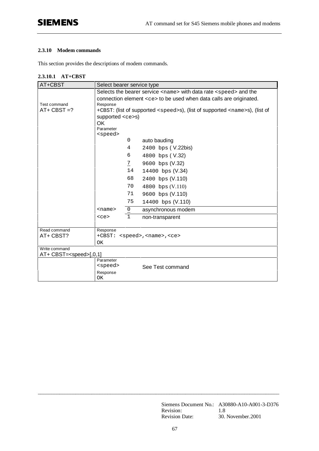## **2.3.10 Modem commands**

This section provides the descriptions of modem commands.

| AT+CBST                                          | Select bearer service type                       |                |                                                                                           |
|--------------------------------------------------|--------------------------------------------------|----------------|-------------------------------------------------------------------------------------------|
|                                                  |                                                  |                | Selects the bearer service <name> with data rate <speed> and the</speed></name>           |
|                                                  |                                                  |                | connection element <ce> to be used when data calls are originated.</ce>                   |
| Test command                                     | Response                                         |                |                                                                                           |
| $AT+ CBST = ?$                                   |                                                  |                | +CBST: (list of supported <speed>s), (list of supported <name>s), (list of</name></speed> |
|                                                  | supported $\langle$ ce>s)                        |                |                                                                                           |
|                                                  | <b>OK</b>                                        |                |                                                                                           |
|                                                  | Parameter<br><speed></speed>                     |                |                                                                                           |
|                                                  |                                                  | 0              | auto bauding                                                                              |
|                                                  |                                                  | 4              | 2400 bps (V.22bis)                                                                        |
|                                                  |                                                  | 6              | 4800 bps (V.32)                                                                           |
|                                                  |                                                  | $\overline{1}$ | 9600 bps (V.32)                                                                           |
|                                                  |                                                  | 14             | 14400 bps (V.34)                                                                          |
|                                                  |                                                  | 68             | 2400 bps (V.110)                                                                          |
|                                                  |                                                  | 70             | 4800 bps (V.110)                                                                          |
|                                                  |                                                  | 71             | 9600 bps (V.110)                                                                          |
|                                                  |                                                  | 75             | 14400 bps (V.110)                                                                         |
|                                                  | <name></name>                                    | $\frac{0}{1}$  | asynchronous modem                                                                        |
|                                                  | $<$ ce>                                          | $\mathbf{1}$   | non-transparent                                                                           |
|                                                  |                                                  |                |                                                                                           |
| Read command                                     | Response                                         |                |                                                                                           |
| AT+ CBST?                                        | +CBST: <speed>, <name>, <ce></ce></name></speed> |                |                                                                                           |
|                                                  | OK                                               |                |                                                                                           |
| Write command<br>AT+ CBST= <speed>[,0,1]</speed> |                                                  |                |                                                                                           |
|                                                  | Parameter                                        |                |                                                                                           |
|                                                  | <speed></speed>                                  |                | See Test command                                                                          |
|                                                  | Response                                         |                |                                                                                           |
|                                                  | ОK                                               |                |                                                                                           |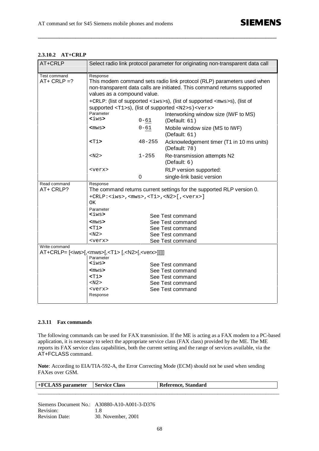| AT+CRLP                     | Select radio link protocol parameter for originating non-transparent data call                                                                                                                |                                      |                                                                                                                                                             |
|-----------------------------|-----------------------------------------------------------------------------------------------------------------------------------------------------------------------------------------------|--------------------------------------|-------------------------------------------------------------------------------------------------------------------------------------------------------------|
| Test command<br>$AT+CRLP=?$ | Response<br>This modem command sets radio link protocol (RLP) parameters used when<br>non-transparent data calls are initiated. This command returns supported<br>values as a compound value. |                                      |                                                                                                                                                             |
|                             |                                                                                                                                                                                               |                                      | +CRLP: (list of supported <iws>s), (list of supported <mws>s), (list of<br/>supported <t1>s), (list of supported <n2>s) <verx></verx></n2></t1></mws></iws> |
|                             | Parameter<br><iws></iws>                                                                                                                                                                      | $0 - 61$                             | Interworking window size (IWF to MS)<br>(Default: $61$ )                                                                                                    |
|                             | <mws></mws>                                                                                                                                                                                   | $0 - 61$                             | Mobile window size (MS to IWF)<br>(Default: $61$ )                                                                                                          |
|                             | $T1>$                                                                                                                                                                                         | $48 - 255$                           | Acknowledgement timer (T1 in 10 ms units)<br>(Default: $78$ )                                                                                               |
|                             | < N2>                                                                                                                                                                                         | $1 - 255$                            | Re-transmission attempts N2<br>(Default: $6)$                                                                                                               |
|                             | <verx></verx>                                                                                                                                                                                 |                                      | RLP version supported:                                                                                                                                      |
|                             |                                                                                                                                                                                               | 0                                    | single-link basic version                                                                                                                                   |
| Read command<br>AT+ CRLP?   | Response<br>The command returns current settings for the supported RLP version 0.                                                                                                             |                                      |                                                                                                                                                             |
|                             | $+$ CRLP: <iws>,<mws>,<t1>,<n2>[,<verx>]<br/>ОK</verx></n2></t1></mws></iws>                                                                                                                  |                                      |                                                                                                                                                             |
|                             | Parameter<br><iws></iws>                                                                                                                                                                      |                                      |                                                                                                                                                             |
|                             | <mws></mws>                                                                                                                                                                                   | See Test command<br>See Test command |                                                                                                                                                             |
|                             | $T1>$                                                                                                                                                                                         |                                      | See Test command                                                                                                                                            |
|                             | < N2>                                                                                                                                                                                         |                                      | See Test command                                                                                                                                            |
|                             | <verx></verx>                                                                                                                                                                                 |                                      | See Test command                                                                                                                                            |
| Write command               | AT+CRLP= [ <iws>[,<mws>[,<t1> [,<n2>[,<verx>]]]]]</verx></n2></t1></mws></iws>                                                                                                                |                                      |                                                                                                                                                             |
|                             | Parameter                                                                                                                                                                                     |                                      |                                                                                                                                                             |
|                             | <iws></iws>                                                                                                                                                                                   |                                      | See Test command                                                                                                                                            |
|                             | <mws></mws>                                                                                                                                                                                   |                                      | See Test command                                                                                                                                            |
|                             | <t1></t1>                                                                                                                                                                                     |                                      | See Test command                                                                                                                                            |
|                             | < N2>                                                                                                                                                                                         |                                      | See Test command                                                                                                                                            |
|                             | <verx></verx>                                                                                                                                                                                 |                                      | See Test command                                                                                                                                            |
|                             | Response                                                                                                                                                                                      |                                      |                                                                                                                                                             |

**\_\_\_\_\_\_\_\_\_\_\_\_\_\_\_\_\_\_\_\_\_\_\_\_\_\_\_\_\_\_\_\_\_\_\_\_\_\_\_\_\_\_\_\_\_\_\_\_\_\_\_\_\_\_\_\_\_\_\_\_\_\_\_\_\_\_\_\_\_\_\_\_\_\_\_\_\_\_\_\_\_\_\_\_\_\_\_\_\_**

# **2.3.10.2 AT+CRLP**

#### **2.3.11 Fax commands**

The following commands can be used for FAX transmission. If the ME is acting as a FAX modem to a PC-based application, it is necessary to select the appropriate service class (FAX class) provided by the ME. The ME reports its FAX service class capabilities, both the current setting and the range of services available, via the AT+FCLASS command.

**Note**: According to EIA/TIA-592-A, the Error Correcting Mode (ECM) should not be used when sending FAXes over GSM.

| ÷ | -<br>locc<br>1458         | ہ م |
|---|---------------------------|-----|
|   | _________________________ |     |

Siemens Document No.: A30880-A10-A001-3-D376 Revision: 1.8 Revision Date: 30. November, 2001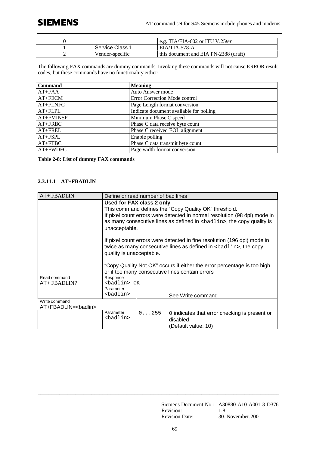# **SIEMENS**

|   |                 | e.g. TIA/EIA-602 or ITU V.25ter       |
|---|-----------------|---------------------------------------|
|   | Service Class 1 | EIA/TIA-578-A                         |
| - | Vendor-specific | this document and EIA PN-2388 (draft) |

The following FAX commands are dummy commands. Invoking these commands will not cause ERROR result codes, but these commands have no functionality either:

| <b>Command</b> | <b>Meaning</b>                          |
|----------------|-----------------------------------------|
| $AT+FAA$       | Auto Answer mode                        |
| AT+FECM        | Error Correction Mode control           |
| $AT+FLNFC$     | Page Length format conversion           |
| AT+FLPL        | Indicate document available for polling |
| AT+FMINSP      | Minimum Phase C speed                   |
| $AT + FRBC$    | Phase C data receive byte count         |
| AT+FREL        | Phase C received EOL alignment          |
| $AT+FSPL$      | Enable polling                          |
| $AT+FTBC$      | Phase C data transmit byte count        |
| AT+FWDFC       | Page width format conversion            |

**Table 2-8: List of dummy FAX commands**

## **2.3.11.1 AT+FBADLIN**

| AT+ FBADLIN                             | Define or read number of bad lines                                                                                                                                                                                                                          |                                                                                  |  |
|-----------------------------------------|-------------------------------------------------------------------------------------------------------------------------------------------------------------------------------------------------------------------------------------------------------------|----------------------------------------------------------------------------------|--|
|                                         | Used for FAX class 2 only<br>This command defines the "Copy Quality OK" threshold.<br>If pixel count errors were detected in normal resolution (98 dpi) mode in<br>as many consecutive lines as defined in<br>badlin>, the copy quality is<br>unacceptable. |                                                                                  |  |
|                                         | If pixel count errors were detected in fine resolution (196 dpi) mode in<br>twice as many consecutive lines as defined in $\epsilon$ badlin>, the copy<br>quality is unacceptable.                                                                          |                                                                                  |  |
|                                         | or if too many consecutive lines contain errors                                                                                                                                                                                                             | "Copy Quality Not OK" occurs if either the error percentage is too high          |  |
| Read command<br>AT+ FBADLIN?            | Response<br><badlin> OK<br/>Parameter</badlin>                                                                                                                                                                                                              |                                                                                  |  |
|                                         | <badlin></badlin>                                                                                                                                                                                                                                           | See Write command                                                                |  |
| Write command<br>AT+FBADLIN=<br>badlin> |                                                                                                                                                                                                                                                             |                                                                                  |  |
|                                         | 0255<br>Parameter<br><badlin></badlin>                                                                                                                                                                                                                      | 0 indicates that error checking is present or<br>disabled<br>(Default value: 10) |  |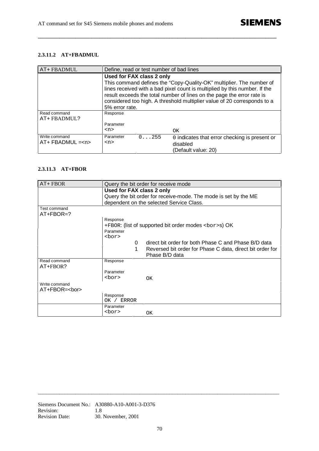## **2.3.11.2 AT+FBADMUL**

| AT+ FBADMUL                               | Define, read or test number of bad lines    |                                                                                                                                                                                                                                                                                                          |
|-------------------------------------------|---------------------------------------------|----------------------------------------------------------------------------------------------------------------------------------------------------------------------------------------------------------------------------------------------------------------------------------------------------------|
|                                           | Used for FAX class 2 only<br>5% error rate. | This command defines the "Copy-Quality-OK" multiplier. The number of<br>lines received with a bad pixel count is multiplied by this number. If the<br>result exceeds the total number of lines on the page the error rate is<br>considered too high. A threshold multiplier value of 20 corresponds to a |
| Read command<br>AT+ FBADMUL?              | Response<br>Parameter<br><n></n>            | <b>OK</b>                                                                                                                                                                                                                                                                                                |
| Write command<br>$AT+$ FBADMUL = $\leq n$ | 0.1.255<br>Parameter<br>$<$ n>              | 0 indicates that error checking is present or<br>disabled<br>(Default value: 20)                                                                                                                                                                                                                         |

**\_\_\_\_\_\_\_\_\_\_\_\_\_\_\_\_\_\_\_\_\_\_\_\_\_\_\_\_\_\_\_\_\_\_\_\_\_\_\_\_\_\_\_\_\_\_\_\_\_\_\_\_\_\_\_\_\_\_\_\_\_\_\_\_\_\_\_\_\_\_\_\_\_\_\_\_\_\_\_\_\_\_\_\_\_\_\_\_\_**

# **2.3.11.3 AT+FBOR**

| AT+ FBOR                              | Query the bit order for receive mode                            |                                                                                                                                     |  |
|---------------------------------------|-----------------------------------------------------------------|-------------------------------------------------------------------------------------------------------------------------------------|--|
|                                       | Used for FAX class 2 only                                       |                                                                                                                                     |  |
|                                       | Query the bit order for receive-mode. The mode is set by the ME |                                                                                                                                     |  |
|                                       |                                                                 | dependent on the selected Service Class.                                                                                            |  |
| Test command<br>$AT + FBOR = ?$       |                                                                 |                                                                                                                                     |  |
|                                       | Response                                                        |                                                                                                                                     |  |
|                                       |                                                                 | +FBOR: (list of supported bit order modes <bor>s) OK</bor>                                                                          |  |
|                                       | Parameter                                                       |                                                                                                                                     |  |
|                                       | <bor></bor>                                                     |                                                                                                                                     |  |
|                                       | 0<br>1                                                          | direct bit order for both Phase C and Phase B/D data<br>Reversed bit order for Phase C data, direct bit order for<br>Phase B/D data |  |
| Read command<br>$AT + FBOR?$          | Response                                                        |                                                                                                                                     |  |
|                                       | Parameter                                                       |                                                                                                                                     |  |
|                                       | <bor></bor>                                                     | OK                                                                                                                                  |  |
| Write command<br>AT+FBOR= <bor></bor> |                                                                 |                                                                                                                                     |  |
|                                       | Response<br>OK / ERROR                                          |                                                                                                                                     |  |
|                                       | Parameter                                                       |                                                                                                                                     |  |
|                                       | <bor></bor>                                                     | OK                                                                                                                                  |  |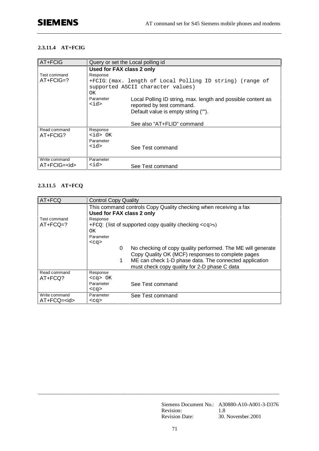## **2.3.11.4 AT+FCIG**

| AT+FCIG            | Query or set the Local polling id |                                                                                           |
|--------------------|-----------------------------------|-------------------------------------------------------------------------------------------|
|                    | Used for FAX class 2 only         |                                                                                           |
| Test command       | Response                          |                                                                                           |
| $AT + FCIG = ?$    |                                   | +FCIG: (max. length of Local Polling ID string) (range of                                 |
|                    |                                   | supported ASCII character values)                                                         |
|                    | OK                                |                                                                                           |
|                    | Parameter<br>$<$ id>              | Local Polling ID string, max. length and possible content as<br>reported by test command. |
|                    |                                   | Default value is empty string ("").                                                       |
|                    |                                   |                                                                                           |
|                    |                                   | See also "AT+FLID" command                                                                |
| Read command       | Response                          |                                                                                           |
| $AT + FCIG?$       | <id> OK</id>                      |                                                                                           |
|                    | Parameter                         |                                                                                           |
|                    | $<$ id>                           | See Test command                                                                          |
|                    |                                   |                                                                                           |
| Write command      | Parameter                         |                                                                                           |
| AT+FCIG= <id></id> | $<$ id>                           | See Test command                                                                          |

# **2.3.11.5 AT+FCQ**

| AT+FCQ              | <b>Control Copy Quality</b>                                                                                           |  |  |
|---------------------|-----------------------------------------------------------------------------------------------------------------------|--|--|
|                     | This command controls Copy Quality checking when receiving a fax<br>Used for FAX class 2 only                         |  |  |
| Test command        | Response                                                                                                              |  |  |
| $AT + FCQ = ?$      | $+FCQ$ : (list of supported copy quality checking $\langle cg \rangle$ s)                                             |  |  |
|                     | OK.                                                                                                                   |  |  |
|                     | Parameter                                                                                                             |  |  |
|                     | $<$ ca>                                                                                                               |  |  |
|                     | No checking of copy quality performed. The ME will generate<br>0<br>Copy Quality OK (MCF) responses to complete pages |  |  |
|                     | ME can check 1-D phase data. The connected application<br>1<br>must check copy quality for 2-D phase C data           |  |  |
| Read command        | Response                                                                                                              |  |  |
| AT+FCQ?             | $<$ cq> OK                                                                                                            |  |  |
|                     | Parameter<br>See Test command                                                                                         |  |  |
|                     | $<$ ca>                                                                                                               |  |  |
| Write command       | Parameter<br>See Test command                                                                                         |  |  |
| $AT + FCQ = < id >$ | $<$ cq>                                                                                                               |  |  |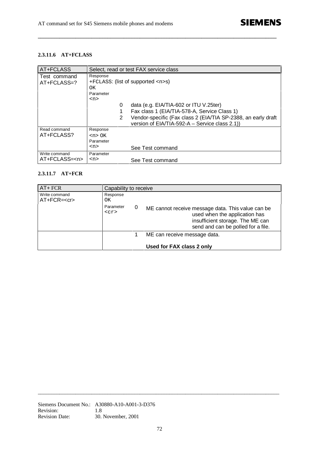## **2.3.11.6 AT+FCLASS**

| AT+FCLASS                           | Select, read or test FAX service class                                                                                                                                                                                                                                    |  |
|-------------------------------------|---------------------------------------------------------------------------------------------------------------------------------------------------------------------------------------------------------------------------------------------------------------------------|--|
| Test command<br>$AT + FCLASS = ?$   | Response<br>$+FCLASS$ : (list of supported $\langle n \rangle$ s)<br>OK<br>Parameter<br><n><br/>data (e.g. EIA/TIA-602 or ITU V.25ter)<br/>0<br/>Fax class 1 (EIA/TIA-578-A, Service Class 1)<br/>Vendor-specific (Fax class 2 (EIA/TIA SP-2388, an early draft<br/>2</n> |  |
|                                     | version of EIA/TIA-592-A - Service class 2.1)                                                                                                                                                                                                                             |  |
| Read command<br>AT+FCLASS?          | Response<br>$\langle n \rangle$ OK<br>Parameter<br><n><br/>See Test command</n>                                                                                                                                                                                           |  |
| Write command<br>AT+FCLASS= <n></n> | Parameter<br><n><br/>See Test command</n>                                                                                                                                                                                                                                 |  |

**\_\_\_\_\_\_\_\_\_\_\_\_\_\_\_\_\_\_\_\_\_\_\_\_\_\_\_\_\_\_\_\_\_\_\_\_\_\_\_\_\_\_\_\_\_\_\_\_\_\_\_\_\_\_\_\_\_\_\_\_\_\_\_\_\_\_\_\_\_\_\_\_\_\_\_\_\_\_\_\_\_\_\_\_\_\_\_\_\_**

# **2.3.11.7 AT+FCR**

| AT+ FCR                    | Capability to receive                     |  |                                                                                                                                                              |
|----------------------------|-------------------------------------------|--|--------------------------------------------------------------------------------------------------------------------------------------------------------------|
| Write command<br>$AT+FCR=$ | Response<br>OK                            |  |                                                                                                                                                              |
|                            | Parameter<br>0<br>$<$ $<$ $<$ $<$ $<$ $>$ |  | ME cannot receive message data. This value can be<br>used when the application has<br>insufficient storage. The ME can<br>send and can be polled for a file. |
|                            |                                           |  | ME can receive message data.                                                                                                                                 |
|                            |                                           |  | Used for FAX class 2 only                                                                                                                                    |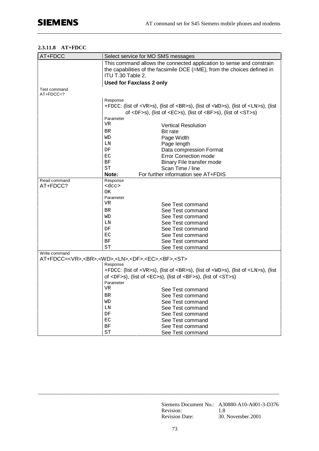## **2.3.11.8 AT+FDCC**

| AT+FDCC                                                                              | Select service for MO SMS messages |                                                                                                  |
|--------------------------------------------------------------------------------------|------------------------------------|--------------------------------------------------------------------------------------------------|
|                                                                                      |                                    | This command allows the connected application to sense and constrain                             |
|                                                                                      |                                    | the capabilities of the facsimile DCE $(=ME)$ , from the choices defined in                      |
|                                                                                      | ITU T.30 Table 2.                  |                                                                                                  |
|                                                                                      | <b>Used for Faxclass 2 only</b>    |                                                                                                  |
| Test command<br>$AT+FDCC=?$                                                          |                                    |                                                                                                  |
|                                                                                      | Response                           |                                                                                                  |
|                                                                                      |                                    | +FDCC: (list of <vr>s), (list of <br/>s), (list of <wd>s), (list of <ln>s), (list</ln></wd></vr> |
|                                                                                      |                                    | of <df>s), (list of <ec>s), (list of <bf>s), (list of <st>s)</st></bf></ec></df>                 |
|                                                                                      | Parameter                          |                                                                                                  |
|                                                                                      | <b>VR</b>                          | <b>Vertical Resolution</b>                                                                       |
|                                                                                      | <b>BR</b>                          | Bit rate                                                                                         |
|                                                                                      | WD                                 | Page Width                                                                                       |
|                                                                                      | LΝ                                 | Page length                                                                                      |
|                                                                                      | DF                                 | Data compression Format                                                                          |
|                                                                                      | EC                                 | <b>Error Correction mode</b>                                                                     |
|                                                                                      | ΒF                                 | Binary File transfer mode                                                                        |
|                                                                                      | ST                                 | Scan Time / line                                                                                 |
|                                                                                      | Note:                              | For further information see AT+FDIS                                                              |
| Read command                                                                         | Response                           |                                                                                                  |
| AT+FDCC?                                                                             | $rac{c}{c}$                        |                                                                                                  |
|                                                                                      | OК                                 |                                                                                                  |
|                                                                                      | Parameter<br>VR                    |                                                                                                  |
|                                                                                      |                                    | See Test command                                                                                 |
|                                                                                      | <b>BR</b>                          | See Test command                                                                                 |
|                                                                                      | WD                                 | See Test command                                                                                 |
|                                                                                      | LN                                 | See Test command                                                                                 |
|                                                                                      | DF                                 | See Test command                                                                                 |
|                                                                                      | ЕC<br>ΒF                           | See Test command                                                                                 |
|                                                                                      | SТ                                 | See Test command                                                                                 |
| Write command                                                                        |                                    | See Test command                                                                                 |
| AT+FDCC= <vr>,<br/>,<wd>,<ln>,<df>,<ec>,<bf>,<st></st></bf></ec></df></ln></wd></vr> |                                    |                                                                                                  |
|                                                                                      | Response                           |                                                                                                  |
|                                                                                      |                                    | +FDCC: (list of <vr>s), (list of <br/>s), (list of <wd>s), (list of <ln>s), (list</ln></wd></vr> |
|                                                                                      |                                    | of <df>s), (list of <ec>s), (list of <bf>s), (list of <st>s)</st></bf></ec></df>                 |
|                                                                                      | Parameter                          |                                                                                                  |
|                                                                                      | VR                                 | See Test command                                                                                 |
|                                                                                      | <b>BR</b>                          | See Test command                                                                                 |
|                                                                                      | WD                                 | See Test command                                                                                 |
|                                                                                      | LN                                 | See Test command                                                                                 |
|                                                                                      | DF                                 | See Test command                                                                                 |
|                                                                                      | EC                                 | See Test command                                                                                 |
|                                                                                      | $\rm BF$                           | See Test command                                                                                 |
|                                                                                      | ST                                 | See Test command                                                                                 |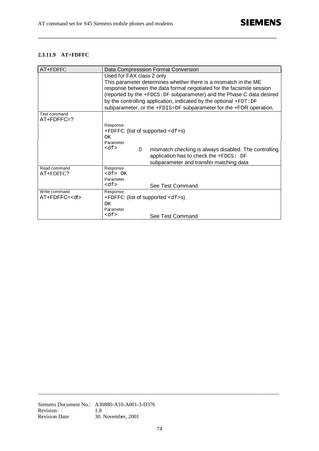## **2.3.11.9 AT+FDFFC**

| AT+FDFFC            |                                           | Data Compresssion Format Conversion                                    |
|---------------------|-------------------------------------------|------------------------------------------------------------------------|
|                     | Used for FAX class 2 only                 |                                                                        |
|                     |                                           | This parameter determines whether there is a mismatch in the ME        |
|                     |                                           | response between the data format negotiated for the facsimile session  |
|                     |                                           | (reported by the +FDCS: DF subparameter) and the Phase C data desired  |
|                     |                                           | by the controlling application, indicated by the optional $+$ FDT: DF  |
|                     |                                           | subparameter, or the $+FDIS=DF$ subparameter for the $+FDR$ operation. |
| Test command        |                                           |                                                                        |
| $AT+FDFFC=?$        |                                           |                                                                        |
|                     | Response                                  |                                                                        |
|                     | $+$ FDFFC: (list of supported $<$ df > s) |                                                                        |
|                     | ΟK                                        |                                                                        |
|                     | Parameter                                 |                                                                        |
|                     | $<\mathrm{df}$<br>$\Omega$                | mismatch checking is always disabled. The controlling                  |
|                     |                                           | application has to check the $+$ FDCS: DF                              |
|                     |                                           | subparameter and transfer matching data                                |
| Read command        | Response                                  |                                                                        |
| AT+FDFFC?           | $<\mathrm{df}$ $>$ OK                     |                                                                        |
|                     | Parameter                                 |                                                                        |
|                     | $<\text{df}$                              | See Test Command                                                       |
| Write command       | Response                                  |                                                                        |
| AT+FDFFC= <df></df> | $+$ FDFFC: (list of supported $<$ df > s) |                                                                        |
|                     | ΩK                                        |                                                                        |
|                     | Parameter                                 |                                                                        |
|                     | $<\mathrm{df}$                            | See Test Command                                                       |

**\_\_\_\_\_\_\_\_\_\_\_\_\_\_\_\_\_\_\_\_\_\_\_\_\_\_\_\_\_\_\_\_\_\_\_\_\_\_\_\_\_\_\_\_\_\_\_\_\_\_\_\_\_\_\_\_\_\_\_\_\_\_\_\_\_\_\_\_\_\_\_\_\_\_\_\_\_\_\_\_\_\_\_\_\_\_\_\_\_**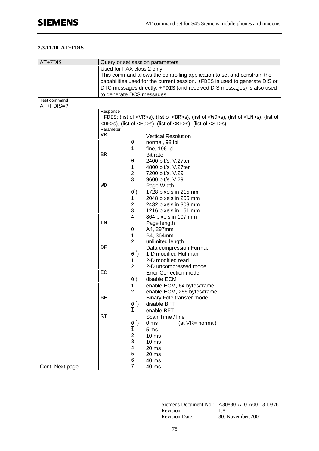## **2.3.11.10 AT+FDIS**

| AT+FDIS         |                           |                            | Query or set session parameters                                                                                |
|-----------------|---------------------------|----------------------------|----------------------------------------------------------------------------------------------------------------|
|                 | Used for FAX class 2 only |                            |                                                                                                                |
|                 |                           |                            | This command allows the controlling application to set and constrain the                                       |
|                 |                           |                            | capabilities used for the current session. +FDIS is used to generate DIS or                                    |
|                 |                           |                            | DTC messages directly. +FDIS (and received DIS messages) is also used                                          |
|                 | to generate DCS messages. |                            |                                                                                                                |
| Test command    |                           |                            |                                                                                                                |
| AT+FDIS=?       |                           |                            |                                                                                                                |
|                 | Response                  |                            |                                                                                                                |
|                 |                           |                            | +FDIS: (list of <vr>s), (list of <br/>s), (list of <wd>s), (list of <ln>s), (list of</ln></wd></vr>            |
|                 |                           |                            | $\langle DF>S$ ), (list of $\langle EC>S$ ), (list of $\langle BF>S\rangle$ , (list of $\langle ST>S\rangle$ ) |
|                 | Parameter                 |                            |                                                                                                                |
|                 | VR                        |                            | <b>Vertical Resolution</b>                                                                                     |
|                 |                           | 0                          | normal, 98 lpi                                                                                                 |
|                 |                           | 1                          | fine, 196 lpi                                                                                                  |
|                 | BR                        |                            | Bit rate                                                                                                       |
|                 |                           | 0                          | 2400 bit/s, V.27ter                                                                                            |
|                 |                           |                            |                                                                                                                |
|                 |                           | 1<br>$\overline{c}$        | 4800 bit/s, V.27ter                                                                                            |
|                 |                           | 3                          | 7200 bit/s, V.29                                                                                               |
|                 | WD                        |                            | 9600 bit/s, V.29                                                                                               |
|                 |                           |                            | Page Width                                                                                                     |
|                 |                           | (0)                        | 1728 pixels in 215mm                                                                                           |
|                 |                           | 1                          | 2048 pixels in 255 mm                                                                                          |
|                 |                           | $\overline{\mathbf{c}}$    | 2432 pixels in 303 mm                                                                                          |
|                 |                           | 3                          | 1216 pixels in 151 mm                                                                                          |
|                 |                           | 4                          | 864 pixels in 107 mm                                                                                           |
|                 | LN                        |                            | Page length                                                                                                    |
|                 |                           | 0                          | A4, 297mm                                                                                                      |
|                 |                           | 1                          | B4, 364mm                                                                                                      |
|                 |                           | $\overline{2}$             | unlimited length                                                                                               |
|                 | DF                        |                            | Data compression Format                                                                                        |
|                 |                           | $\frac{0}{1}$              | 1-D modified Huffman                                                                                           |
|                 |                           |                            | 2-D modified read                                                                                              |
|                 |                           | $\overline{2}$             | 2-D uncompressed mode                                                                                          |
|                 | EC                        |                            | <b>Error Correction mode</b>                                                                                   |
|                 |                           | $\vec{0)}$                 | disable ECM                                                                                                    |
|                 |                           | 1                          | enable ECM, 64 bytes/frame                                                                                     |
|                 |                           | $\overline{2}$             | enable ECM, 256 bytes/frame                                                                                    |
|                 | ΒF                        |                            | Binary Fole transfer mode                                                                                      |
|                 |                           | $\frac{0}{1}$ <sup>*</sup> | disable BFT                                                                                                    |
|                 |                           |                            | enable BFT                                                                                                     |
|                 | ST                        |                            | Scan Time / line                                                                                               |
|                 |                           |                            | (at VR= normal)<br>0 <sub>ms</sub>                                                                             |
|                 |                           | $\frac{0}{1}$              | 5 <sub>ms</sub>                                                                                                |
|                 |                           | 2                          | 10 <sub>ms</sub>                                                                                               |
|                 |                           | 3                          | 10 <sub>ms</sub>                                                                                               |
|                 |                           | 4                          | 20 ms                                                                                                          |
|                 |                           | 5                          | 20 ms                                                                                                          |
|                 |                           | 6                          | 40 ms                                                                                                          |
| Cont. Next page |                           | 7                          | 40 ms                                                                                                          |

Siemens Document No.: A30880-A10-A001-3-D376 Revision: 1.8 Revision Date: 30. November.2001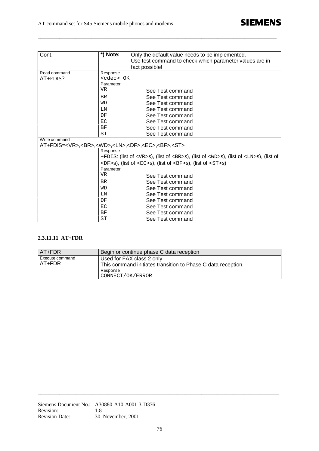| Cont.                                                                                | *) Note:                                                                                                       | Only the default value needs to be implemented.                                                     |
|--------------------------------------------------------------------------------------|----------------------------------------------------------------------------------------------------------------|-----------------------------------------------------------------------------------------------------|
|                                                                                      |                                                                                                                | Use test command to check which parameter values are in                                             |
|                                                                                      |                                                                                                                | fact possible!                                                                                      |
| Read command                                                                         | Response                                                                                                       |                                                                                                     |
| AT+FDIS?                                                                             | <cdec> OK</cdec>                                                                                               |                                                                                                     |
|                                                                                      | Parameter                                                                                                      |                                                                                                     |
|                                                                                      | VR                                                                                                             | See Test command                                                                                    |
|                                                                                      | <b>BR</b>                                                                                                      | See Test command                                                                                    |
|                                                                                      | WD                                                                                                             | See Test command                                                                                    |
|                                                                                      | LN                                                                                                             | See Test command                                                                                    |
|                                                                                      | DF                                                                                                             | See Test command                                                                                    |
|                                                                                      | EC                                                                                                             | See Test command                                                                                    |
|                                                                                      | ΒF                                                                                                             | See Test command                                                                                    |
|                                                                                      | <b>ST</b>                                                                                                      | See Test command                                                                                    |
| Write command                                                                        |                                                                                                                |                                                                                                     |
| AT+FDIS= <vr>,<br/>,<wd>,<ln>,<df>,<ec>,<bf>,<st></st></bf></ec></df></ln></wd></vr> |                                                                                                                |                                                                                                     |
|                                                                                      | Response                                                                                                       |                                                                                                     |
|                                                                                      |                                                                                                                | +FDIS: (list of <vr>s), (list of <br/>s), (list of <wd>s), (list of <ln>s), (list of</ln></wd></vr> |
|                                                                                      | $\langle DF>S$ ), (list of $\langle EC>S$ ), (list of $\langle BF>S\rangle$ , (list of $\langle ST>S\rangle$ ) |                                                                                                     |
|                                                                                      | Parameter                                                                                                      |                                                                                                     |
|                                                                                      | VR                                                                                                             | See Test command                                                                                    |
|                                                                                      | <b>BR</b>                                                                                                      | See Test command                                                                                    |
|                                                                                      | WD                                                                                                             | See Test command                                                                                    |
|                                                                                      | LN                                                                                                             | See Test command                                                                                    |
|                                                                                      | DF                                                                                                             | See Test command                                                                                    |
|                                                                                      | ЕC                                                                                                             | See Test command                                                                                    |
|                                                                                      | BF                                                                                                             | See Test command                                                                                    |
|                                                                                      | ST                                                                                                             | See Test command                                                                                    |

**\_\_\_\_\_\_\_\_\_\_\_\_\_\_\_\_\_\_\_\_\_\_\_\_\_\_\_\_\_\_\_\_\_\_\_\_\_\_\_\_\_\_\_\_\_\_\_\_\_\_\_\_\_\_\_\_\_\_\_\_\_\_\_\_\_\_\_\_\_\_\_\_\_\_\_\_\_\_\_\_\_\_\_\_\_\_\_\_\_**

## **2.3.11.11 AT+FDR**

| AT+FDR                    | Begin or continue phase C data reception                                                                                  |
|---------------------------|---------------------------------------------------------------------------------------------------------------------------|
| Execute command<br>AT+FDR | Used for FAX class 2 only<br>This command initiates transition to Phase C data reception.<br>Response<br>CONNECT/OK/ERROR |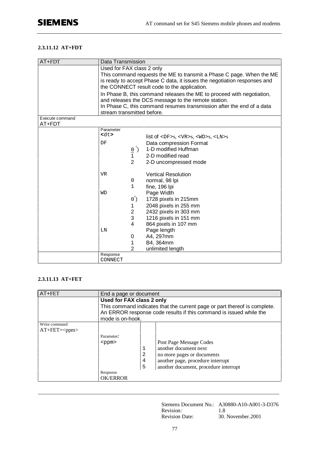### **2.3.11.12 AT+FDT**

| AT+FDT          | Data Transmission                                                        |                            |                                                                        |
|-----------------|--------------------------------------------------------------------------|----------------------------|------------------------------------------------------------------------|
|                 | Used for FAX class 2 only                                                |                            |                                                                        |
|                 | This command requests the ME to transmit a Phase C page. When the ME     |                            |                                                                        |
|                 | is ready to accept Phase C data, it issues the negotiation responses and |                            |                                                                        |
|                 |                                                                          |                            | the CONNECT result code to the application.                            |
|                 |                                                                          |                            | In Phase B, this command releases the ME to proceed with negotiation,  |
|                 |                                                                          |                            | and releases the DCS message to the remote station.                    |
|                 |                                                                          |                            | In Phase C, this command resumes transmission after the end of a data  |
|                 | stream transmitted before.                                               |                            |                                                                        |
| Execute command |                                                                          |                            |                                                                        |
| AT+FDT          | Parameter                                                                |                            |                                                                        |
|                 | <dt></dt>                                                                |                            |                                                                        |
|                 |                                                                          |                            | list of $\langle$ DF>s, $\langle$ VR>s, $\langle$ WD>s, $\langle$ LN>s |
|                 | DF                                                                       |                            | Data compression Format                                                |
|                 |                                                                          | $\frac{0}{1}$ <sup>*</sup> | 1-D modified Huffman                                                   |
|                 |                                                                          |                            | 2-D modified read                                                      |
|                 |                                                                          | 2                          | 2-D uncompressed mode                                                  |
|                 | <b>VR</b>                                                                |                            | <b>Vertical Resolution</b>                                             |
|                 |                                                                          | 0                          | normal, 98 lpi                                                         |
|                 |                                                                          | 1                          | fine, 196 lpi                                                          |
|                 | WD                                                                       |                            | Page Width                                                             |
|                 |                                                                          | (0)                        | 1728 pixels in 215mm                                                   |
|                 |                                                                          | 1.                         | 2048 pixels in 255 mm                                                  |
|                 |                                                                          | $\overline{\mathbf{c}}$    | 2432 pixels in 303 mm                                                  |
|                 |                                                                          | 3                          | 1216 pixels in 151 mm                                                  |
|                 |                                                                          | 4                          | 864 pixels in 107 mm                                                   |
|                 | LN                                                                       |                            | Page length                                                            |
|                 |                                                                          | 0                          | A4, 297mm                                                              |
|                 |                                                                          | 1                          | B4, 364mm                                                              |
|                 |                                                                          | $\overline{2}$             | unlimited length                                                       |
|                 | Response                                                                 |                            |                                                                        |
|                 | CONNECT                                                                  |                            |                                                                        |

### **2.3.11.13 AT+FET**

| AT+FET           | End a page or document                                                                                                                                              |   |                                       |
|------------------|---------------------------------------------------------------------------------------------------------------------------------------------------------------------|---|---------------------------------------|
|                  | Used for FAX class 2 only                                                                                                                                           |   |                                       |
|                  | This command indicates that the current page or part thereof is complete.<br>An ERROR response code results if this command is issued while the<br>mode is on-hook. |   |                                       |
| Write command    |                                                                                                                                                                     |   |                                       |
| $AT + FET = ppm$ |                                                                                                                                                                     |   |                                       |
|                  | Parameter:                                                                                                                                                          |   |                                       |
|                  | $<$ ppm $>$                                                                                                                                                         |   | Post Page Message Codes               |
|                  |                                                                                                                                                                     |   | another document next                 |
|                  |                                                                                                                                                                     | 2 | no more pages or documents            |
|                  |                                                                                                                                                                     | 4 | another page, procedure interrupt     |
|                  |                                                                                                                                                                     | 5 | another document, procedure interrupt |
|                  | Response                                                                                                                                                            |   |                                       |
|                  | <b>OK/ERROR</b>                                                                                                                                                     |   |                                       |

\_\_\_\_\_\_\_\_\_\_\_\_\_\_\_\_\_\_\_\_\_\_\_\_\_\_\_\_\_\_\_\_\_\_\_\_\_\_\_\_\_\_\_\_\_\_\_\_\_\_\_\_\_\_\_\_\_\_\_\_\_\_\_\_\_\_\_\_\_\_\_\_\_\_\_\_\_\_\_\_\_\_\_\_\_\_\_\_\_\_

Siemens Document No.: A30880-A10-A001-3-D376 Revision: 1.8 Revision Date: 30. November.2001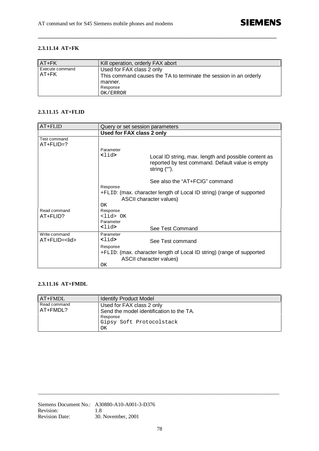## **2.3.11.14 AT+FK**

| <b>AT+FK</b>             | Kill operation, orderly FAX abort                                                              |
|--------------------------|------------------------------------------------------------------------------------------------|
| Execute command<br>AT+FK | Used for FAX class 2 only<br>This command causes the TA to terminate the session in an orderly |
|                          | manner.                                                                                        |
|                          | Response                                                                                       |
|                          | OK/ERROR                                                                                       |

**\_\_\_\_\_\_\_\_\_\_\_\_\_\_\_\_\_\_\_\_\_\_\_\_\_\_\_\_\_\_\_\_\_\_\_\_\_\_\_\_\_\_\_\_\_\_\_\_\_\_\_\_\_\_\_\_\_\_\_\_\_\_\_\_\_\_\_\_\_\_\_\_\_\_\_\_\_\_\_\_\_\_\_\_\_\_\_\_\_**

#### **2.3.11.15 AT+FLID**

| $AT + FLID$                           | Query or set session parameters  |                                                                                                                             |
|---------------------------------------|----------------------------------|-----------------------------------------------------------------------------------------------------------------------------|
|                                       | <b>Used for FAX class 2 only</b> |                                                                                                                             |
| Test command<br>$AT + FLID = ?$       |                                  |                                                                                                                             |
|                                       | Parameter                        |                                                                                                                             |
|                                       | <lid></lid>                      | Local ID string, max. length and possible content as<br>reported by test command. Default value is empty<br>string $("")$ . |
|                                       |                                  | See also the "AT+FCIG" command                                                                                              |
|                                       | Response                         |                                                                                                                             |
|                                       |                                  | +FLID: (max. character length of Local ID string) (range of supported                                                       |
|                                       |                                  | ASCII character values)                                                                                                     |
|                                       | OΚ                               |                                                                                                                             |
| Read command                          | Response                         |                                                                                                                             |
| AT+FLID?                              | $\langle$ lid> OK                |                                                                                                                             |
|                                       | Parameter                        |                                                                                                                             |
|                                       | <lid></lid>                      | See Test Command                                                                                                            |
| Write command<br>AT+FLID= <lid></lid> | Parameter<br><lid></lid>         | See Test command                                                                                                            |
|                                       | Response                         |                                                                                                                             |
|                                       |                                  | +FLID: (max. character length of Local ID string) (range of supported                                                       |
|                                       |                                  | ASCII character values)                                                                                                     |
|                                       | ΟK                               |                                                                                                                             |

### **2.3.11.16 AT+FMDL**

| AT+FMDL                  | <b>Identify Product Model</b>                                         |
|--------------------------|-----------------------------------------------------------------------|
| Read command<br>AT+FMDL? | Used for FAX class 2 only<br>Send the model identification to the TA. |
|                          | Response<br>Gipsy Soft Protocolstack<br>OK                            |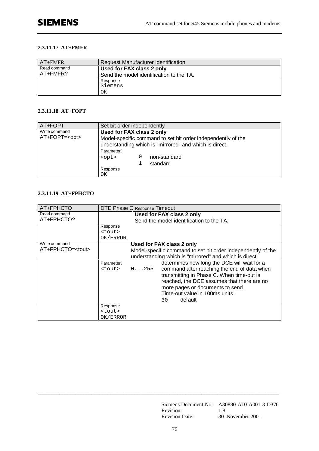#### **2.3.11.17 AT+FMFR**

| AT+FMFR      | <b>Request Manufacturer Identification</b> |
|--------------|--------------------------------------------|
| Read command | Used for FAX class 2 only                  |
| AT+FMFR?     | Send the model identification to the TA.   |
|              | Response                                   |
|              | Siemens                                    |
|              | ΟK                                         |

## **2.3.11.18 AT+FOPT**

| AT+FOPT                               | Set bit order independently                                                                                                                                                                                                 |
|---------------------------------------|-----------------------------------------------------------------------------------------------------------------------------------------------------------------------------------------------------------------------------|
| Write command<br>AT+FOPT= <opt></opt> | Used for FAX class 2 only<br>Model-specific command to set bit order independently of the<br>understanding which is "mirrored" and which is direct.<br>Parameter:<br>non-standard<br>$<$ opt><br>standard<br>Response<br>ΟK |

## **2.3.11.19 AT+FPHCTO**

| AT+FPHCTO                                 | DTE Phase C Response Timeout                               |                                                                                                                                                                                                                                                                                                                                                                                                                                                       |  |  |
|-------------------------------------------|------------------------------------------------------------|-------------------------------------------------------------------------------------------------------------------------------------------------------------------------------------------------------------------------------------------------------------------------------------------------------------------------------------------------------------------------------------------------------------------------------------------------------|--|--|
| Read command<br>AT+FPHCTO?                |                                                            | Used for FAX class 2 only<br>Send the model identification to the TA.                                                                                                                                                                                                                                                                                                                                                                                 |  |  |
|                                           | Response<br><tout><br/>OK/ERROR</tout>                     |                                                                                                                                                                                                                                                                                                                                                                                                                                                       |  |  |
| Write command<br>AT+FPHCTO= <tout></tout> | Parameter:<br><tout><br/>Response<br/><tout></tout></tout> | Used for FAX class 2 only<br>Model-specific command to set bit order independently of the<br>understanding which is "mirrored" and which is direct.<br>determines how long the DCE will wait for a<br>command after reaching the end of data when<br>$0 \ldots 255$<br>transmitting in Phase C. When time-out is<br>reached, the DCE assumes that there are no<br>more pages or documents to send.<br>Time-out value in 100ms units.<br>default<br>30 |  |  |
|                                           | OK/ERROR                                                   |                                                                                                                                                                                                                                                                                                                                                                                                                                                       |  |  |

Siemens Document No.: A30880-A10-A001-3-D376 Revision: 1.8<br>Revision Date: 30. November.2001 Revision Date: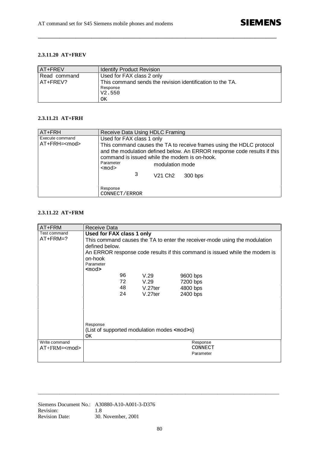#### **2.3.11.20 AT+FREV**

| <b>AT+FREV</b> | <b>Identify Product Revision</b>                          |  |  |  |
|----------------|-----------------------------------------------------------|--|--|--|
| Read command   | Used for FAX class 2 only                                 |  |  |  |
| AT+FREV?       | This command sends the revision identification to the TA. |  |  |  |
|                | Response                                                  |  |  |  |
|                | V2.550                                                    |  |  |  |
|                | ΟK                                                        |  |  |  |

**\_\_\_\_\_\_\_\_\_\_\_\_\_\_\_\_\_\_\_\_\_\_\_\_\_\_\_\_\_\_\_\_\_\_\_\_\_\_\_\_\_\_\_\_\_\_\_\_\_\_\_\_\_\_\_\_\_\_\_\_\_\_\_\_\_\_\_\_\_\_\_\_\_\_\_\_\_\_\_\_\_\_\_\_\_\_\_\_\_**

#### **2.3.11.21 AT+FRH**

| AT+FRH                                 | Receive Data Using HDLC Framing                                                                  |   |                                        |                                                                                                                                                             |
|----------------------------------------|--------------------------------------------------------------------------------------------------|---|----------------------------------------|-------------------------------------------------------------------------------------------------------------------------------------------------------------|
| Execute command<br>AT+FRH= <mod></mod> | Used for FAX class 1 only<br>command is issued while the modem is on-hook.<br>Parameter<br>$mod$ | 3 | modulation mode<br>V21 Ch <sub>2</sub> | This command causes the TA to receive frames using the HDLC protocol<br>and the modulation defined below. An ERROR response code results if this<br>300 bps |
|                                        | Response<br>CONNECT/ERROR                                                                        |   |                                        |                                                                                                                                                             |

#### **2.3.11.22 AT+FRM**

| AT+FRM                               | Receive Data                                                                                                                                                                                                                                    |  |  |  |  |  |
|--------------------------------------|-------------------------------------------------------------------------------------------------------------------------------------------------------------------------------------------------------------------------------------------------|--|--|--|--|--|
| Test command<br>$AT+FRM=?$           | Used for FAX class 1 only<br>This command causes the TA to enter the receiver-mode using the modulation<br>defined below.<br>An ERROR response code results if this command is issued while the modem is<br>on-hook<br>Parameter<br><mod></mod> |  |  |  |  |  |
|                                      | 96<br>V.29<br>9600 bps<br>72<br>V.29<br>7200 bps<br>48<br>$V.27$ ter<br>4800 bps<br>24<br>$V.27$ ter<br>2400 bps                                                                                                                                |  |  |  |  |  |
|                                      | Response<br>(List of supported modulation modes <mod>s)<br/>OK</mod>                                                                                                                                                                            |  |  |  |  |  |
| Write command<br>$AT + FRM = <$ mod> | Response<br>CONNECT<br>Parameter                                                                                                                                                                                                                |  |  |  |  |  |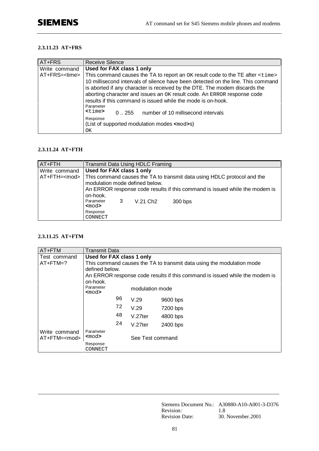#### **2.3.11.23 AT+FRS**

| AT+FRS                | Receive Silence                                                                                                                                                                                                                                                                                                        |
|-----------------------|------------------------------------------------------------------------------------------------------------------------------------------------------------------------------------------------------------------------------------------------------------------------------------------------------------------------|
| Write command         | Used for FAX class 1 only                                                                                                                                                                                                                                                                                              |
| AT+FRS= <time></time> | This command causes the TA to report an OK result code to the TE after <time></time>                                                                                                                                                                                                                                   |
|                       | 10 millisecond intervals of silence have been detected on the line. This command<br>is aborted if any character is received by the DTE. The modem discards the<br>aborting character and issues an OK result code. An ERROR response code<br>results if this command is issued while the mode is on-hook.<br>Parameter |
|                       | $<$ time $>$<br>number of 10 millisecond intervals<br>0.255                                                                                                                                                                                                                                                            |
|                       | Response                                                                                                                                                                                                                                                                                                               |
|                       | (List of supported modulation modes <mod>s)</mod>                                                                                                                                                                                                                                                                      |
|                       | OK.                                                                                                                                                                                                                                                                                                                    |

### **2.3.11.24 AT+FTH**

| AT+FTH        | Transmit Data Using HDLC Framing                                                                                                                                                                                                                                  |   |                      |         |  |  |
|---------------|-------------------------------------------------------------------------------------------------------------------------------------------------------------------------------------------------------------------------------------------------------------------|---|----------------------|---------|--|--|
| Write command | <b>Used for FAX class 1 only</b><br>AT+FTH= <mod>   This command causes the TA to transmit data using HDLC protocol and the<br/>modulation mode defined below.<br/>An ERROR response code results if this command is issued while the modem is<br/>on-hook.</mod> |   |                      |         |  |  |
|               | Parameter<br>$mod$                                                                                                                                                                                                                                                | 3 | V.21 Ch <sub>2</sub> | 300 bps |  |  |
|               | Response<br>CONNECT                                                                                                                                                                                                                                               |   |                      |         |  |  |

#### **2.3.11.25 AT+FTM**

| AT+FTM              | Transmit Data                                                         |                              |                  |                                                                             |  |  |
|---------------------|-----------------------------------------------------------------------|------------------------------|------------------|-----------------------------------------------------------------------------|--|--|
| Test command        | Used for FAX class 1 only                                             |                              |                  |                                                                             |  |  |
| $AT + FTM = ?$      | This command causes the TA to transmit data using the modulation mode |                              |                  |                                                                             |  |  |
|                     | defined below.                                                        |                              |                  |                                                                             |  |  |
|                     |                                                                       |                              |                  | An ERROR response code results if this command is issued while the modem is |  |  |
|                     | on-hook.                                                              |                              |                  |                                                                             |  |  |
|                     | Parameter<br><mod></mod>                                              |                              | modulation mode  |                                                                             |  |  |
|                     |                                                                       | 96                           | V.29             | 9600 bps                                                                    |  |  |
|                     |                                                                       | 72                           | V.29             | 7200 bps                                                                    |  |  |
|                     |                                                                       | 48                           | $V.27$ ter       | 4800 bps                                                                    |  |  |
|                     |                                                                       | 24<br>$V.27$ ter<br>2400 bps |                  |                                                                             |  |  |
| Write command       | Parameter                                                             |                              |                  |                                                                             |  |  |
| AT+FTM= <mod></mod> | <mod></mod>                                                           |                              | See Test command |                                                                             |  |  |
|                     | Response<br>CONNECT                                                   |                              |                  |                                                                             |  |  |

\_\_\_\_\_\_\_\_\_\_\_\_\_\_\_\_\_\_\_\_\_\_\_\_\_\_\_\_\_\_\_\_\_\_\_\_\_\_\_\_\_\_\_\_\_\_\_\_\_\_\_\_\_\_\_\_\_\_\_\_\_\_\_\_\_\_\_\_\_\_\_\_\_\_\_\_\_\_\_\_\_\_\_\_\_\_\_\_\_\_

Siemens Document No.: A30880-A10-A001-3-D376 Revision: 1.8<br>Revision Date: 30. November.2001 Revision Date: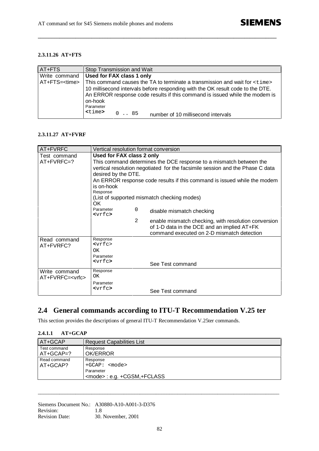## **2.3.11.26 AT+FTS**

| AT+FTS                | Stop Transmission and Wait                                                                                                                                                            |
|-----------------------|---------------------------------------------------------------------------------------------------------------------------------------------------------------------------------------|
| Write command         | Used for FAX class 1 only                                                                                                                                                             |
| AT+FTS= <time></time> | This command causes the TA to terminate a transmission and wait for <time></time>                                                                                                     |
|                       | 10 millisecond intervals before responding with the OK result code to the DTE.<br>An ERROR response code results if this command is issued while the modem is<br>on-hook<br>Parameter |
|                       | <time><br/><math>0 \ldots 85</math><br/>number of 10 millisecond intervals</time>                                                                                                     |

**\_\_\_\_\_\_\_\_\_\_\_\_\_\_\_\_\_\_\_\_\_\_\_\_\_\_\_\_\_\_\_\_\_\_\_\_\_\_\_\_\_\_\_\_\_\_\_\_\_\_\_\_\_\_\_\_\_\_\_\_\_\_\_\_\_\_\_\_\_\_\_\_\_\_\_\_\_\_\_\_\_\_\_\_\_\_\_\_\_**

#### **2.3.11.27 AT+FVRF**

| AT+FVRFC                | Vertical resolution format conversion                              |                                                                               |                                                                          |  |  |
|-------------------------|--------------------------------------------------------------------|-------------------------------------------------------------------------------|--------------------------------------------------------------------------|--|--|
| Test command            | Used for FAX class 2 only                                          |                                                                               |                                                                          |  |  |
| AT+FVRFC=?              | This command determines the DCE response to a mismatch between the |                                                                               |                                                                          |  |  |
|                         |                                                                    | vertical resolution negotiated for the facsimile session and the Phase C data |                                                                          |  |  |
|                         | desired by the DTE.                                                |                                                                               |                                                                          |  |  |
|                         |                                                                    |                                                                               | An ERROR response code results if this command is issued while the modem |  |  |
|                         | is on-hook                                                         |                                                                               |                                                                          |  |  |
|                         | Response                                                           |                                                                               |                                                                          |  |  |
|                         | OK.                                                                |                                                                               | (List of supported mismatch checking modes)                              |  |  |
|                         | Parameter                                                          | 0                                                                             |                                                                          |  |  |
|                         | $<$ vrf $<$ >                                                      |                                                                               | disable mismatch checking                                                |  |  |
|                         |                                                                    | 2                                                                             | enable mismatch checking, with resolution conversion                     |  |  |
|                         |                                                                    |                                                                               | of 1-D data in the DCE and an implied AT+FK                              |  |  |
|                         |                                                                    |                                                                               | command executed on 2-D mismatch detection                               |  |  |
| Read command            | Response                                                           |                                                                               |                                                                          |  |  |
| AT+FVRFC?               | $<$ vrf $<$                                                        |                                                                               |                                                                          |  |  |
|                         | OK<br>Parameter                                                    |                                                                               |                                                                          |  |  |
|                         | $<$ vrf $<$ >                                                      |                                                                               |                                                                          |  |  |
|                         |                                                                    |                                                                               | See Test command                                                         |  |  |
| Write command           | Response                                                           |                                                                               |                                                                          |  |  |
| AT+FVRFC= <vrfc></vrfc> | OK                                                                 |                                                                               |                                                                          |  |  |
|                         | Parameter                                                          |                                                                               |                                                                          |  |  |
|                         | $<$ vrfc $>$                                                       |                                                                               | See Test command                                                         |  |  |

## **2.4 General commands according to ITU-T Recommendation V.25 ter**

This section provides the descriptions of general ITU-T Recommendation V.25ter commands.

| 2.4.1.1<br>$AT+GCAP$        |                                                                                  |  |  |  |
|-----------------------------|----------------------------------------------------------------------------------|--|--|--|
| AT+GCAP                     | <b>Request Capabilities List</b>                                                 |  |  |  |
| Test command<br>$AT+GCAP=?$ | Response<br>OK/ERROR                                                             |  |  |  |
| Read command<br>AT+GCAP?    | Response<br>$+GCAP:$ $<$ mode><br>Parameter<br><mode>: e.g. +CGSM,+FCLASS</mode> |  |  |  |

\_\_\_\_\_\_\_\_\_\_\_\_\_\_\_\_\_\_\_\_\_\_\_\_\_\_\_\_\_\_\_\_\_\_\_\_\_\_\_\_\_\_\_\_\_\_\_\_\_\_\_\_\_\_\_\_\_\_\_\_\_\_\_\_\_\_\_\_\_\_\_\_\_\_\_\_\_\_\_\_\_\_\_\_\_\_\_\_\_\_

#### Siemens Document No.: A30880-A10-A001-3-D376 Revision: 1.8 Revision Date: 30. November, 2001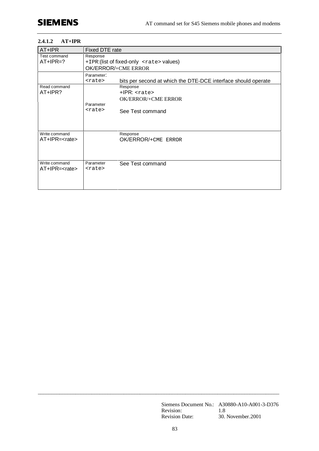#### **2.4.1.2 AT+IPR**

| AT+IPR                                 | Fixed DTE rate                                                                                           |  |  |  |  |
|----------------------------------------|----------------------------------------------------------------------------------------------------------|--|--|--|--|
| Test command<br>$AT+IPR=?$             | Response<br>+IPR: (list of fixed-only <rate> values)<br/>OK/ERROR/+CME ERROR</rate>                      |  |  |  |  |
|                                        | Parameter:<br>bits per second at which the DTE-DCE interface should operate<br><rate></rate>             |  |  |  |  |
| Read command<br>AT+IPR?                | Response<br>$+$ IPR: $<$ rate><br>OK/ERROR/+CME ERROR<br>Parameter<br><rate><br/>See Test command</rate> |  |  |  |  |
| Write command<br>AT+IPR= <rate></rate> | Response<br>OK/ERROR/+CME ERROR                                                                          |  |  |  |  |
| Write command<br>AT+IPR= <rate></rate> | Parameter<br>See Test command<br><rate></rate>                                                           |  |  |  |  |

Siemens Document No.: A30880-A10-A001-3-D376 Revision: 1.8 Revision Date: 30. November.2001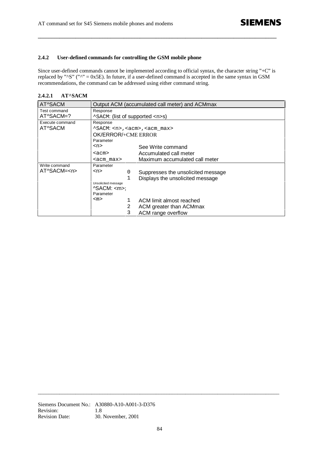#### **2.4.2 User-defined commands for controlling the GSM mobile phone**

Since user-defined commands cannot be implemented according to official syntax, the character string "+C" is replaced by " $\text{S}$ " (" $\text{N}$ " = 0x5E). In future, if a user-defined command is accepted in the same syntax in GSM recommendations, the command can be addressed using either command string.

**\_\_\_\_\_\_\_\_\_\_\_\_\_\_\_\_\_\_\_\_\_\_\_\_\_\_\_\_\_\_\_\_\_\_\_\_\_\_\_\_\_\_\_\_\_\_\_\_\_\_\_\_\_\_\_\_\_\_\_\_\_\_\_\_\_\_\_\_\_\_\_\_\_\_\_\_\_\_\_\_\_\_\_\_\_\_\_\_\_**

**2.4.2.1 AT^SACM**

| AT^SACM          | Output ACM (accumulated call meter) and ACMmax       |   |                                                |  |
|------------------|------------------------------------------------------|---|------------------------------------------------|--|
| Test command     | Response                                             |   |                                                |  |
| AT^SACM=?        | ^SACM: (list of supported <n>s)</n>                  |   |                                                |  |
| Execute command  | Response                                             |   |                                                |  |
| AT^SACM          |                                                      |   | ^SACM: <n>,<acm>,<acm_max></acm_max></acm></n> |  |
|                  | OK/ERROR/+CME ERROR                                  |   |                                                |  |
|                  | Parameter                                            |   |                                                |  |
|                  | <n></n>                                              |   | See Write command                              |  |
|                  | <acm></acm>                                          |   | Accumulated call meter                         |  |
|                  | Maximum accumulated call meter<br><acm max=""></acm> |   |                                                |  |
| Write command    | Parameter                                            |   |                                                |  |
| AT^SACM= <n></n> | <n></n>                                              | 0 | Suppresses the unsolicited message             |  |
|                  |                                                      | 1 | Displays the unsolicited message               |  |
|                  | Unsolicited message                                  |   |                                                |  |
|                  | $\triangle$ SACM: $\angle$ m>;                       |   |                                                |  |
|                  | Parameter                                            |   |                                                |  |
|                  | $<$ m $>$                                            | 1 | ACM limit almost reached                       |  |
|                  |                                                      | 2 | ACM greater than ACMmax                        |  |
|                  |                                                      | 3 | ACM range overflow                             |  |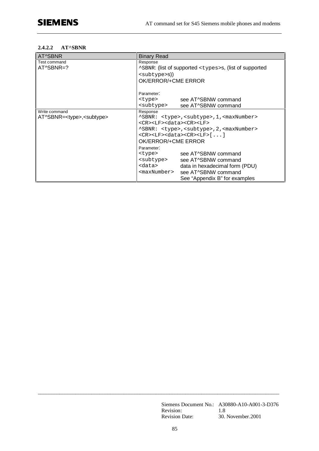#### **2.4.2.2 AT^SBNR**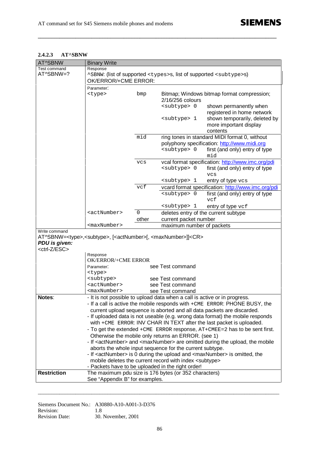#### **2.4.2.3 AT^SBNW**

| AT^SBNW                  | <b>Binary Write</b>                                                                                       |             |                                                                  |                                                                                                    |  |
|--------------------------|-----------------------------------------------------------------------------------------------------------|-------------|------------------------------------------------------------------|----------------------------------------------------------------------------------------------------|--|
| Test command             | Response                                                                                                  |             |                                                                  |                                                                                                    |  |
| AT^SBNW=?                | ^SBNW: (list of supported <types>s, list of supported <subtype>s)</subtype></types>                       |             |                                                                  |                                                                                                    |  |
|                          | OK/ERROR/+CME ERROR:                                                                                      |             |                                                                  |                                                                                                    |  |
|                          | Parameter:                                                                                                |             |                                                                  |                                                                                                    |  |
|                          | <type></type>                                                                                             | bmp         |                                                                  | Bitmap; Windows bitmap format compression;                                                         |  |
|                          |                                                                                                           |             | 2/16/256 colours                                                 |                                                                                                    |  |
|                          |                                                                                                           |             | <subtype> 0</subtype>                                            | shown permanently when                                                                             |  |
|                          |                                                                                                           |             | <subtype> 1</subtype>                                            | registered in home network                                                                         |  |
|                          |                                                                                                           |             |                                                                  | shown temporarily, deleted by<br>more important display                                            |  |
|                          |                                                                                                           |             |                                                                  | contents                                                                                           |  |
|                          |                                                                                                           | mid         |                                                                  | ring tones in standard MIDI format 0, without                                                      |  |
|                          |                                                                                                           |             |                                                                  | polyphony specification: http://www.midi.org                                                       |  |
|                          |                                                                                                           |             | <subtype> 0</subtype>                                            | first (and only) entry of type                                                                     |  |
|                          |                                                                                                           |             |                                                                  | mid                                                                                                |  |
|                          |                                                                                                           | <b>VCS</b>  |                                                                  | vcal format specification: http://www.imc.org/pdi                                                  |  |
|                          |                                                                                                           |             | <subtype> 0</subtype>                                            | first (and only) entry of type                                                                     |  |
|                          |                                                                                                           |             |                                                                  | <b>VCS</b>                                                                                         |  |
|                          |                                                                                                           |             | <subtype> 1</subtype>                                            | entry of type vcs                                                                                  |  |
|                          |                                                                                                           | vcf         | <subtype> 0</subtype>                                            | vcard format specification: http://www.imc.org/pdi                                                 |  |
|                          |                                                                                                           |             |                                                                  | first (and only) entry of type<br>vcf                                                              |  |
|                          |                                                                                                           |             | <subtype> 1</subtype>                                            | entry of type vcf                                                                                  |  |
|                          | <actnumber></actnumber>                                                                                   | $\mathbf 0$ | deletes entry of the current subtype                             |                                                                                                    |  |
|                          |                                                                                                           | other       | current packet number                                            |                                                                                                    |  |
|                          | <maxnumber></maxnumber>                                                                                   |             | maximum number of packets                                        |                                                                                                    |  |
| Write command            | AT^SBNW= <type>,<subtype>, [<actnumber>[, <maxnumber>]]<cr></cr></maxnumber></actnumber></subtype></type> |             |                                                                  |                                                                                                    |  |
| PDU is given:            |                                                                                                           |             |                                                                  |                                                                                                    |  |
| <ctrl-z esc=""></ctrl-z> |                                                                                                           |             |                                                                  |                                                                                                    |  |
|                          | Response                                                                                                  |             |                                                                  |                                                                                                    |  |
|                          | <b>OK/ERROR/+CME ERROR</b>                                                                                |             |                                                                  |                                                                                                    |  |
|                          | Parameter:                                                                                                |             | see Test command                                                 |                                                                                                    |  |
|                          | <type><br/><subtype></subtype></type>                                                                     |             | see Test command                                                 |                                                                                                    |  |
|                          | <actnumber></actnumber>                                                                                   |             | see Test command                                                 |                                                                                                    |  |
|                          | <maxnumber></maxnumber>                                                                                   |             | see Test command                                                 |                                                                                                    |  |
| Notes:                   |                                                                                                           |             |                                                                  | It is not possible to upload data when a call is active or in progress.                            |  |
|                          |                                                                                                           |             |                                                                  | - If a call is active the mobile responds with +CME ERROR: PHONE BUSY, the                         |  |
|                          |                                                                                                           |             |                                                                  | current upload sequence is aborted and all data packets are discarded.                             |  |
|                          |                                                                                                           |             |                                                                  | - If uploaded data is not useable (e.g. wrong data format) the mobile responds                     |  |
|                          |                                                                                                           |             |                                                                  | with +CME ERROR: INV CHAR IN TEXT after the last packet is uploaded.                               |  |
|                          |                                                                                                           |             |                                                                  | - To get the extended $+$ CME ERROR response, $AT + CMEE = 2$ has to be sent first.                |  |
|                          |                                                                                                           |             | Otherwise the mobile only returns an ERROR. (see 1)              |                                                                                                    |  |
|                          |                                                                                                           |             | aborts the whole input sequence for the current subtype.         | - If <actnumber> and <maxnumber> are omitted during the upload, the mobile</maxnumber></actnumber> |  |
|                          |                                                                                                           |             |                                                                  | - If <actnumber> is 0 during the upload and <maxnumber> is omitted, the</maxnumber></actnumber>    |  |
|                          |                                                                                                           |             | mobile deletes the current record with index <subtype></subtype> |                                                                                                    |  |
|                          | - Packets have to be uploaded in the right order!                                                         |             |                                                                  |                                                                                                    |  |
| <b>Restriction</b>       | The maximum pdu size is 176 bytes (or 352 characters)                                                     |             |                                                                  |                                                                                                    |  |
|                          | See "Appendix B" for examples.                                                                            |             |                                                                  |                                                                                                    |  |

**\_\_\_\_\_\_\_\_\_\_\_\_\_\_\_\_\_\_\_\_\_\_\_\_\_\_\_\_\_\_\_\_\_\_\_\_\_\_\_\_\_\_\_\_\_\_\_\_\_\_\_\_\_\_\_\_\_\_\_\_\_\_\_\_\_\_\_\_\_\_\_\_\_\_\_\_\_\_\_\_\_\_\_\_\_\_\_\_\_**

Siemens Document No.: A30880-A10-A001-3-D376 Revision: 1.8 Revision Date: 30. November, 2001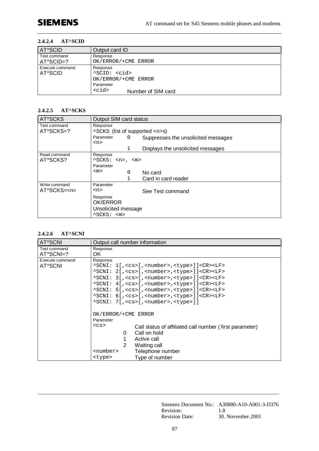#### **2.4.2.4 AT^SCID**

| <b>AT^SCID</b>             | Output card ID                                                                                                                        |
|----------------------------|---------------------------------------------------------------------------------------------------------------------------------------|
| Test command<br>AT^SCID=?  | Response<br>OK/ERROR/+CME ERROR                                                                                                       |
| Execute command<br>AT^SCID | Response<br>^SCID: <cid><br/>OK/ERROR/+CME ERROR<br/>Parameter<br/><math>&lt;</math>cid<math>&gt;</math><br/>Number of SIM card</cid> |

#### **2.4.2.5 AT^SCKS**

| AT^SCKS          | Output SIM card status                                       |  |  |
|------------------|--------------------------------------------------------------|--|--|
| Test command     | Response                                                     |  |  |
| AT^SCKS=?        | ^SCKS: (list of supported <n>s)</n>                          |  |  |
|                  | Parameter<br>$\Omega$<br>Suppresses the unsolicited messages |  |  |
|                  | $<$ n>                                                       |  |  |
|                  | $\mathbf{1}$<br>Displays the unsolicited messages            |  |  |
| Read command     | Response                                                     |  |  |
| AT^SCKS?         | $^s$ SCKS: $\langle n \rangle$ , $\langle m \rangle$         |  |  |
|                  | Parameter                                                    |  |  |
|                  | $<$ m $>$<br>No card<br>0                                    |  |  |
|                  | Card in card reader                                          |  |  |
| Write command    | Parameter                                                    |  |  |
| AT^SCKS= <n></n> | $<$ n><br>See Test command                                   |  |  |
|                  | Response                                                     |  |  |
|                  | OK/ERROR                                                     |  |  |
|                  | Unsolicited message                                          |  |  |
|                  | $\text{SCKS}:$ $\text{cm}$                                   |  |  |

### **2.4.2.6 AT^SCNI**

| AT^SCNI         | Output call number information                                              |  |  |  |  |  |
|-----------------|-----------------------------------------------------------------------------|--|--|--|--|--|
| Test command    | Response                                                                    |  |  |  |  |  |
| AT^SCNI=?       | OK.                                                                         |  |  |  |  |  |
| Execute command | Response                                                                    |  |  |  |  |  |
| AT^SCNI         | ^SCNI: 1[, <cs>[,<number>,<type>]]<cr><lf></lf></cr></type></number></cs>   |  |  |  |  |  |
|                 | ^SCNI: 2[, <cs>[,<number>,<type>]]<cr><lf></lf></cr></type></number></cs>   |  |  |  |  |  |
|                 | ^SCNI: 3[, <cs>[,<number>,<type>]]<cr><lf></lf></cr></type></number></cs>   |  |  |  |  |  |
|                 | ^SCNI: 4[, <cs>[, <number>, <type>]]<cr><lf></lf></cr></type></number></cs> |  |  |  |  |  |
|                 | ^SCNI: 5[, <cs>[,<number>,<type>]]<cr><lf></lf></cr></type></number></cs>   |  |  |  |  |  |
|                 | ^SCNI: 6[, <cs>[,<number>,<type>]]<cr><lf></lf></cr></type></number></cs>   |  |  |  |  |  |
|                 | ^SCNI: 7[, <cs>[,<number>,<type>]]</type></number></cs>                     |  |  |  |  |  |
|                 | OK/ERROR/+CME ERROR                                                         |  |  |  |  |  |
|                 | Parameter                                                                   |  |  |  |  |  |
|                 | $<$ CS $>$<br>Call status of affiliated call number (first parameter)       |  |  |  |  |  |
|                 | Call on hold<br>0                                                           |  |  |  |  |  |
|                 | Active call                                                                 |  |  |  |  |  |
|                 |                                                                             |  |  |  |  |  |
|                 | $\mathbf{2}$<br>Waiting call                                                |  |  |  |  |  |
|                 | <number><br/>Telephone number</number>                                      |  |  |  |  |  |
|                 | Type of number<br><type></type>                                             |  |  |  |  |  |

\_\_\_\_\_\_\_\_\_\_\_\_\_\_\_\_\_\_\_\_\_\_\_\_\_\_\_\_\_\_\_\_\_\_\_\_\_\_\_\_\_\_\_\_\_\_\_\_\_\_\_\_\_\_\_\_\_\_\_\_\_\_\_\_\_\_\_\_\_\_\_\_\_\_\_\_\_\_\_\_\_\_\_\_\_\_\_\_\_\_

Siemens Document No.: A30880-A10-A001-3-D376 Revision: 1.8 Revision Date: 30. November.2001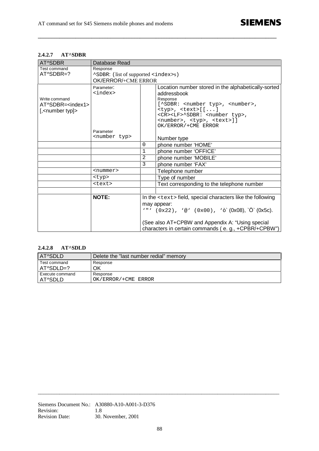## **2.4.2.7 AT^SDBR**

| AT^SDBR                                                                     | Database Read                               |   |                                                                                                                                                                                                                                                                                                                                                   |
|-----------------------------------------------------------------------------|---------------------------------------------|---|---------------------------------------------------------------------------------------------------------------------------------------------------------------------------------------------------------------------------------------------------------------------------------------------------------------------------------------------------|
| Test command                                                                | Response                                    |   |                                                                                                                                                                                                                                                                                                                                                   |
| AT^SDBR=?                                                                   | "SDBR: (list of supported <index>s)</index> |   |                                                                                                                                                                                                                                                                                                                                                   |
|                                                                             | OK/ERROR/+CME ERROR                         |   |                                                                                                                                                                                                                                                                                                                                                   |
| Write command<br>AT^SDBR= <index1><br/>[,<number typ]=""></number></index1> | Parameter:<br><index><br/>Parameter</index> |   | Location number stored in the alphabetically-sorted<br>addressbook<br>Response<br>[^SDBR: <number typ="">, <number>,<br/><math>&lt;</math>typ&gt;, <math>&lt;</math>text&gt;<math>[ ]</math><br/><cr><lf>^SDBR: <number typ="">,<br/><number>, <typ>, <text>]]<br/>OK/ERROR/+CME ERROR</text></typ></number></number></lf></cr></number></number> |
|                                                                             | <number typ=""></number>                    |   | Number type                                                                                                                                                                                                                                                                                                                                       |
|                                                                             |                                             | 0 | phone number 'HOME'                                                                                                                                                                                                                                                                                                                               |
|                                                                             |                                             | 1 | phone number 'OFFICE'                                                                                                                                                                                                                                                                                                                             |
|                                                                             |                                             | 2 | phone number 'MOBILE'                                                                                                                                                                                                                                                                                                                             |
|                                                                             |                                             | 3 | phone number 'FAX'                                                                                                                                                                                                                                                                                                                                |
|                                                                             | <nummer></nummer>                           |   | Telephone number                                                                                                                                                                                                                                                                                                                                  |
|                                                                             | <typ></typ>                                 |   | Type of number                                                                                                                                                                                                                                                                                                                                    |
|                                                                             | <text></text>                               |   | Text corresponding to the telephone number                                                                                                                                                                                                                                                                                                        |
|                                                                             |                                             |   |                                                                                                                                                                                                                                                                                                                                                   |
|                                                                             | <b>NOTE:</b>                                |   | In the <text> field, special characters like the following<br/>may appear:<br/>'"' <math>(0x22)</math>, '@' <math>(0x00)</math>, 'ò <math>(0x08)</math>, `Ö́ <math>(0x5c)</math>.<br/>(See also AT+CPBW and Appendix A: "Using special<br/>characters in certain commands (e. g., +CPBR/+CPBW")</text>                                            |

**\_\_\_\_\_\_\_\_\_\_\_\_\_\_\_\_\_\_\_\_\_\_\_\_\_\_\_\_\_\_\_\_\_\_\_\_\_\_\_\_\_\_\_\_\_\_\_\_\_\_\_\_\_\_\_\_\_\_\_\_\_\_\_\_\_\_\_\_\_\_\_\_\_\_\_\_\_\_\_\_\_\_\_\_\_\_\_\_\_**

#### **2.4.2.8 AT^SDLD**

| AT^SDLD         | Delete the "last number redial" memory |
|-----------------|----------------------------------------|
| Test command    | Response                               |
| $AT8 DLD=?$     | ΟK                                     |
| Execute command | Response                               |
| AT^SDLD         | OK/ERROR/+CME ERROR                    |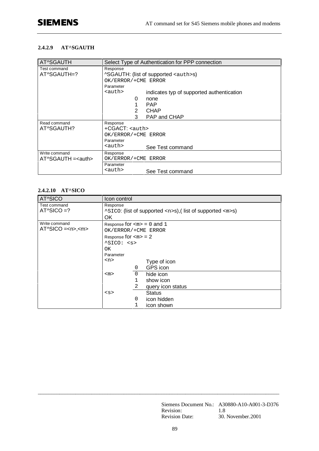#### **2.4.2.9 AT^SGAUTH**

| AT^SGAUTH                       | Select Type of Authentication for PPP connection                                                                                       |  |  |
|---------------------------------|----------------------------------------------------------------------------------------------------------------------------------------|--|--|
| Test command<br>AT^SGAUTH=?     | Response<br><b>^SGAUTH:</b> (list of supported <auth>s)<br/>OK/ERROR/+CME ERROR<br/>Parameter</auth>                                   |  |  |
|                                 | <auth><br/>indicates typ of supported authentication<br/>0<br/>none<br/><b>PAP</b><br/><b>CHAP</b><br/>2<br/>3<br/>PAP and CHAP</auth> |  |  |
| Read command<br>AT^SGAUTH?      | Response<br>$+CGACT:$ $\langle \text{auth} \rangle$<br>OK/ERROR/+CME ERROR<br>Parameter<br><auth><br/>See Test command</auth>          |  |  |
| Write command<br>$AT8GAUTH = 3$ | Response<br>OK/ERROR/+CME ERROR<br>Parameter<br><auth><br/>See Test command</auth>                                                     |  |  |

#### **2.4.2.10 AT^SICO**

| AT^SICO                          | Icon control                                                                                     |             |                   |
|----------------------------------|--------------------------------------------------------------------------------------------------|-------------|-------------------|
| Test command<br>$AT^sSICO = ?$   | Response<br>$\textdegree$ SICO: (list of supported <n>s),(list of supported <m>s)<br/>OK</m></n> |             |                   |
| Write command<br>$AT^sSICO = ~~$ | Response for $\langle m \rangle = 0$ and 1<br>OK/ERROR/+CME ERROR                                |             |                   |
|                                  | Response for $\langle m \rangle = 2$                                                             |             |                   |
|                                  | $^sSICO: $                                                                                       |             |                   |
|                                  | OK.                                                                                              |             |                   |
|                                  | Parameter                                                                                        |             |                   |
|                                  | $<$ n $>$<br>Type of icon                                                                        |             |                   |
|                                  |                                                                                                  | 0           | GPS icon          |
|                                  | $<$ m $>$                                                                                        | $\mathbf 0$ | hide icon         |
|                                  |                                                                                                  | 1           | show icon         |
|                                  |                                                                                                  | 2           | query icon status |
|                                  | < s                                                                                              |             | <b>Status</b>     |
|                                  |                                                                                                  | 0           | icon hidden       |
|                                  |                                                                                                  | 1           | icon shown        |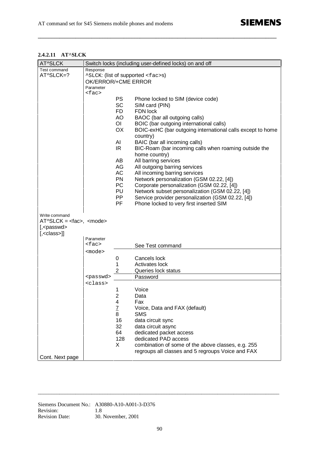### **2.4.2.11 AT^SLCK**

| AT^SLCK                                    |                     |                                         | Switch locks (including user-defined locks) on and off     |  |  |
|--------------------------------------------|---------------------|-----------------------------------------|------------------------------------------------------------|--|--|
| Test command                               | Response            |                                         |                                                            |  |  |
| AT^SLCK=?                                  |                     | ^SLCK: (list of supported <fac>s)</fac> |                                                            |  |  |
|                                            | OK/ERROR/+CME ERROR |                                         |                                                            |  |  |
|                                            | Parameter           |                                         |                                                            |  |  |
|                                            | $<$ fac>            |                                         |                                                            |  |  |
|                                            |                     | PS                                      | Phone locked to SIM (device code)                          |  |  |
|                                            |                     | <b>SC</b>                               | SIM card (PIN)                                             |  |  |
|                                            |                     | FD.                                     | FDN lock                                                   |  |  |
|                                            |                     | AO                                      | BAOC (bar all outgoing calls)                              |  |  |
|                                            |                     | OI.                                     | BOIC (bar outgoing international calls)                    |  |  |
|                                            |                     | OX                                      | BOIC-exHC (bar outgoing international calls except to home |  |  |
|                                            |                     |                                         | country)                                                   |  |  |
|                                            |                     | AI                                      | BAIC (bar all incoming calls)                              |  |  |
|                                            |                     | IR.                                     | BIC-Roam (bar incoming calls when roaming outside the      |  |  |
|                                            |                     |                                         | home country)                                              |  |  |
|                                            |                     | AB                                      | All barring services                                       |  |  |
|                                            |                     | AG                                      |                                                            |  |  |
|                                            |                     |                                         | All outgoing barring services                              |  |  |
|                                            |                     | AC                                      | All incoming barring services                              |  |  |
|                                            |                     | PN                                      | Network personalization (GSM 02.22, [4])                   |  |  |
|                                            |                     | PC                                      | Corporate personalization (GSM 02.22, [4])                 |  |  |
|                                            |                     | PU                                      | Network subset personalization (GSM 02.22, [4])            |  |  |
|                                            |                     | PP.                                     | Service provider personalization (GSM 02.22, [4])          |  |  |
|                                            |                     | PF.                                     | Phone locked to very first inserted SIM                    |  |  |
|                                            |                     |                                         |                                                            |  |  |
| Write command<br>$AToSLCK = eta$ , $o$ $o$ |                     |                                         |                                                            |  |  |
| $[$ , <passwd></passwd>                    |                     |                                         |                                                            |  |  |
| $[$ , <class>]]</class>                    |                     |                                         |                                                            |  |  |
|                                            | Parameter           |                                         |                                                            |  |  |
|                                            | <fac></fac>         |                                         | See Test command                                           |  |  |
|                                            | <mode></mode>       |                                         |                                                            |  |  |
|                                            |                     | 0                                       | Cancels lock                                               |  |  |
|                                            |                     |                                         |                                                            |  |  |
|                                            |                     | 1                                       | Activates lock                                             |  |  |
|                                            |                     | 2                                       | Queries lock status                                        |  |  |
|                                            | <passwd></passwd>   |                                         | Password                                                   |  |  |
|                                            | <class></class>     |                                         |                                                            |  |  |
|                                            |                     | 1                                       | Voice                                                      |  |  |
|                                            |                     | $\overline{2}$                          | Data                                                       |  |  |
|                                            |                     | 4                                       | Fax                                                        |  |  |
|                                            |                     | $\overline{L}$                          | Voice, Data and FAX (default)                              |  |  |
|                                            |                     | 8                                       | <b>SMS</b>                                                 |  |  |
|                                            |                     | 16                                      | data circuit sync                                          |  |  |
|                                            |                     | 32                                      | data circuit async                                         |  |  |
|                                            |                     | 64                                      | dedicated packet access                                    |  |  |
|                                            |                     | 128                                     | dedicated PAD access                                       |  |  |
|                                            |                     | X                                       | combination of some of the above classes, e.g. 255         |  |  |
|                                            |                     |                                         | regroups all classes and 5 regroups Voice and FAX          |  |  |
| Cont. Next page                            |                     |                                         |                                                            |  |  |

**\_\_\_\_\_\_\_\_\_\_\_\_\_\_\_\_\_\_\_\_\_\_\_\_\_\_\_\_\_\_\_\_\_\_\_\_\_\_\_\_\_\_\_\_\_\_\_\_\_\_\_\_\_\_\_\_\_\_\_\_\_\_\_\_\_\_\_\_\_\_\_\_\_\_\_\_\_\_\_\_\_\_\_\_\_\_\_\_\_**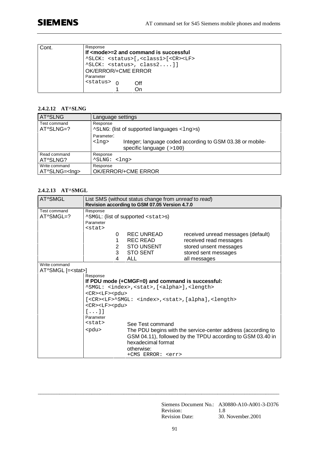# **SIEMENS**

| Cont. | Response<br>If $1$ mode $>=$ 2 and command is successful<br>^SLCK: <status>[,<class1>[<cr><lf><br/><math>^{\wedge}</math>SLCK: <status>, class2]]<br/>OK/ERROR/+CME ERROR<br/>Parameter</status></lf></cr></class1></status> |
|-------|------------------------------------------------------------------------------------------------------------------------------------------------------------------------------------------------------------------------------|
|       | <status><br/>∩ff<br/>Ωn</status>                                                                                                                                                                                             |

### **2.4.2.12 AT^SLNG**

| AT^SLNG              | Language settings                                                                                                                     |
|----------------------|---------------------------------------------------------------------------------------------------------------------------------------|
| Test command         | Response                                                                                                                              |
| AT^SLNG=?            | ^SLNG: (list of supported languages <1ng>s)                                                                                           |
|                      | Parameter:<br>Integer; language coded according to GSM 03.38 or mobile-<br><lnq><br/>specific language <math>(</math> &gt; 100)</lnq> |
| Read command         | Response                                                                                                                              |
| AT^SLNG?             | ^SLNG: <lng></lng>                                                                                                                    |
| Write command        | Response                                                                                                                              |
| AT^SLNG= <lng></lng> | OK/ERROR/+CME ERROR                                                                                                                   |

## **2.4.2.13 AT^SMGL**

| AT^SMGL                                    | List SMS (without status change from <i>unread</i> to <i>read</i> )<br>Revision according to GSM 07.05 Version 4.7.0 |                                                                                                                                 |                                                                                                                                |
|--------------------------------------------|----------------------------------------------------------------------------------------------------------------------|---------------------------------------------------------------------------------------------------------------------------------|--------------------------------------------------------------------------------------------------------------------------------|
| Test command<br>AT^SMGL=?                  | Response<br>Parameter<br>$<$ stat>                                                                                   | ^SMGL: (list of supported <stat>s)</stat>                                                                                       |                                                                                                                                |
|                                            | 0<br>1<br>2<br>3<br>4                                                                                                | REC UNREAD<br>REC READ<br><b>STO UNSENT</b><br><b>STO SENT</b><br>ALL                                                           | received unread messages (default)<br>received read messages<br>stored unsent messages<br>stored sent messages<br>all messages |
| Write command<br>AT^SMGL [= <stat>]</stat> | Response                                                                                                             | If PDU mode (+CMGF=0) and command is successful:<br>^SMGL: <index>, <stat>, [<alpha>], <length></length></alpha></stat></index> |                                                                                                                                |
|                                            | <cr><lf><pdu><br/><cr><lf><pdu><br/><math>\lceil \ldots \rceil</math><br/>Parameter</pdu></lf></cr></pdu></lf></cr>  |                                                                                                                                 | [ <cr><lf>^SMGL: <index>,<stat>,[alpha],<length></length></stat></index></lf></cr>                                             |
|                                            | $<$ stat><br>$<$ pdu $>$                                                                                             | See Test command<br>hexadecimal format<br>otherwise:<br>+CMS ERROR: <err></err>                                                 | The PDU begins with the service-center address (according to<br>GSM 04.11), followed by the TPDU according to GSM 03.40 in     |

Siemens Document No.: A30880-A10-A001-3-D376 Revision: 1.8<br>Revision Date: 30. November.2001 Revision Date: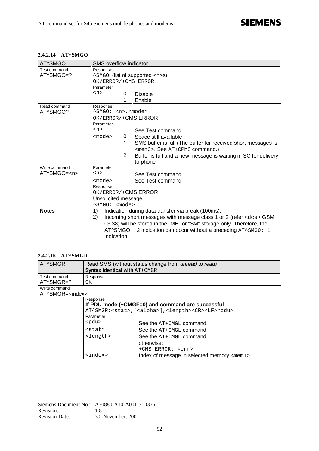## **2.4.2.14 AT^SMGO**

| AT^SMGO                           | SMS overflow indicator                                                                                                                                                                                                                                                                                                                                                                                                                                             |
|-----------------------------------|--------------------------------------------------------------------------------------------------------------------------------------------------------------------------------------------------------------------------------------------------------------------------------------------------------------------------------------------------------------------------------------------------------------------------------------------------------------------|
| Test command<br>AT^SMGO=?         | Response<br>^SMGO: (list of supported <n>s)<br/>OK/ERROR/+CMS ERROR<br/>Parameter</n>                                                                                                                                                                                                                                                                                                                                                                              |
|                                   | $<$ n><br>Disable<br>0<br>Enable                                                                                                                                                                                                                                                                                                                                                                                                                                   |
| Read command<br>AT^SMGO?          | Response<br>^SMGO: <n>,<mode><br/>OK/ERROR/+CMS ERROR<br/>Parameter<br/><math>&lt;</math>n<math>&gt;</math><br/>See Test command<br/>Space still available<br/><math>mode</math><br/>0<br/>SMS buffer is full (The buffer for received short messages is<br/><math>\mathbf{1}</math><br/><mem3>. See AT+CPMS command.)<br/>Buffer is full and a new message is waiting in SC for delivery<br/>2<br/>to phone</mem3></mode></n>                                     |
| Write command<br>AT^SMGO= <n></n> | Parameter<br>$n$<br>See Test command                                                                                                                                                                                                                                                                                                                                                                                                                               |
| <b>Notes</b>                      | See Test command<br>$mode$<br>Response<br>OK/ERROR/+CMS ERROR<br>Unsolicited message<br>$\text{SMGO}:$ $\text{6}$ $\text{6}$<br>Indication during data transfer via break (100ms).<br>1)<br>2)<br>Incoming short messages with message class 1 or 2 (refer <dcs> GSM<br/>03.38) will be stored in the "ME" or "SM" storage only. Therefore, the<br/><math>AT^</math>SMGO: 2 indication can occur without a preceding <math>AT^</math>SMGO: 1<br/>indication.</dcs> |

**\_\_\_\_\_\_\_\_\_\_\_\_\_\_\_\_\_\_\_\_\_\_\_\_\_\_\_\_\_\_\_\_\_\_\_\_\_\_\_\_\_\_\_\_\_\_\_\_\_\_\_\_\_\_\_\_\_\_\_\_\_\_\_\_\_\_\_\_\_\_\_\_\_\_\_\_\_\_\_\_\_\_\_\_\_\_\_\_\_**

## **2.4.2.15 AT^SMGR**

| AT^SMGR                  | Syntax identical with AT+CMGR | Read SMS (without status change from <i>unread</i> to <i>read</i> )                     |
|--------------------------|-------------------------------|-----------------------------------------------------------------------------------------|
| Test command             | Response                      |                                                                                         |
| AT^SMGR=?                | OK.                           |                                                                                         |
| Write command            |                               |                                                                                         |
| AT^SMGR= <index></index> |                               |                                                                                         |
|                          | Response                      |                                                                                         |
|                          |                               | If PDU mode (+CMGF=0) and command are successful:                                       |
|                          |                               | AT^SMGR: <stat>,[<alpha>],<length><cr><lf><pdu></pdu></lf></cr></length></alpha></stat> |
|                          | Parameter                     |                                                                                         |
|                          | $<$ pdu $>$                   | See the AT+CMGL command                                                                 |
|                          | <stat></stat>                 | See the $AT+CMGL$ command                                                               |
|                          | <length></length>             | See the $AT+CMGL$ command                                                               |
|                          |                               | otherwise:                                                                              |
|                          |                               | +CMS ERROR: <err></err>                                                                 |
|                          | <index></index>               | Index of message in selected memory <mem1></mem1>                                       |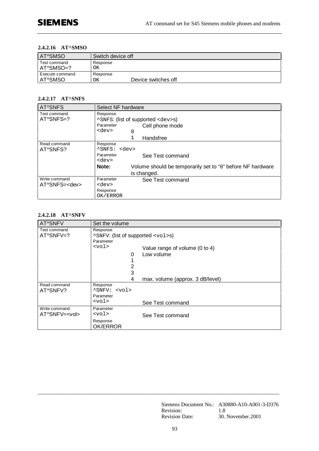#### **2.4.2.16 AT^SMSO**

| <b>AT^SMSO</b>               | Switch device off                     |
|------------------------------|---------------------------------------|
| Test command<br>$AT^$ SMSO=? | Response<br>ΟK                        |
| Execute command<br>AT^SMSO   | Response<br>Device switches off<br>ΟK |

## **2.4.2.17 AT^SNFS**

| AT^SNFS              | Select NF hardware |                                                            |
|----------------------|--------------------|------------------------------------------------------------|
| Test command         | Response           |                                                            |
| AT^SNFS=?            |                    | <sup>^</sup> SNFS: (list of supported <dev>s)</dev>        |
|                      | Parameter          | Cell phone mode                                            |
|                      | <dev><br/>0</dev>  |                                                            |
|                      |                    | Handsfree                                                  |
| Read command         | Response           |                                                            |
| AT^SNFS?             | ^SNFS: <dev></dev> |                                                            |
|                      | Parameter          | See Test command                                           |
|                      | <dev></dev>        |                                                            |
|                      | Note:              | Volume should be temporarily set to "0" before NF hardware |
|                      |                    | is changed.                                                |
| Write command        | Parameter          | See Test command                                           |
| AT^SNFS= <dev></dev> | <dev></dev>        |                                                            |
|                      | Response           |                                                            |
|                      | OK/ERROR           |                                                            |

#### **2.4.2.18 AT^SNFV**

| AT^SNFV              | Set the volume                          |                                  |
|----------------------|-----------------------------------------|----------------------------------|
| Test command         | Response                                |                                  |
| AT^SNFV=?            | ^SNFV: (list of supported <vol>s)</vol> |                                  |
|                      | Parameter                               |                                  |
|                      | $<$ vol>                                | Value range of volume (0 to 4)   |
|                      | 0                                       | Low volume                       |
|                      |                                         |                                  |
|                      | 2                                       |                                  |
|                      | 3                                       |                                  |
|                      | 4                                       | max. volume (approx. 3 dB/level) |
| Read command         | Response                                |                                  |
| AT^SNFV?             | "SNFV: <vol></vol>                      |                                  |
|                      | Parameter                               |                                  |
|                      | $<$ vol>                                | See Test command                 |
| Write command        | Parameter                               |                                  |
| AT^SNFV= <vol></vol> | $<$ vol>                                | See Test command                 |
|                      | Response                                |                                  |
|                      | <b>OK/ERROR</b>                         |                                  |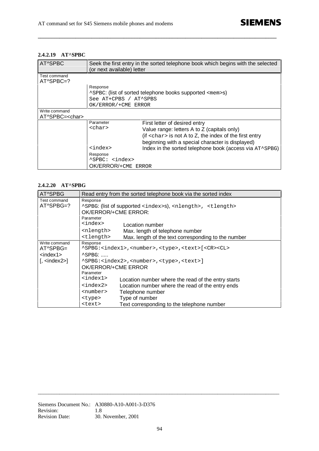#### **2.4.2.19 AT^SPBC**

| AT^SPBC                     | (or next available) letter | Seek the first entry in the sorted telephone book which begins with the selected |
|-----------------------------|----------------------------|----------------------------------------------------------------------------------|
| Test command<br>$AT^SPBC=?$ |                            |                                                                                  |
|                             | Response                   |                                                                                  |
|                             |                            | ^SPBC: (list of sorted telephone books supported <mem>s)</mem>                   |
|                             | See AT+CPBS / AT^SPBS      |                                                                                  |
|                             | OK/ERROR/+CME ERROR        |                                                                                  |
| Write command               |                            |                                                                                  |
| AT^SPBC= <char></char>      |                            |                                                                                  |
|                             | Parameter                  | First letter of desired entry                                                    |
|                             | <char></char>              | Value range: letters A to Z (capitals only)                                      |
|                             |                            | (if $\alpha$ char $>$ is not A to Z, the index of the first entry                |
|                             |                            | beginning with a special character is displayed)                                 |
|                             | <index></index>            | Index in the sorted telephone book (access via AT^SPBG)                          |
|                             | Response                   |                                                                                  |
|                             | ^SPBC: <index></index>     |                                                                                  |
|                             | OK/ERROR/+CME ERROR        |                                                                                  |

**\_\_\_\_\_\_\_\_\_\_\_\_\_\_\_\_\_\_\_\_\_\_\_\_\_\_\_\_\_\_\_\_\_\_\_\_\_\_\_\_\_\_\_\_\_\_\_\_\_\_\_\_\_\_\_\_\_\_\_\_\_\_\_\_\_\_\_\_\_\_\_\_\_\_\_\_\_\_\_\_\_\_\_\_\_\_\_\_\_**

### **2.4.2.20 AT^SPBG**

| AT^SPBG                                                       |                                                                                                   | Read entry from the sorted telephone book via the sorted index                            |  |
|---------------------------------------------------------------|---------------------------------------------------------------------------------------------------|-------------------------------------------------------------------------------------------|--|
| Test command<br>AT^SPBG=?                                     | Response<br>^SPBG: (list of supported <index>s), <nlength>, <tlength></tlength></nlength></index> |                                                                                           |  |
|                                                               | OK/ERROR/+CME ERROR:                                                                              |                                                                                           |  |
|                                                               | Parameter<br><index></index>                                                                      | Location number                                                                           |  |
|                                                               | <nlength></nlength>                                                                               | Max. length of telephone number                                                           |  |
|                                                               | <tlength></tlength>                                                                               | Max. length of the text corresponding to the number                                       |  |
| Write command                                                 | Response                                                                                          |                                                                                           |  |
| AT^SPBG=                                                      |                                                                                                   | ^SPBG: <index1>,<number>,<type>,<text>[<cr><cl></cl></cr></text></type></number></index1> |  |
| <index1></index1>                                             | $^{\wedge}$ SPBG:                                                                                 |                                                                                           |  |
| $\left[ \right.$ <index2><math>\left. \right]</math></index2> | ^SPBG: <index2>,<number>,<type>,<text>]</text></type></number></index2>                           |                                                                                           |  |
|                                                               | OK/ERROR/+CME ERROR                                                                               |                                                                                           |  |
|                                                               | Parameter                                                                                         |                                                                                           |  |
|                                                               | <index1></index1>                                                                                 | Location number where the read of the entry starts                                        |  |
|                                                               | <index2></index2>                                                                                 | Location number where the read of the entry ends                                          |  |
|                                                               | <number></number>                                                                                 | Telephone number                                                                          |  |
|                                                               | <type></type>                                                                                     | Type of number                                                                            |  |
|                                                               | <text></text>                                                                                     | Text corresponding to the telephone number                                                |  |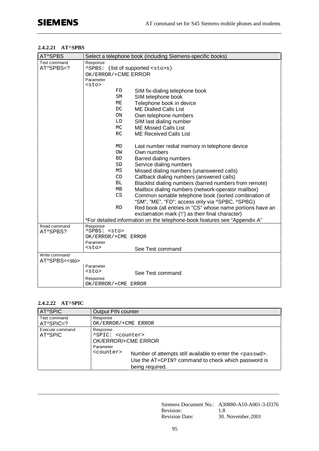#### **2.4.2.21 AT^SPBS**

| AT^SPBS                  | Select a telephone book (including Siemens-specific books)                |
|--------------------------|---------------------------------------------------------------------------|
| Test command             | Response                                                                  |
| AT^SPBS=?                | (list of supported <sto>s)<br/>^SPBS:</sto>                               |
|                          | OK/ERROR/+CME ERROR                                                       |
|                          | Parameter                                                                 |
|                          | <sto></sto>                                                               |
|                          | FD<br>SIM fix-dialing telephone book                                      |
|                          | SM<br>SIM telephone book                                                  |
|                          | Telephone book in device<br>ME                                            |
|                          | <b>ME Dialled Calls List</b><br>DC                                        |
|                          | Own telephone numbers<br>ON                                               |
|                          | LD<br>SIM last dialing number                                             |
|                          | MC<br><b>ME Missed Calls List</b>                                         |
|                          | <b>ME Received Calls List</b><br><b>RC</b>                                |
|                          | MD<br>Last number redial memory in telephone device                       |
|                          | OW<br>Own numbers                                                         |
|                          | <b>BD</b><br>Barred dialing numbers                                       |
|                          | Service dialing numbers<br>SD                                             |
|                          | Missed dialing numbers (unanswered calls)<br>ΜS                           |
|                          | CD<br>Callback dialing numbers (answered calls)                           |
|                          | <b>BL</b><br>Blacklist dialing numbers (barred numbers from remote)       |
|                          | Mailbox dialing numbers (network-operator mailbox)<br>MB                  |
|                          | CS                                                                        |
|                          | Common sortable telephone book (sorted combination of                     |
|                          | "SM", "ME", "FD"; access only via ^SPBC, ^SPBG)<br><b>RD</b>              |
|                          | Red book (all entries in "CS" whose name portions have an                 |
|                          | exclamation mark (!') as their final character)                           |
|                          | *For detailed information on the telephone-book features see "Appendix A" |
| Read command<br>AT^SPBS? | Response<br>^SPBS: <sto></sto>                                            |
|                          | OK/ERROR/+CME ERROR                                                       |
|                          | Parameter                                                                 |
|                          | <sto><br/>See Test command</sto>                                          |
| Write command            |                                                                           |
| AT^SPBS= <sto></sto>     |                                                                           |
|                          | Parameter                                                                 |
|                          | <sto><br/>See Test command</sto>                                          |
|                          | Response                                                                  |
|                          | OK/ERROR/+CME ERROR                                                       |

## **2.4.2.22 AT^SPIC**

| <b>AT^SPIC</b>              | Output PIN counter                                                                                                                                                                                                                                      |
|-----------------------------|---------------------------------------------------------------------------------------------------------------------------------------------------------------------------------------------------------------------------------------------------------|
| Test command<br>$AT^SPIC=?$ | Response<br>OK/ERROR/+CME ERROR                                                                                                                                                                                                                         |
| Execute command<br>AT^SPIC  | Response<br>"SPIC: <counter><br/>OK/ERROR/+CME ERROR<br/>Parameter<br/><counter><br/>Number of attempts still available to enter the <passwd>.<br/>Use the AT+CPIN? command to check which password is<br/>being required.</passwd></counter></counter> |

\_\_\_\_\_\_\_\_\_\_\_\_\_\_\_\_\_\_\_\_\_\_\_\_\_\_\_\_\_\_\_\_\_\_\_\_\_\_\_\_\_\_\_\_\_\_\_\_\_\_\_\_\_\_\_\_\_\_\_\_\_\_\_\_\_\_\_\_\_\_\_\_\_\_\_\_\_\_\_\_\_\_\_\_\_\_\_\_\_\_

Siemens Document No.: A30880-A10-A001-3-D376 Revision: 1.8<br>Revision Date: 30. November.2001 Revision Date: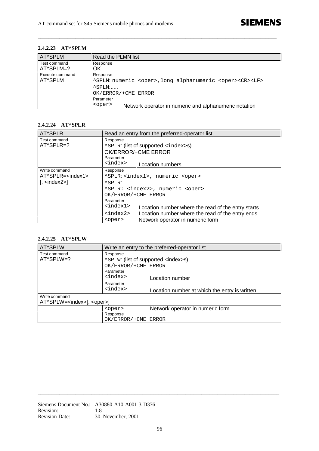#### **2.4.2.23 AT^SPLM**

| <b>AT^SPLM</b>                   | Read the PLMN list                                                                                                          |
|----------------------------------|-----------------------------------------------------------------------------------------------------------------------------|
| Test command<br>$AT^\circSPLM=?$ | Response<br>OK                                                                                                              |
| Execute command<br>AT^SPLM       | Response<br>^SPLM: numeric <oper>, long alphanumeric <oper><cr><lf><br/><math>^{\wedge}</math>SPLM:</lf></cr></oper></oper> |
|                                  | OK/ERROR/+CME ERROR                                                                                                         |
|                                  | Parameter<br><oper><br/>Network operator in numeric and alphanumeric notation</oper>                                        |

**\_\_\_\_\_\_\_\_\_\_\_\_\_\_\_\_\_\_\_\_\_\_\_\_\_\_\_\_\_\_\_\_\_\_\_\_\_\_\_\_\_\_\_\_\_\_\_\_\_\_\_\_\_\_\_\_\_\_\_\_\_\_\_\_\_\_\_\_\_\_\_\_\_\_\_\_\_\_\_\_\_\_\_\_\_\_\_\_\_**

## **2.4.2.24 AT^SPLR**

| AT^SPLR                                             | Read an entry from the preferred-operator list                         |  |  |
|-----------------------------------------------------|------------------------------------------------------------------------|--|--|
| Test command                                        | Response                                                               |  |  |
| $AT^\circSPLR = ?$                                  | <b>ASPLR:</b> (list of supported <index>s)</index>                     |  |  |
|                                                     | OK/ERROR/+CME ERROR                                                    |  |  |
|                                                     | Parameter                                                              |  |  |
|                                                     | <index><br/>Location numbers</index>                                   |  |  |
| Write command                                       | Response                                                               |  |  |
| $AT^\circSPLR = index1$                             | "SPLR: <index1>, numeric <oper></oper></index1>                        |  |  |
| $\left[$ , $\langle \text{index} 2 \rangle \right]$ | $\triangle$ SPLR:                                                      |  |  |
|                                                     | ^SPLR: <index2>, numeric <oper></oper></index2>                        |  |  |
|                                                     | OK/ERROR/+CME ERROR                                                    |  |  |
|                                                     | Parameter                                                              |  |  |
|                                                     | $<$ index $1>$<br>Location number where the read of the entry starts   |  |  |
|                                                     | <index2><br/>Location number where the read of the entry ends</index2> |  |  |
|                                                     | Network operator in numeric form<br><oper></oper>                      |  |  |

### **2.4.2.25 AT^SPLW**

| AT^SPLW                                   | Write an entry to the preferred-operator list      |                                               |  |  |
|-------------------------------------------|----------------------------------------------------|-----------------------------------------------|--|--|
| Test command                              | Response                                           |                                               |  |  |
| $AT^\circSPLW=?$                          | <b>ASPLW:</b> (list of supported <index>s)</index> |                                               |  |  |
|                                           | OK/ERROR/+CME ERROR                                |                                               |  |  |
|                                           | Parameter                                          |                                               |  |  |
|                                           | <index><br/>Location number</index>                |                                               |  |  |
|                                           | Parameter                                          |                                               |  |  |
|                                           | <index></index>                                    | Location number at which the entry is written |  |  |
| Write command                             |                                                    |                                               |  |  |
| AT^SPLW= <index>[, <oper>]</oper></index> |                                                    |                                               |  |  |
|                                           | <oper></oper>                                      | Network operator in numeric form              |  |  |
| Response                                  |                                                    |                                               |  |  |
| OK/ERROR/+CME ERROR                       |                                                    |                                               |  |  |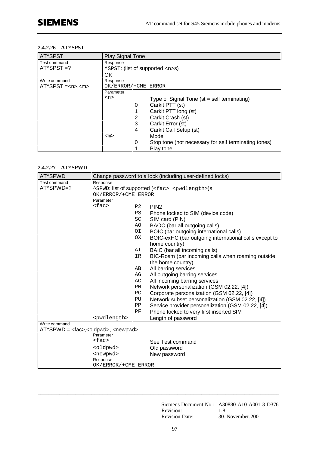#### **2.4.2.26 AT^SPST**

| AT^SPST        | <b>Play Signal Tone</b>                                   |  |  |  |  |
|----------------|-----------------------------------------------------------|--|--|--|--|
| Test command   | Response                                                  |  |  |  |  |
| $AT^$ SPST =?  | ^SPST: (list of supported <n>s)</n>                       |  |  |  |  |
|                | OK                                                        |  |  |  |  |
| Write command  | Response                                                  |  |  |  |  |
| $AT^SPST = ~~$ | OK/ERROR/+CME ERROR                                       |  |  |  |  |
|                | Parameter                                                 |  |  |  |  |
|                | $<$ n><br>Type of Signal Tone ( $st = self$ terminating)  |  |  |  |  |
|                | Carkit PTT (st)<br>0                                      |  |  |  |  |
|                | Carkit PTT long (st)                                      |  |  |  |  |
|                | Carkit Crash (st)<br>2                                    |  |  |  |  |
|                | 3<br>Carkit Error (st)                                    |  |  |  |  |
|                | Carkit Call Setup (st)<br>4                               |  |  |  |  |
|                | Mode<br>$<$ m $>$                                         |  |  |  |  |
|                | Stop tone (not necessary for self terminating tones)<br>0 |  |  |  |  |
|                | Play tone                                                 |  |  |  |  |

#### **2.4.2.27 AT^SPWD**

| AT^SPWD                                         | Change password to a lock (including user-defined locks)          |                |                                                       |  |  |
|-------------------------------------------------|-------------------------------------------------------------------|----------------|-------------------------------------------------------|--|--|
| Test command                                    | Response                                                          |                |                                                       |  |  |
| AT^SPWD=?                                       | ^SPWD: list of supported ( <fac>, <pwdlength>)s</pwdlength></fac> |                |                                                       |  |  |
|                                                 | OK/ERROR/+CME ERROR                                               |                |                                                       |  |  |
|                                                 | Parameter                                                         |                |                                                       |  |  |
|                                                 | $<$ fac>                                                          | P <sub>2</sub> | PIN <sub>2</sub>                                      |  |  |
|                                                 |                                                                   | <b>PS</b>      | Phone locked to SIM (device code)                     |  |  |
|                                                 |                                                                   | SC             | SIM card (PIN)                                        |  |  |
|                                                 |                                                                   | AO.            | BAOC (bar all outgoing calls)                         |  |  |
|                                                 |                                                                   | ΟI             | BOIC (bar outgoing international calls)               |  |  |
|                                                 |                                                                   | <b>OX</b>      | BOIC-exHC (bar outgoing international calls except to |  |  |
|                                                 |                                                                   |                | home country)                                         |  |  |
|                                                 |                                                                   | AΙ             | BAIC (bar all incoming calls)                         |  |  |
|                                                 |                                                                   | IR.            | BIC-Roam (bar incoming calls when roaming outside     |  |  |
|                                                 |                                                                   |                | the home country)                                     |  |  |
|                                                 |                                                                   | AВ             | All barring services                                  |  |  |
|                                                 |                                                                   | AG             | All outgoing barring services                         |  |  |
|                                                 |                                                                   | АC             | All incoming barring services                         |  |  |
|                                                 |                                                                   | PN             | Network personalization (GSM 02.22, [4])              |  |  |
|                                                 |                                                                   | PC             | Corporate personalization (GSM 02.22, [4])            |  |  |
|                                                 |                                                                   | PU             | Network subset personalization (GSM 02.22, [4])       |  |  |
|                                                 |                                                                   | PP             | Service provider personalization (GSM 02.22, [4])     |  |  |
|                                                 |                                                                   | ΡF             | Phone locked to very first inserted SIM               |  |  |
|                                                 | <pwdlength></pwdlength>                                           |                | Length of password                                    |  |  |
| Write command                                   |                                                                   |                |                                                       |  |  |
| $AT^SPWD = <$ oldpwd $>$ , $<$ newpwd $>$       |                                                                   |                |                                                       |  |  |
|                                                 | Parameter                                                         |                |                                                       |  |  |
|                                                 | $<$ fac><br>See Test command                                      |                |                                                       |  |  |
|                                                 | <oldpwd><br/>Old password</oldpwd>                                |                |                                                       |  |  |
| <newpwd><br/>New password<br/>Response</newpwd> |                                                                   |                |                                                       |  |  |
|                                                 |                                                                   |                |                                                       |  |  |
|                                                 | OK/ERROR/+CME ERROR                                               |                |                                                       |  |  |

Siemens Document No.: A30880-A10-A001-3-D376 Revision: 1.8<br>Revision Date: 30. November.2001 Revision Date: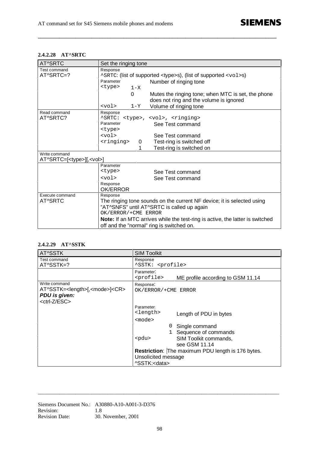## **2.4.2.28 AT^SRTC**

| AT^SRTC                                                 | Set the ringing tone                                                        |                                                                                               |  |  |  |
|---------------------------------------------------------|-----------------------------------------------------------------------------|-----------------------------------------------------------------------------------------------|--|--|--|
| Test command                                            | Response                                                                    |                                                                                               |  |  |  |
| AT^SRTC=?                                               | ^SRTC: (list of supported <type>s), (list of supported <vol>s)</vol></type> |                                                                                               |  |  |  |
|                                                         | Parameter<br>Number of ringing tone                                         |                                                                                               |  |  |  |
|                                                         | <type><br/><math>1 - X</math></type>                                        |                                                                                               |  |  |  |
|                                                         | 0                                                                           | Mutes the ringing tone; when MTC is set, the phone<br>does not ring and the volume is ignored |  |  |  |
|                                                         | <vol><br/><math>1 - Y</math></vol>                                          | Volume of ringing tone                                                                        |  |  |  |
| Read command                                            | Response                                                                    |                                                                                               |  |  |  |
| AT^SRTC?                                                |                                                                             | ^SRTC: <type>, <vol>, <ringing></ringing></vol></type>                                        |  |  |  |
|                                                         | Parameter                                                                   | See Test command                                                                              |  |  |  |
|                                                         | <type></type>                                                               |                                                                                               |  |  |  |
|                                                         | $<$ vol>                                                                    | See Test command                                                                              |  |  |  |
|                                                         | <ringing><br/>Test-ring is switched off<br/>0</ringing>                     |                                                                                               |  |  |  |
|                                                         | 1                                                                           | Test-ring is switched on                                                                      |  |  |  |
| Write command<br>AT^SRTC=[ <type>][,<vol>]</vol></type> |                                                                             |                                                                                               |  |  |  |
| Parameter                                               |                                                                             |                                                                                               |  |  |  |
|                                                         | <type></type>                                                               | See Test command                                                                              |  |  |  |
|                                                         | $<$ vol>                                                                    | See Test command                                                                              |  |  |  |
|                                                         | Response                                                                    |                                                                                               |  |  |  |
|                                                         | OK/ERROR                                                                    |                                                                                               |  |  |  |
| Execute command                                         | Response                                                                    |                                                                                               |  |  |  |
| AT^SRTC                                                 | The ringing tone sounds on the current NF device; it is selected using      |                                                                                               |  |  |  |
|                                                         | "AT^SNFS" until AT^SRTC is called up again                                  |                                                                                               |  |  |  |
|                                                         | OK/ERROR/+CME ERROR                                                         |                                                                                               |  |  |  |
|                                                         |                                                                             | Note: If an MTC arrives while the test-ring is active, the latter is switched                 |  |  |  |
|                                                         | off and the "normal" ring is switched on.                                   |                                                                                               |  |  |  |

**\_\_\_\_\_\_\_\_\_\_\_\_\_\_\_\_\_\_\_\_\_\_\_\_\_\_\_\_\_\_\_\_\_\_\_\_\_\_\_\_\_\_\_\_\_\_\_\_\_\_\_\_\_\_\_\_\_\_\_\_\_\_\_\_\_\_\_\_\_\_\_\_\_\_\_\_\_\_\_\_\_\_\_\_\_\_\_\_\_**

### **2.4.2.29 AT^SSTK**

| AT^SSTK                                                                                                             | <b>SIM Toolkit</b>                                                                                                                                                                                                                                                                                                               |  |  |
|---------------------------------------------------------------------------------------------------------------------|----------------------------------------------------------------------------------------------------------------------------------------------------------------------------------------------------------------------------------------------------------------------------------------------------------------------------------|--|--|
| Test command<br>AT^SSTK=?                                                                                           | Response<br>^SSTK: <profile></profile>                                                                                                                                                                                                                                                                                           |  |  |
|                                                                                                                     | Parameter:<br><profile><br/>ME profile according to GSM 11.14</profile>                                                                                                                                                                                                                                                          |  |  |
| Write command<br>AT^SSTK= <length>[,<mode>]<cr><br/>PDU is given:<br/><ctrl-z esc=""></ctrl-z></cr></mode></length> | Response:<br>OK/ERROR/+CME ERROR                                                                                                                                                                                                                                                                                                 |  |  |
|                                                                                                                     | Parameter:<br><length><br/>Length of PDU in bytes<br/><math>mode</math><br/>Single command<br/>0<br/>1 Sequence of commands<br/><math>&lt;</math>pdu<math>&gt;</math><br/>SIM Toolkit commands,<br/>see GSM 11.14<br/>Restriction: The maximum PDU length is 176 bytes.<br/>Unsolicited message<br/>^SSTK:<data></data></length> |  |  |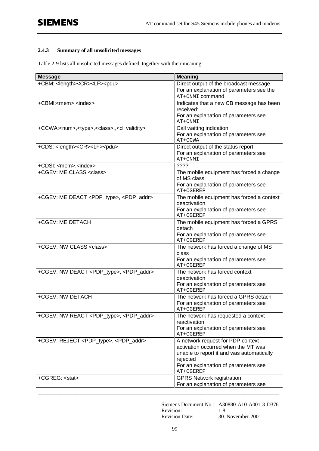### **2.4.3 Summary of all unsolicited messages**

Table 2-9 lists all unsolicited messages defined, together with their meaning:

| <b>Message</b>                                                            | <b>Meaning</b>                                                                                                                                                                         |
|---------------------------------------------------------------------------|----------------------------------------------------------------------------------------------------------------------------------------------------------------------------------------|
| +CBM: <length><cr><lf><pdu></pdu></lf></cr></length>                      | Direct output of the broadcast message.<br>For an explanation of parameters see the<br>AT+CNMI command                                                                                 |
| +CBMI: <mem>,<index></index></mem>                                        | Indicates that a new CB message has been<br>received:<br>For an explanation of parameters see<br>AT+CNMI                                                                               |
| +CCWA: <num>,<type>,<class>,,<cli validity=""></cli></class></type></num> | Call waiting indication<br>For an explanation of parameters see<br>AT+CCWA                                                                                                             |
| +CDS: <length><cr><lf><pdu></pdu></lf></cr></length>                      | Direct output of the status report<br>For an explanation of parameters see<br>AT+CNMI                                                                                                  |
| +CDSI: <mem>,<index></index></mem>                                        | ????                                                                                                                                                                                   |
| +CGEV: ME CLASS <class></class>                                           | The mobile equipment has forced a change<br>of MS class<br>For an explanation of parameters see<br>AT+CGEREP                                                                           |
| +CGEV: ME DEACT <pdp_type>, <pdp_addr></pdp_addr></pdp_type>              | The mobile equipment has forced a context<br>deactivation<br>For an explanation of parameters see<br>AT+CGEREP                                                                         |
| +CGEV: ME DETACH                                                          | The mobile equipment has forced a GPRS<br>detach<br>For an explanation of parameters see<br>AT+CGEREP                                                                                  |
| +CGEV: NW CLASS <class></class>                                           | The network has forced a change of MS<br>class<br>For an explanation of parameters see<br>AT+CGEREP                                                                                    |
| +CGEV: NW DEACT <pdp_type>, <pdp_addr></pdp_addr></pdp_type>              | The network has forced context<br>deactivation<br>For an explanation of parameters see<br>AT+CGEREP                                                                                    |
| +CGEV: NW DETACH                                                          | The network has forced a GPRS detach<br>For an explanation of parameters see<br>AT+CGEREP                                                                                              |
| +CGEV: NW REACT <pdp_type>, <pdp_addr></pdp_addr></pdp_type>              | The network has requested a context<br>reactivation<br>For an explanation of parameters see<br>AT+CGEREP                                                                               |
| +CGEV: REJECT <pdp_type>, <pdp_addr></pdp_addr></pdp_type>                | A network request for PDP context<br>activation occurred when the MT was<br>unable to report it and was automatically<br>rejected<br>For an explanation of parameters see<br>AT+CGEREP |
| +CGREG: <stat></stat>                                                     | <b>GPRS Network registration</b><br>For an explanation of parameters see                                                                                                               |

Siemens Document No.: A30880-A10-A001-3-D376 Revision: 1.8 Revision Date: 30. November.2001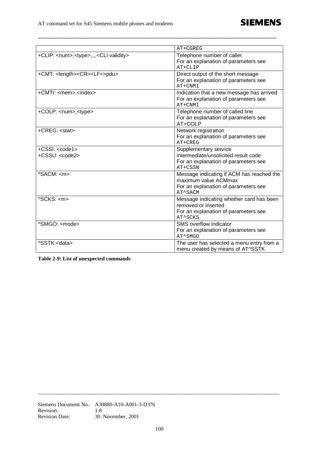|                                                             | AT+CGREG                                                                                                             |
|-------------------------------------------------------------|----------------------------------------------------------------------------------------------------------------------|
| +CLIP: <num>,<type>,,,,<cli validity=""></cli></type></num> | Telephone number of caller<br>For an explanation of parameters see<br>AT+CLIP                                        |
| +CMT: <length><cr><lf<>pdu&gt;</lf<></cr></length>          | Direct output of the short message<br>For an explanation of parameters see<br>AT+CNMI                                |
| +CMTI: <mem>,<index></index></mem>                          | Indication that a new message has arrived<br>For an explanation of parameters see<br>AT+CNMI                         |
| +COLP: <num>,<type></type></num>                            | Telephone number of called line<br>For an explanation of parameters see<br>AT+COLP                                   |
| +CREG: <stat></stat>                                        | Network registration<br>For an explanation of parameters see<br>$AT+CREG$                                            |
| $+CSSI: code1$<br>+CSSU: <code2></code2>                    | Supplementary service<br>intermediate/unsolicited result code<br>For an explanation of parameters see<br>AT+CSSN     |
| ^SACM: <m></m>                                              | Message indicating if ACM has reached the<br>maximum value ACMmax<br>For an explanation of parameters see<br>AT^SACM |
| ASCKS: <sub>cm</sub>                                        | Message indicating whether card has been<br>removed or inserted<br>For an explanation of parameters see<br>AT^SCKS   |
| ^SMGO: <mode></mode>                                        | SMS overflow indicator<br>For an explanation of parameters see<br>AT^SMGO                                            |
| ^SSTK: <data></data>                                        | The user has selected a menu entry from a<br>menu created by means of AT^SSTK                                        |

**\_\_\_\_\_\_\_\_\_\_\_\_\_\_\_\_\_\_\_\_\_\_\_\_\_\_\_\_\_\_\_\_\_\_\_\_\_\_\_\_\_\_\_\_\_\_\_\_\_\_\_\_\_\_\_\_\_\_\_\_\_\_\_\_\_\_\_\_\_\_\_\_\_\_\_\_\_\_\_\_\_\_\_\_\_\_\_\_\_**

**Table 2-9: List of unexpected commands**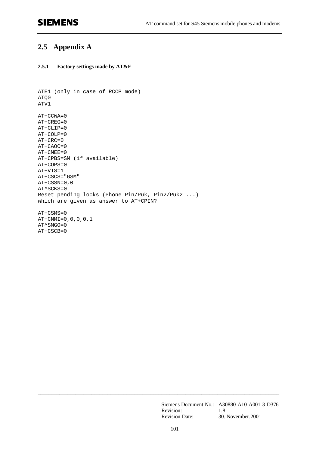# **SIEMENS**

## **2.5 Appendix A**

#### **2.5.1 Factory settings made by AT&F**

```
ATE1 (only in case of RCCP mode)
ATQ0
ATV1
AT+CCWA=0
AT+CREG=0
AT+CLIP=0
AT+COLP=0
AT+CRC=0
AT+CAOC=0
AT+CMEE=0
AT+CPBS=SM (if available)
AT+COPS=0
AT+VTS=1
AT+CSCS="GSM"
AT+CSSN=0,0
AT^SCKS=0
Reset pending locks (Phone Pin/Puk, Pin2/Puk2 ...)
which are given as answer to AT+CPIN?
AT+CSMS=0
AT+CNMI=0,0,0,0,1
AT^SMGO=0
AT+CSCB=0
```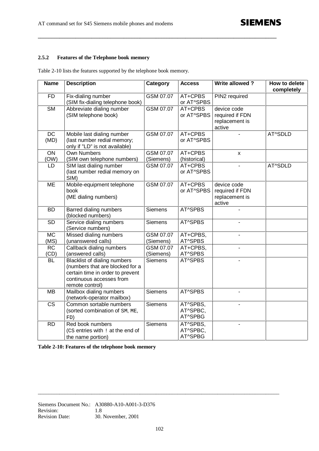#### **2.5.2 Features of the Telephone book memory**

| <b>Name</b>             | <b>Description</b>                                                                                                                                        | Category               | <b>Access</b>                   | Write allowed?                                             | How to delete<br>completely |
|-------------------------|-----------------------------------------------------------------------------------------------------------------------------------------------------------|------------------------|---------------------------------|------------------------------------------------------------|-----------------------------|
| <b>FD</b>               | Fix-dialing number<br>(SIM fix-dialing telephone book)                                                                                                    | GSM 07.07              | AT+CPBS<br>or AT^SPBS           | PIN2 required                                              |                             |
| <b>SM</b>               | Abbreviate dialing number<br>(SIM telephone book)                                                                                                         | GSM 07.07              | AT+CPBS<br>or AT^SPBS           | device code<br>required if FDN<br>replacement is<br>active |                             |
| <b>DC</b><br>(MD)       | Mobile last dialing number<br>(last number redial memory;<br>only if "LD" is not available)                                                               | GSM 07.07              | AT+CPBS<br>or AT^SPBS           |                                                            | AT^SDLD                     |
| $\overline{ON}$<br>(OW) | <b>Own Numbers</b><br>(SIM own telephone numbers)                                                                                                         | GSM 07.07<br>(Siemens) | AT+CPBS<br>(historical)         | $\pmb{\times}$                                             |                             |
| LD                      | SIM last dialing number<br>(last number redial memory on<br>SIM)                                                                                          | GSM 07.07              | AT+CPBS<br>or AT^SPBS           | $\overline{a}$                                             | AT^SDLD                     |
| <b>ME</b>               | Mobile-equipment telephone<br>book<br>(ME dialing numbers)                                                                                                | GSM 07.07              | AT+CPBS<br>or AT^SPBS           | device code<br>required if FDN<br>replacement is<br>active |                             |
| <b>BD</b>               | Barred dialing numbers<br>(blocked numbers)                                                                                                               | <b>Siemens</b>         | AT^SPBS                         |                                                            |                             |
| $\overline{SD}$         | Service dialing numbers<br>(Service numbers)                                                                                                              | <b>Siemens</b>         | AT^SPBS                         |                                                            |                             |
| <b>MC</b><br>(MS)       | Missed dialing numbers<br>(unanswered calls)                                                                                                              | GSM 07.07<br>(Siemens) | AT+CPBS,<br>AT^SPBS             |                                                            |                             |
| <b>RC</b><br>(CD)       | Callback dialing numbers<br>(answered calls)                                                                                                              | GSM 07.07<br>(Siemens) | AT+CPBS,<br>AT^SPBS             |                                                            |                             |
| BL                      | <b>Blacklist of dialing numbers</b><br>(numbers that are blocked for a<br>certain time in order to prevent<br>continuous accesses from<br>remote control) | <b>Siemens</b>         | AT^SPBS                         |                                                            |                             |
| <b>MB</b>               | Mailbox dialing numbers<br>(network-operator mailbox)                                                                                                     | <b>Siemens</b>         | AT^SPBS                         |                                                            |                             |
| <b>CS</b>               | Common sortable numbers<br>(sorted combination of SM, ME,<br>FD)                                                                                          | Siemens                | AT^SPBS,<br>AT^SPBC,<br>AT^SPBG |                                                            |                             |
| <b>RD</b>               | Red book numbers<br>(CS entries with ! at the end of<br>the name portion)                                                                                 | <b>Siemens</b>         | AT^SPBS,<br>AT^SPBC,<br>AT^SPBG | $\blacksquare$                                             |                             |

**\_\_\_\_\_\_\_\_\_\_\_\_\_\_\_\_\_\_\_\_\_\_\_\_\_\_\_\_\_\_\_\_\_\_\_\_\_\_\_\_\_\_\_\_\_\_\_\_\_\_\_\_\_\_\_\_\_\_\_\_\_\_\_\_\_\_\_\_\_\_\_\_\_\_\_\_\_\_\_\_\_\_\_\_\_\_\_\_\_**

**Table 2-10: Features of the telephone book memory**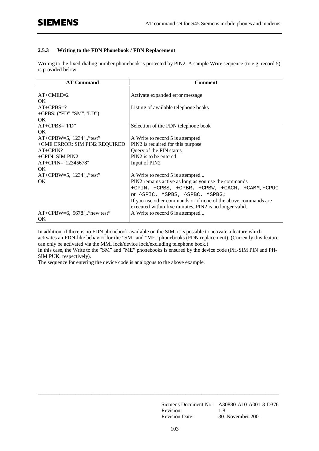#### **2.5.3 Writing to the FDN Phonebook / FDN Replacement**

Writing to the fixed-dialing number phonebook is protected by PIN2. A sample Write sequence (to e.g. record 5) is provided below:

| <b>AT Command</b>                | <b>Comment</b>                                                 |
|----------------------------------|----------------------------------------------------------------|
|                                  |                                                                |
| $AT+CMEE=2$                      | Activate expanded error message                                |
| OK.                              |                                                                |
| $AT+CPBS=?$                      | Listing of available telephone books                           |
| +CPBS: $("FD", "SM", "LD")$      |                                                                |
| OK.                              |                                                                |
| $AT+CPBS="FD"$                   | Selection of the FDN telephone book                            |
| OK.                              |                                                                |
| $AT+CPBW=5$ ,"1234",,"test"      | A Write to record 5 is attempted                               |
| +CME ERROR: SIM PIN2 REQUIRED    | PIN2 is required for this purpose                              |
| $AT+CPIN?$                       | Query of the PIN status                                        |
| +CPIN: SIM PIN2                  | PIN2 is to be entered                                          |
| AT+CPIN="12345678"               | Input of PIN2                                                  |
| OK.                              |                                                                |
| $AT+CPBW=5$ , "1234", "test"     | A Write to record 5 is attempted                               |
| OK.                              | PIN2 remains active as long as you use the commands            |
|                                  | +CPIN, +CPBS, +CPBR, +CPBW, +CACM, +CAMM, +CPUC                |
|                                  | or ^SPIC, ^SPBS, ^SPBC, ^SPBG,:                                |
|                                  | If you use other commands or if none of the above commands are |
|                                  | executed within five minutes, PIN2 is no longer valid.         |
| $AT+CPBW=6$ , "5678", "new test" | A Write to record 6 is attempted                               |
| OK                               |                                                                |

In addition, if there is no FDN phonebook available on the SIM, it is possible to activate a feature which activates an FDN-like behavior for the "SM" and "ME" phonebooks (FDN replacement). (Currently this feature can only be activated via the MMI lock/device lock/excluding telephone book.)

In this case, the Write to the "SM" and "ME" phonebooks is ensured by the device code (PH-SIM PIN and PH-SIM PUK, respectively).

The sequence for entering the device code is analogous to the above example.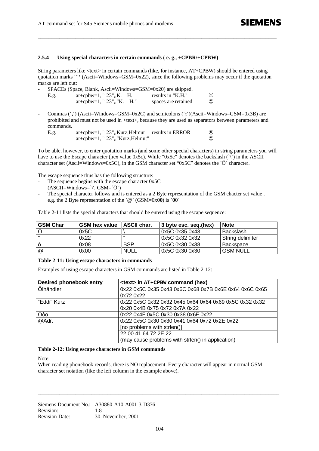#### **2.5.4 Using special characters in certain commands ( e. g., +CPBR/+CPBW)**

String parameters like <text> in certain commands (like, for instance, AT+CPBW) should be entered using quotation marks '**"'** (Ascii=Windows=GSM=0x22), since the following problems may occur if the quotation marks are left out:

**\_\_\_\_\_\_\_\_\_\_\_\_\_\_\_\_\_\_\_\_\_\_\_\_\_\_\_\_\_\_\_\_\_\_\_\_\_\_\_\_\_\_\_\_\_\_\_\_\_\_\_\_\_\_\_\_\_\_\_\_\_\_\_\_\_\_\_\_\_\_\_\_\_\_\_\_\_\_\_\_\_\_\_\_\_\_\_\_\_**

| $SPACES$ (Space, Blank, Ascii=Windows=GSM=0x20) are skipped. |                          |  |                     |         |
|--------------------------------------------------------------|--------------------------|--|---------------------|---------|
| E.g.                                                         | at+cpbw=1,"123",,K. H.   |  | results in "K.H."   | $\odot$ |
|                                                              | at+cpbw=1,"123",,"K. H." |  | spaces are retained | ☺       |

- Commas ('**,**') (Ascii=Windows=GSM=0x2C) and semicolons ('**;**')(Ascii=Windows=GSM=0x3B) are prohibited and must not be used in <text>, because they are used as separators between parameters and commands.

| E.g. | at+cpbw=1,"123",,Kurz,Helmut results in ERROR |   |
|------|-----------------------------------------------|---|
|      | $at+cpbw=1, "123", "Kurz, Helmut"$            | C |

To be able, however, to enter quotation marks (and some other special characters) in string parameters you will have to use the Escape character (hex value 0x5c). While "0x5c" denotes the backslash  $(\nabla)$  in the ASCII character set (Ascii=Windows=0x5C), in the GSM character set "0x5C" denotes the `Ö` character.

The escape sequence thus has the following structure:

- The sequence begins with the escape character 0x5C  $(ASCII=Windows=\\'. GSM=`O`)$
- The special character follows and is entered as a 2 Byte representation of the GSM chacter set value. e.g. the 2 Byte representation of the `@` (GSM=0x**00**) is `**00**`

Table 2-11 lists the special characters that should be entered using the escape sequence:

| <b>GSM Char</b> | <b>GSM hex value</b> | <b>ASCII char.</b> | 3 byte esc. seg.(hex) | <b>Note</b>      |
|-----------------|----------------------|--------------------|-----------------------|------------------|
|                 | 0x5C                 |                    | 0x5C 0x35 0x43        | Backslash        |
|                 | 0x22                 | "                  | 0x5C 0x32 0x32        | String delimiter |
|                 | 0x08                 | <b>BSP</b>         | 0x5C 0x30 0x38        | Backspace        |
| @               | 0x00                 | NULL               | 0x5C 0x30 0x30        | <b>GSM NULL</b>  |

#### **Table 2-11: Using escape characters in commands**

Examples of using escape characters in GSM commands are listed in Table 2-12:

| <b>Desired phonebook entry</b> | <text> in AT+CPBW command (hex)</text>                 |  |  |
|--------------------------------|--------------------------------------------------------|--|--|
| Ölhändler                      | 0x22 0x5C 0x35 0x43 0x6C 0x68 0x7B 0x6E 0x64 0x6C 0x65 |  |  |
|                                | 0x72 0x22                                              |  |  |
| "Eddi" Kurz                    | 0x22 0x5C 0x32 0x32 0x45 0x64 0x64 0x69 0x5C 0x32 0x32 |  |  |
|                                | 0x20 0x4B 0x75 0x72 0x7A 0x22                          |  |  |
| Oòo                            | 0x22 0x4F 0x5C 0x30 0x38 0x6F 0x22                     |  |  |
| @Adr.                          | 0x22 0x5C 0x30 0x30 0x41 0x64 0x72 0x2E 0x22           |  |  |
|                                | [no problems with strlen()]                            |  |  |
|                                | 22 00 41 64 72 2E 22                                   |  |  |
|                                | (may cause problems with strlen() in application)      |  |  |

#### **Table 2-12: Using escape characters in GSM commands**

Note:

When reading phonebook records, there is NO replacement. Every character will appear in normal GSM character set notation (like the left column in the example above).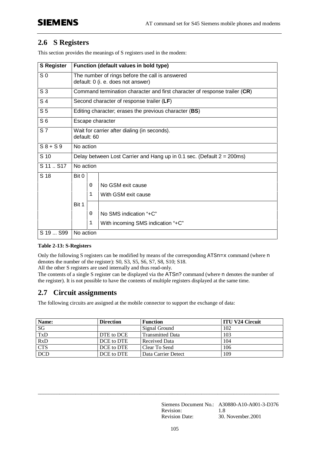## **2.6 S Registers**

This section provides the meanings of S registers used in the modem:

| <b>S Register</b> | Function (default values in bold type)                                                |              |                                   |  |  |  |
|-------------------|---------------------------------------------------------------------------------------|--------------|-----------------------------------|--|--|--|
| S <sub>0</sub>    | The number of rings before the call is answered<br>default: 0 (i. e. does not answer) |              |                                   |  |  |  |
| S <sub>3</sub>    | Command termination character and first character of response trailer (CR)            |              |                                   |  |  |  |
| S <sub>4</sub>    | Second character of response trailer (LF)                                             |              |                                   |  |  |  |
| S <sub>5</sub>    | Editing character; erases the previous character (BS)                                 |              |                                   |  |  |  |
| S <sub>6</sub>    | Escape character                                                                      |              |                                   |  |  |  |
| S <sub>7</sub>    | Wait for carrier after dialing (in seconds).<br>default: 60                           |              |                                   |  |  |  |
| $S8 + S9$         | No action                                                                             |              |                                   |  |  |  |
| S 10              | Delay between Lost Carrier and Hang up in 0.1 sec. (Default $2 = 200$ ms)             |              |                                   |  |  |  |
| S 11  S17         | No action                                                                             |              |                                   |  |  |  |
| S 18              | Bit 0                                                                                 |              |                                   |  |  |  |
|                   |                                                                                       | 0            | No GSM exit cause                 |  |  |  |
|                   |                                                                                       | 1            | With GSM exit cause               |  |  |  |
|                   | Bit 1                                                                                 |              |                                   |  |  |  |
|                   |                                                                                       | 0            | No SMS indication "+C"            |  |  |  |
|                   |                                                                                       | $\mathbf{1}$ | With incoming SMS indication "+C" |  |  |  |
| S 19  S99         | No action                                                                             |              |                                   |  |  |  |

#### **Table 2-13: S-Registers**

Only the following S registers can be modified by means of the corresponding ATSn=x command (where n denotes the number of the register): S0, S3, S5, S6, S7, S8, S10; S18.

All the other S registers are used internally and thus read-only.

The contents of a single S register can be displayed via the ATSn? command (where n denotes the number of the register). It is not possible to have the contents of multiple registers displayed at the same time.

## **2.7 Circuit assignments**

The following circuits are assigned at the mobile connector to support the exchange of data:

| Name:      | <b>Direction</b> | <b>Function</b>         | <b>ITU V24 Circuit</b> |
|------------|------------------|-------------------------|------------------------|
| SG         |                  | Signal Ground           | 102                    |
| <b>TxD</b> | DTE to DCE       | <b>Transmitted Data</b> | 103                    |
| RxD        | DCE to DTE       | Received Data           | 104                    |
| <b>CTS</b> | DCE to DTE       | Clear To Send           | 106                    |
| <b>DCD</b> | DCE to DTE       | Data Carrier Detect     | 109                    |

\_\_\_\_\_\_\_\_\_\_\_\_\_\_\_\_\_\_\_\_\_\_\_\_\_\_\_\_\_\_\_\_\_\_\_\_\_\_\_\_\_\_\_\_\_\_\_\_\_\_\_\_\_\_\_\_\_\_\_\_\_\_\_\_\_\_\_\_\_\_\_\_\_\_\_\_\_\_\_\_\_\_\_\_\_\_\_\_\_\_

Siemens Document No.: A30880-A10-A001-3-D376 Revision: 1.8 Revision Date: 30. November.2001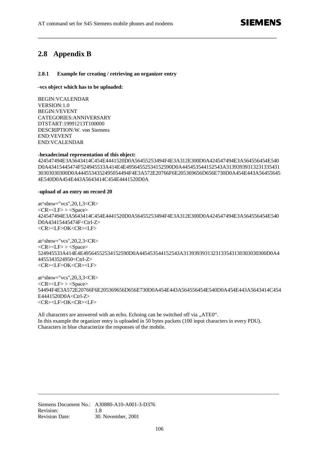## **2.8 Appendix B**

#### **2.8.1 Example for creating / retrieving an organizer entry**

**-vcs object which has to be uploaded:**

BEGIN:VCALENDAR VERSION:1.0 BEGIN:VEVENT CATEGORIES:ANNIVERSARY DTSTART:19991213T100000 DESCRIPTION:W. von Siemens END:VEVENT END:VCALENDAR

#### -**hexadecimal representation of this object:**

424547494E3A5643414C454E4441520D0A56455253494F4E3A312E300D0A424547494E3A564556454E540 D0A43415445474F524945533A414E4E49564552534152590D0A445453544152543A31393939313231335431 30303030300D0A4445534352495054494F4E3A572E20766F6E205369656D656E730D0A454E443A56455645 4E540D0A454E443A5643414C454E4441520D0A

**\_\_\_\_\_\_\_\_\_\_\_\_\_\_\_\_\_\_\_\_\_\_\_\_\_\_\_\_\_\_\_\_\_\_\_\_\_\_\_\_\_\_\_\_\_\_\_\_\_\_\_\_\_\_\_\_\_\_\_\_\_\_\_\_\_\_\_\_\_\_\_\_\_\_\_\_\_\_\_\_\_\_\_\_\_\_\_\_\_**

#### -**upload of an entry on record 20**

at^sbnw="vcs",20,1,3<CR>  $<$ CR> $<$ LF> $>$  $<$ Space> 424547494E3A5643414C454E4441520D0A56455253494F4E3A312E300D0A424547494E3A564556454E540 D0A43415445474F<Ctrl-Z> <CR><LF>OK<CR><LF>

at^sbnw="vcs",20,2,3<CR> <CR><LF> > <Space> 524945533A414E4E49564552534152590D0A445453544152543A3139393931323133543130303030300D0A4 4455343524950<Ctrl-Z> <CR><LF>OK<CR><LF>

at^sbnw="vcs",20,3,3<CR>  $<$ CR> $<$ LF> $>$  $<$ Space $>$ 54494F4E3A572E20766F6E205369656D656E730D0A454E443A564556454E540D0A454E443A5643414C454 E4441520D0A<Ctrl-Z> <CR><LF>OK<CR><LF>

All characters are answered with an echo. Echoing can be switched off via "ATE0". In this example the organizer entry is uploaded in 50 bytes packets (100 input characters in every PDU). Characters in blue characterize the responses of the mobile.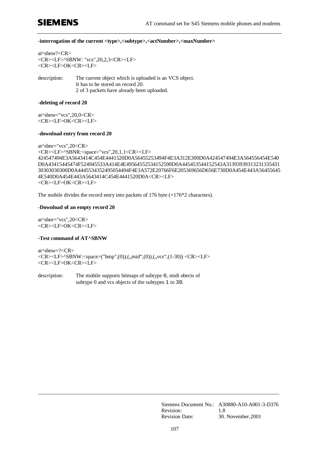# **SIEMENS**

#### -**interrogation of the current <type>,<subtype>,<actNumber>,<maxNumber>**

at^sbnw?<CR> <CR><LF>^SBNW: "vcs",20,2,3<CR><LF> <CR><LF>OK<CR><LF>

description: The current object which is uploaded is an VCS object. It has to be stored on record 20. 2 of 3 packets have already been uploaded.

#### -**deleting of record 20**

at^sbnw="vcs",20,0<CR> <CR><LF>OK<CR><LF>

#### -**download entry from record 20**

```
at^sbnr="vcs",20<CR>
<CR><LF>^SBNR:<space>"vcs",20,1,1<CR><LF>
424547494E3A5643414C454E4441520D0A56455253494F4E3A312E300D0A424547494E3A564556454E540
D0A43415445474F524945533A414E4E49564552534152590D0A445453544152543A31393939313231335431
30303030300D0A4445534352495054494F4E3A572E20766F6E205369656D656E730D0A454E443A56455645
4E540D0A454E443A5643414C454E4441520D0A<CR><LF>
<CR><LF>OK<CR><LF>
```
The mobile divides the record entry into packets of 176 byte  $(=176*2$  characters).

#### -**Download of an empty record 20**

at^sbnr="vcs",20<CR> <CR><LF>OK<CR><LF>

#### **-Test command of AT^SBNW**

at^sbnw=?<CR> <CR><LF>^SBNW:<space>("bmp",(0)),(,,mid",(0)),(,,vcs",(1-30)) <CR><LF> <CR><LF>OK<CR><LF>

description: The mobile supports bitmaps of subtype 0, midi obects of subtype 0 and vcs objects of the subtypes 1 to 30.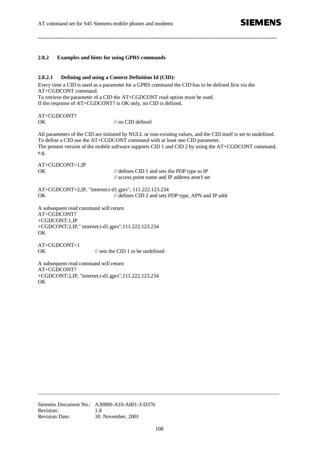#### **2.8.2 Examples and hints for using GPRS commands**

#### **2.8.2.1 Defining and using a Context Definition Id (CID):**

Every time a CID is used as a parameter for a GPRS command the CID has to be defined first via the AT+CGDCONT command.

**\_\_\_\_\_\_\_\_\_\_\_\_\_\_\_\_\_\_\_\_\_\_\_\_\_\_\_\_\_\_\_\_\_\_\_\_\_\_\_\_\_\_\_\_\_\_\_\_\_\_\_\_\_\_\_\_\_\_\_\_\_\_\_\_\_\_\_\_\_\_\_\_\_\_\_\_\_\_\_\_\_\_\_\_\_\_\_\_\_**

To retrieve the parameter of a CID the AT+CGDCONT read option must be used. If the response of AT+CGDCONT? is OK only, no CID is defined.

AT+CGDCONT? OK // no CID defined

All parameters of the CID are initiated by NULL or non-existing values, and the CID itself is set to undefined. To define a CID use the AT+CGDCONT command with at least one CID parameter. The present version of the mobile software supports CID 1 and CID 2 by using the AT+CGDCONT command. e.g.

AT+CGDCONT=1,IP

OK // defines CID 1 and sets the PDP type to IP // access point name and IP address aren't set

AT+CGDCONT=2,IP, "internet.t-d1.gprs", 111.222.123.234 OK // defines CID 2 and sets PDP type, APN and IP addr

A subsequent read command will return AT+CGDCONT? +CGDCONT:1,IP +CGDCONT:2,IP," internet.t-d1.gprs",111.222.123.234 OK

AT+CGDCONT=1 OK // sets the CID 1 to be undefined

A subsequent read command will return AT+CGDCONT? +CGDCONT:2,IP, "internet.t-d1.gprs",111.222.123.234 OK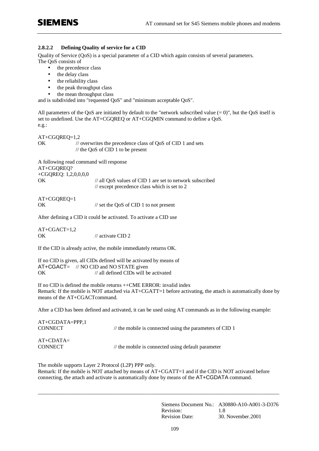#### **2.8.2.2 Defining Quality of service for a CID**

Quality of Service (QoS) is a special parameter of a CID which again consists of several parameters. The QoS consists of

- the precedence class
- the delay class
- the reliability class
- the peak throughput class
- the mean throughput class

and is subdivided into "requested QoS" and "minimum acceptable QoS".

All parameters of the QoS are initiated by default to the "network subscribed value  $(= 0)$ ", but the QoS itself is set to undefined. Use the AT+CGQREQ or AT+CGQMIN command to define a QoS. e.g.:

AT+CGQREQ=1,2 OK // overwrites the precedence class of QoS of CID 1 and sets // the QoS of CID 1 to be present

A following read command will response AT+CGQREQ? +CGQREQ: 1,2,0,0,0,0 OK // all QoS values of CID 1 are set to network subscribed // except precedence class which is set to 2

| AT+CGQREQ=1 |                                                   |
|-------------|---------------------------------------------------|
| ОK          | $\frac{1}{2}$ set the QoS of CID 1 to not present |

After defining a CID it could be activated. To activate a CID use

 $AT+CGACT=1.2$ OK // activate CID 2

If the CID is already active, the mobile immediately returns OK.

If no CID is given, all CIDs defined will be activated by means of  $AT+CGACT=$  // NO CID and NO STATE given OK // all defined CIDs will be activated

If no CID is defined the mobile returns ++CME ERROR: invalid index Remark: If the mobile is NOT attached via AT+CGATT=1 before activating, the attach is automatically done by means of the AT+CGACTcommand.

After a CID has been defined and activated, it can be used using AT commands as in the following example:

| $AT+CGDATA=PPP,1$<br><b>CONNECT</b> | $\frac{1}{2}$ the mobile is connected using the parameters of CID 1 |
|-------------------------------------|---------------------------------------------------------------------|
| $AT+CDATA=$<br><b>CONNECT</b>       | $\frac{1}{2}$ the mobile is connected using default parameter       |

The mobile supports Layer 2 Protocol (L2P) PPP only. Remark: If the mobile is NOT attached by means of AT+CGATT=1 and if the CID is NOT activated before connecting, the attach and activate is automatically done by means of the AT+CGDATA command.

\_\_\_\_\_\_\_\_\_\_\_\_\_\_\_\_\_\_\_\_\_\_\_\_\_\_\_\_\_\_\_\_\_\_\_\_\_\_\_\_\_\_\_\_\_\_\_\_\_\_\_\_\_\_\_\_\_\_\_\_\_\_\_\_\_\_\_\_\_\_\_\_\_\_\_\_\_\_\_\_\_\_\_\_\_\_\_\_\_\_

Siemens Document No.: A30880-A10-A001-3-D376 Revision: 1.8 Revision Date: 30. November.2001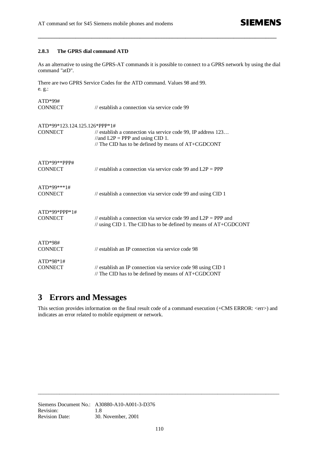**SIEMENS** 

#### **2.8.3 The GPRS dial command ATD**

As an alternative to using the GPRS-AT commands it is possible to connect to a GPRS network by using the dial command "atD".

**\_\_\_\_\_\_\_\_\_\_\_\_\_\_\_\_\_\_\_\_\_\_\_\_\_\_\_\_\_\_\_\_\_\_\_\_\_\_\_\_\_\_\_\_\_\_\_\_\_\_\_\_\_\_\_\_\_\_\_\_\_\_\_\_\_\_\_\_\_\_\_\_\_\_\_\_\_\_\_\_\_\_\_\_\_\_\_\_\_**

There are two GPRS Service Codes for the ATD command. Values 98 and 99. e. g.:

| $ATD*99#$                         |                                                                                                                                                              |
|-----------------------------------|--------------------------------------------------------------------------------------------------------------------------------------------------------------|
| <b>CONNECT</b>                    | // establish a connection via service code 99                                                                                                                |
| ATD*99*123.124.125.126*PPP*1#     |                                                                                                                                                              |
| <b>CONNECT</b>                    | // establish a connection via service code 99, IP address $123$<br>//and $L2P = PPP$ and using CID 1.<br>// The CID has to be defined by means of AT+CGDCONT |
| $ATD*99**PPP#$<br><b>CONNECT</b>  | // establish a connection via service code 99 and $L2P = PPP$                                                                                                |
| $ATD*99***1#$<br><b>CONNECT</b>   | // establish a connection via service code 99 and using CID 1                                                                                                |
| $ATD*99*PPP*1#$<br><b>CONNECT</b> | // establish a connection via service code 99 and $L2P = PPP$ and<br>// using CID 1. The CID has to be defined by means of AT+CGDCONT                        |
| $ATD*98#$<br><b>CONNECT</b>       | // establish an IP connection via service code 98                                                                                                            |
| $ATD*98*1#$                       |                                                                                                                                                              |
| <b>CONNECT</b>                    | // establish an IP connection via service code 98 using CID 1<br>// The CID has to be defined by means of AT+CGDCONT                                         |

# **3 Errors and Messages**

This section provides information on the final result code of a command execution (+CMS ERROR: <err>) and indicates an error related to mobile equipment or network.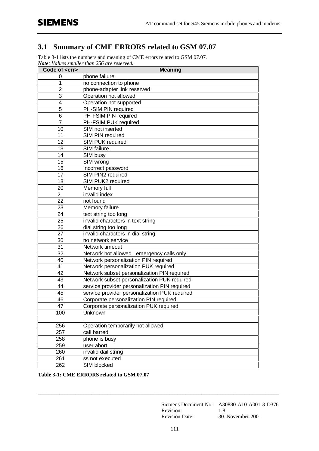### **3.1 Summary of CME ERRORS related to GSM 07.07**

Table 3-1 lists the numbers and meaning of CME errors related to GSM 07.07. *Note: Values smaller than 256 are reserved.*

| Code of <err></err> | <b>Meaning</b>                                |
|---------------------|-----------------------------------------------|
| 0                   | phone failure                                 |
| 1                   | no connection to phone                        |
| $\overline{2}$      | phone-adapter link reserved                   |
| 3                   | Operation not allowed                         |
| 4                   | Operation not supported                       |
| 5                   | PH-SIM PIN required                           |
| 6                   | PH-FSIM PIN required                          |
| 7                   | PH-FSIM PUK required                          |
| 10                  | SIM not inserted                              |
| 11                  | <b>SIM PIN required</b>                       |
| 12                  | <b>SIM PUK required</b>                       |
| 13                  | <b>SIM</b> failure                            |
| 14                  | SIM busy                                      |
| 15                  | SIM wrong                                     |
| 16                  | Incorrect password                            |
| 17                  | SIM PIN2 required                             |
| 18                  | SIM PUK2 required                             |
| 20                  | Memory full                                   |
| 21                  | invalid index                                 |
| 22                  | not found                                     |
| 23                  | Memory failure                                |
| $\overline{24}$     | text string too long                          |
| 25                  | invalid characters in text string             |
| 26                  | dial string too long                          |
| 27                  | invalid characters in dial string             |
| 30                  | no network service                            |
| 31                  | Network timeout                               |
| 32                  | Network not allowed emergency calls only      |
| 40                  | Network personalization PIN required          |
| 41                  | Network personalization PUK required          |
| 42                  | Network subset personalization PIN required   |
| 43                  | Network subset personalization PUK required   |
| 44                  | service provider personalization PIN required |
| 45                  | service provider personalization PUK required |
| 46                  | Corporate personalization PIN required        |
| 47                  | Corporate personalization PUK required        |
| 100                 | Unknown                                       |
|                     |                                               |
| 256                 | Operation temporarily not allowed             |
| 257                 | call barred                                   |
| 258                 | phone is busy                                 |
| 259                 | user abort                                    |
| 260                 | invalid dail string                           |
| 261                 | ss not executed                               |
| 262                 | SIM blocked                                   |

**Table 3-1: CME ERRORS related to GSM 07.07**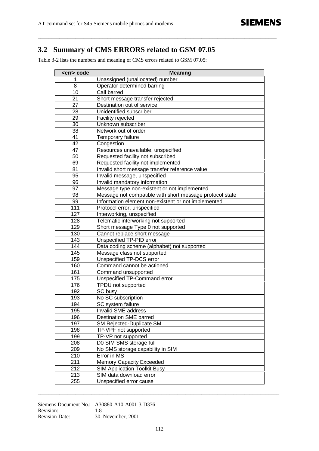### **3.2 Summary of CMS ERRORS related to GSM 07.05**

**\_\_\_\_\_\_\_\_\_\_\_\_\_\_\_\_\_\_\_\_\_\_\_\_\_\_\_\_\_\_\_\_\_\_\_\_\_\_\_\_\_\_\_\_\_\_\_\_\_\_\_\_\_\_\_\_\_\_\_\_\_\_\_\_\_\_\_\_\_\_\_\_\_\_\_\_\_\_\_\_\_\_\_\_\_\_\_\_\_**

Table 3-2 lists the numbers and meaning of CMS errors related to GSM 07.05:

| <err> code</err> | <b>Meaning</b>                                           |
|------------------|----------------------------------------------------------|
| 1                | Unassigned (unallocated) number                          |
| 8                | Operator determined barring                              |
| 10               | Call barred                                              |
| 21               | Short message transfer rejected                          |
| 27               | Destination out of service                               |
| 28               | Unidentified subscriber                                  |
| 29               | Facility rejected                                        |
| 30               | Unknown subscriber                                       |
| 38               | Network out of order                                     |
| 41               | Temporary failure                                        |
| 42               | Congestion                                               |
| 47               | Resources unavailable, unspecified                       |
| 50               | Requested facility not subscribed                        |
| 69               | Requested facility not implemented                       |
| 81               | Invalid short message transfer reference value           |
| 95               | Invalid message, unspecified                             |
| 96               | Invalid mandatory information                            |
| 97               | Message type non-existent or not implemented             |
| 98               | Message not compatible with short message protocol state |
| 99               | Information element non-existent or not implemented      |
| 111              | Protocol error, unspecified                              |
| 127              | Interworking, unspecified                                |
| 128              | Telematic interworking not supported                     |
| 129              | Short message Type 0 not supported                       |
| 130              | Cannot replace short message                             |
| 143              | Unspecified TP-PID error                                 |
| 144              | Data coding scheme (alphabet) not supported              |
| 145              | Message class not supported                              |
| 159              | Unspecified TP-DCS error                                 |
| 160              | Command cannot be actioned                               |
| 161              | Command unsupported                                      |
| 175              | Unspecified TP-Command error                             |
| 176              | TPDU not supported                                       |
| 192              | SC busy                                                  |
| 193              | No SC subscription                                       |
| 194              | SC system failure                                        |
| 195              | Invalid SME address                                      |
| 196              | <b>Destination SME barred</b>                            |
| 197              | SM Rejected-Duplicate SM                                 |
| 198              | TP-VPF not supported                                     |
| 199              | TP-VP not supported                                      |
| 208              | D0 SIM SMS storage full                                  |
| 209              | No SMS storage capability in SIM                         |
| 210              | Error in MS                                              |
| 211              | <b>Memory Capacity Exceeded</b>                          |
| 212              | <b>SIM Application Toolkit Busy</b>                      |
| 213              | SIM data download error                                  |
| 255              | Unspecified error cause                                  |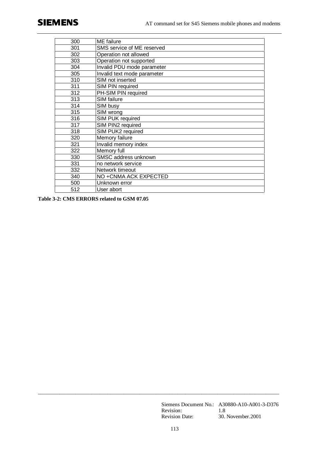| 300 | ME failure                  |
|-----|-----------------------------|
| 301 | SMS service of ME reserved  |
| 302 | Operation not allowed       |
| 303 | Operation not supported     |
| 304 | Invalid PDU mode parameter  |
| 305 | Invalid text mode parameter |
| 310 | SIM not inserted            |
| 311 | SIM PIN required            |
| 312 | PH-SIM PIN required         |
| 313 | SIM failure                 |
| 314 | SIM busy                    |
| 315 | SIM wrong                   |
| 316 | SIM PUK required            |
| 317 | SIM PIN2 required           |
| 318 | SIM PUK2 required           |
| 320 | Memory failure              |
| 321 | Invalid memory index        |
| 322 | Memory full                 |
| 330 | SMSC address unknown        |
| 331 | no network service          |
| 332 | Network timeout             |
| 340 | NO +CNMA ACK EXPECTED       |
| 500 | Unknown error               |
| 512 | User abort                  |

**Table 3-2: CMS ERRORS related to GSM 07.05**

Siemens Document No.: A30880-A10-A001-3-D376 Revision: 1.8 Revision Date: 30. November.2001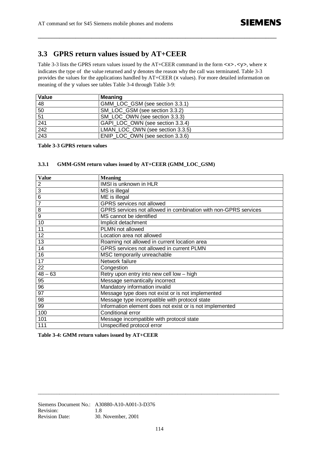### **3.3 GPRS return values issued by AT+CEER**

Table 3-3 lists the GPRS return values issued by the AT+CEER command in the form  $\langle x \rangle$ .  $\langle y \rangle$ , where x indicates the type of the value returned and y denotes the reason why the call was terminated. Table 3-3 provides the values for the applications handled by AT+CEER (x values). For more detailed information on meaning of the y values see tables Table 3-4 through Table 3-9:

**\_\_\_\_\_\_\_\_\_\_\_\_\_\_\_\_\_\_\_\_\_\_\_\_\_\_\_\_\_\_\_\_\_\_\_\_\_\_\_\_\_\_\_\_\_\_\_\_\_\_\_\_\_\_\_\_\_\_\_\_\_\_\_\_\_\_\_\_\_\_\_\_\_\_\_\_\_\_\_\_\_\_\_\_\_\_\_\_\_**

| Value | Meaning                          |
|-------|----------------------------------|
| 48    | GMM LOC GSM (see section 3.3.1)  |
| 50    | SM LOC GSM (see section 3.3.2)   |
| 51    | SM LOC OWN (see section 3.3.3)   |
| 241   | GAPI LOC OWN (see section 3.3.4) |
| 242   | LMAN LOC OWN (see section 3.3.5) |
| 243   | ENIP LOC OWN (see section 3.3.6) |

**Table 3-3 GPRS return values**

#### **3.3.1 GMM-GSM return values issued by AT+CEER (GMM\_LOC\_GSM)**

| <b>Value</b>   | <b>Meaning</b>                                                  |
|----------------|-----------------------------------------------------------------|
| $\overline{2}$ | IMSI is unknown in HLR                                          |
| $\overline{3}$ | MS is illegal                                                   |
| $\overline{6}$ | ME is illegal                                                   |
| $\overline{7}$ | GPRS services not allowed                                       |
| $\overline{8}$ | GPRS services not allowed in combination with non-GPRS services |
| $\overline{9}$ | MS cannot be identified                                         |
| 10             | Implicit detachment                                             |
| 11             | <b>PLMN</b> not allowed                                         |
| 12             | Location area not allowed                                       |
| 13             | Roaming not allowed in current location area                    |
| 14             | GPRS services not allowed in current PLMN                       |
| 16             | MSC temporarily unreachable                                     |
| 17             | Network failure                                                 |
| 22             | Congestion                                                      |
| $48 - 63$      | Retry upon entry into new cell low - high                       |
| 95             | Message semantically incorrect                                  |
| 96             | Mandatory information invalid                                   |
| 97             | Message type does not exist or is not implemented               |
| 98             | Message type incompatible with protocol state                   |
| 99             | Information element does not exist or is not implemented        |
| 100            | Conditional error                                               |
| 101            | Message incompatible with protocol state                        |
| 111            | Unspecified protocol error                                      |

**Table 3-4: GMM return values issued by AT+CEER**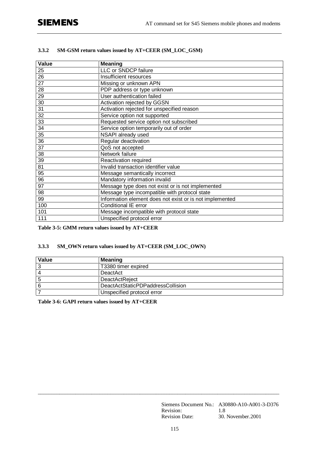| Value           | <b>Meaning</b>                                           |
|-----------------|----------------------------------------------------------|
| 25              | LLC or SNDCP failure                                     |
| 26              | Insufficient resources                                   |
| $\overline{27}$ | Missing or unknown APN                                   |
| 28              | PDP address or type unknown                              |
| 29              | User authentication failed                               |
| 30              | Activation rejected by GGSN                              |
| 31              | Activation rejected for unspecified reason               |
| 32              | Service option not supported                             |
| 33              | Requested service option not subscribed                  |
| 34              | Service option temporarily out of order                  |
| 35              | NSAPI already used                                       |
| 36              | Regular deactivation                                     |
| 37              | QoS not accepted                                         |
| 38              | Network failure                                          |
| 39              | Reactivation required                                    |
| 81              | Invalid transaction identifier value                     |
| 95              | Message semantically incorrect                           |
| 96              | Mandatory information invalid                            |
| 97              | Message type does not exist or is not implemented        |
| 98              | Message type incompatible with protocol state            |
| 99              | Information element does not exist or is not implemented |
| 100             | Conditional IE error                                     |
| 101             | Message incompatible with protocol state                 |
| 111             | Unspecified protocol error                               |

### **3.3.2 SM-GSM return values issued by AT+CEER (SM\_LOC\_GSM)**

**Table 3-5: GMM return values issued by AT+CEER**

### **3.3.3 SM\_OWN return values issued by AT+CEER (SM\_LOC\_OWN)**

| Value | <b>Meaning</b>                    |
|-------|-----------------------------------|
|       | T3380 timer expired               |
|       | DeactAct                          |
| 5     | <b>DeactActReject</b>             |
|       | DeactActStaticPDPaddressCollision |
|       | Unspecified protocol error        |

**Table 3-6: GAPI return values issued by AT+CEER**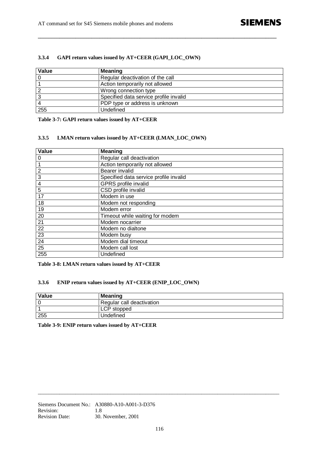## **SIEMENS**

### **3.3.4 GAPI return values issued by AT+CEER (GAPI\_LOC\_OWN)**

| Value | <b>Meaning</b>                         |
|-------|----------------------------------------|
|       | Regular deactivation of the call       |
|       | Action temporarily not allowed         |
|       | Wrong connection type                  |
| -3    | Specified data service profile invalid |
|       | PDP type or address is unknown         |
| 255   | Undefined                              |

**\_\_\_\_\_\_\_\_\_\_\_\_\_\_\_\_\_\_\_\_\_\_\_\_\_\_\_\_\_\_\_\_\_\_\_\_\_\_\_\_\_\_\_\_\_\_\_\_\_\_\_\_\_\_\_\_\_\_\_\_\_\_\_\_\_\_\_\_\_\_\_\_\_\_\_\_\_\_\_\_\_\_\_\_\_\_\_\_\_**

**Table 3-7: GAPI return values issued by AT+CEER**

#### **3.3.5 LMAN return values issued by AT+CEER (LMAN\_LOC\_OWN)**

| Value          | <b>Meaning</b>                         |
|----------------|----------------------------------------|
| 0              | Regular call deactivation              |
|                | Action temporarily not allowed         |
| $\overline{2}$ | Bearer invalid                         |
| 3              | Specified data service profile invalid |
| $\overline{4}$ | <b>GPRS</b> profile invalid            |
| $\overline{5}$ | CSD profile invalid                    |
| 17             | Modem in use                           |
| 18             | Modem not responding                   |
| 19             | Modem error                            |
| 20             | Timeout while waiting for modem        |
| 21             | Modem nocarrier                        |
| 22             | Modem no dialtone                      |
| 23             | Modem busy                             |
| 24             | Modem dial timeout                     |
| 25             | Modem call lost                        |
| 255            | Undefined                              |

**Table 3-8: LMAN return values issued by AT+CEER**

#### **3.3.6 ENIP return values issued by AT+CEER (ENIP\_LOC\_OWN)**

| Value | Meaning                   |
|-------|---------------------------|
|       | Regular call deactivation |
|       | LCP stopped               |
| 255   | Undefined                 |

**Table 3-9: ENIP return values issued by AT+CEER**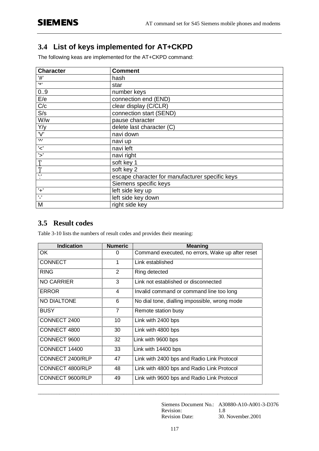# **3.4 List of keys implemented for AT+CKPD**

The following keas are implemented for the AT+CKPD command:

| <b>Character</b> | <b>Comment</b>                                  |
|------------------|-------------------------------------------------|
| '#'              | hash                                            |
| $, +$            | star                                            |
| 0.9              | number keys                                     |
| E/e              | connection end (END)                            |
| C/c              | clear display (C/CLR)                           |
| S/s              | connection start (SEND)                         |
| W/w              | pause character                                 |
| Y/y              | delete last character (C)                       |
| 'V'              | navi down                                       |
| 'Λ'              | navi up                                         |
| $\checkmark$     | navi left                                       |
| $\overline{z}$   | navi right                                      |
| Τ,               | soft key 1                                      |
| ']'              | soft key 2                                      |
| $, \cdot$        | escape character for manufacturer specific keys |
|                  | Siemens specific keys                           |
| $+$ '            | left side key up                                |
| $^{\prime}$ .    | left side key down                              |
| M                | right side key                                  |

### **3.5 Result codes**

Table 3-10 lists the numbers of result codes and provides their meaning:

| <b>Numeric</b> | <b>Meaning</b>                                   |
|----------------|--------------------------------------------------|
| 0              | Command executed, no errors, Wake up after reset |
| 1              | Link established                                 |
| 2              | Ring detected                                    |
| 3              | Link not established or disconnected             |
| 4              | Invalid command or command line too long         |
| 6              | No dial tone, dialling impossible, wrong mode    |
| $\overline{7}$ | Remote station busy                              |
| 10             | Link with 2400 bps                               |
| 30             | Link with 4800 bps                               |
| 32             | Link with 9600 bps                               |
| 33             | Link with 14400 bps                              |
| 47             | Link with 2400 bps and Radio Link Protocol       |
| 48             | Link with 4800 bps and Radio Link Protocol       |
| 49             | Link with 9600 bps and Radio Link Protocol       |
|                |                                                  |

Siemens Document No.: A30880-A10-A001-3-D376 Revision: 1.8 Revision Date: 30. November.2001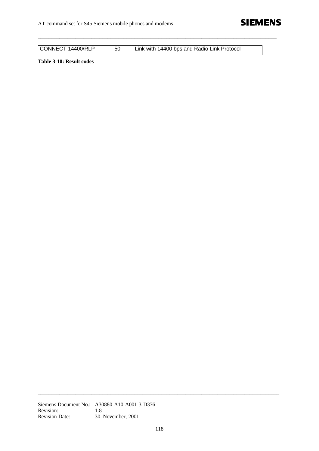

| CONNECT 14400/RLP | Link with 14400 bps and Radio Link Protocol |
|-------------------|---------------------------------------------|
|                   |                                             |

**\_\_\_\_\_\_\_\_\_\_\_\_\_\_\_\_\_\_\_\_\_\_\_\_\_\_\_\_\_\_\_\_\_\_\_\_\_\_\_\_\_\_\_\_\_\_\_\_\_\_\_\_\_\_\_\_\_\_\_\_\_\_\_\_\_\_\_\_\_\_\_\_\_\_\_\_\_\_\_\_\_\_\_\_\_\_\_\_\_**

**Table 3-10: Result codes**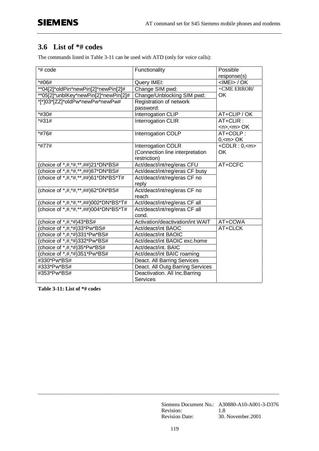### **3.6 List of \*# codes**

The commands listed in Table 3-11 can be used with ATD (only for voice calls):

| *# code                                   | Functionality                        | Possible             |
|-------------------------------------------|--------------------------------------|----------------------|
|                                           |                                      | response(s)          |
| *#06#                                     | Query IMEI:                          | $<$ IMEI $>$ / OK    |
| **04[2]*oldPin*newPin[2]*newPin[2]#       | Change SIM pwd:                      | +CME ERROR/          |
| **05[2]*unblKey*newPin[2]*newPin[2]#      | Change/Unblocking SIM pwd:           | <b>OK</b>            |
| *[*]03*[ZZ]*oldPw*newPw*newPw#            | Registration of network<br>password: |                      |
| *#30#                                     | Interrogation CLIP                   | AT+CLIP / OK         |
| *#31#                                     | Interrogation CLIR                   | $AT+CLIR:$           |
|                                           |                                      | $<$ n>, $<$ m> OK    |
| *#76#                                     | Interrogation COLP                   | AT+COLP:             |
|                                           |                                      | 0, <sub>m</sub> > OK |
| *#77#                                     | Interrogation COLR                   | $+COLR: 0, < m$      |
|                                           | (Connection line interpretation      | ОK                   |
|                                           | restriction)                         |                      |
| (choice of *,#,*#,**,##)21*DN*BS#         | Act/deact/int/reg/eras CFU           | AT+CCFC              |
| (choice of *,#,*#,**,##)67*DN*BS#         | Act/deact/int/reg/eras CF busy       |                      |
| (choice of *,#,*#,**,##)61*DN*BS*T#       | Act/deact/int/reg/eras CF no         |                      |
|                                           | reply                                |                      |
| (choice of *,#,*#,**,##)62*DN*BS#         | Act/deact/int/reg/eras CF no         |                      |
|                                           | reach                                |                      |
| (choice of *,#,*#,**,##)002*DN*BS*T#      | Act/deact/int/reg/eras CF all        |                      |
| (choice of *, #, *#, **, ##) 004*DN*BS*T# | Act/deact/int/reg/eras CF all        |                      |
|                                           | cond.                                |                      |
| (choice of *,#,*#)43*BS#                  | Activation/deactivation/int WAIT     | AT+CCWA              |
| (choice of *,#,*#)33*Pw*BS#               | Act/deact/int BAOC                   | AT+CLCK              |
| (choice of *,#,*#)331*Pw*BS#              | Act/deact/int BAOIC                  |                      |
| (choice of *,#,*#)332*Pw*BS#              | Act/deact/int BAOIC exc.home         |                      |
| (choice of *,#,*#)35*Pw*BS#               | Act/deact/int. BAIC                  |                      |
| (choice of *,#,*#)351*Pw*BS#              | Act/deact/int BAIC roaming           |                      |
| #330*Pw*BS#                               | Deact. All Barring Services          |                      |
| #333*Pw*BS#                               | Deact. All Outg. Barring Services    |                      |
| #353*Pw*BS#                               | Deactivation. All Inc. Barring       |                      |
|                                           | Services                             |                      |

**Table 3-11: List of \*# codes**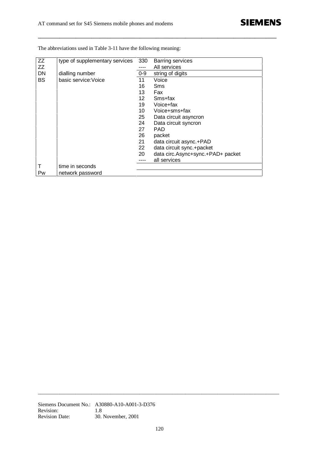| <b>ZZ</b> | type of supplementary services | 330   | <b>Barring services</b>           |
|-----------|--------------------------------|-------|-----------------------------------|
| ZZ        |                                |       | All services                      |
| <b>DN</b> | dialling number                | $0-9$ | string of digits                  |
| <b>BS</b> | basic service: Voice           | 11    | Voice                             |
|           |                                | 16    | Sms                               |
|           |                                | 13    | Fax                               |
|           |                                | 12    | Sms+fax                           |
|           |                                | 19    | Voice+fax                         |
|           |                                | 10    | Voice+sms+fax                     |
|           |                                | 25    | Data circuit asyncron             |
|           |                                | 24    | Data circuit syncron              |
|           |                                | 27    | <b>PAD</b>                        |
|           |                                | 26    | packet                            |
|           |                                | 21    | data circuit async.+PAD           |
|           |                                | 22    | data circuit sync.+packet         |
|           |                                | 20    | data circ.Async+sync.+PAD+ packet |
|           |                                |       | all services                      |
|           | time in seconds                |       |                                   |
| Pw        | network password               |       |                                   |

**\_\_\_\_\_\_\_\_\_\_\_\_\_\_\_\_\_\_\_\_\_\_\_\_\_\_\_\_\_\_\_\_\_\_\_\_\_\_\_\_\_\_\_\_\_\_\_\_\_\_\_\_\_\_\_\_\_\_\_\_\_\_\_\_\_\_\_\_\_\_\_\_\_\_\_\_\_\_\_\_\_\_\_\_\_\_\_\_\_**

The abbreviations used in Table 3-11 have the following meaning: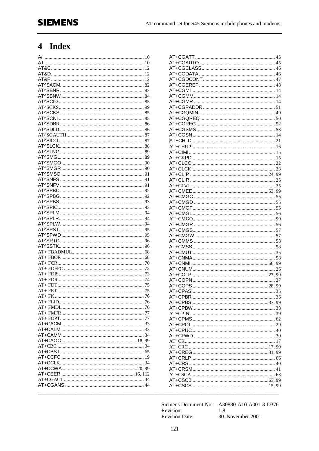# 4 Index

Siemens Document No.: A30880-A10-A001-3-D376 Revision: 1.8 30. November.2001 **Revision Date:**